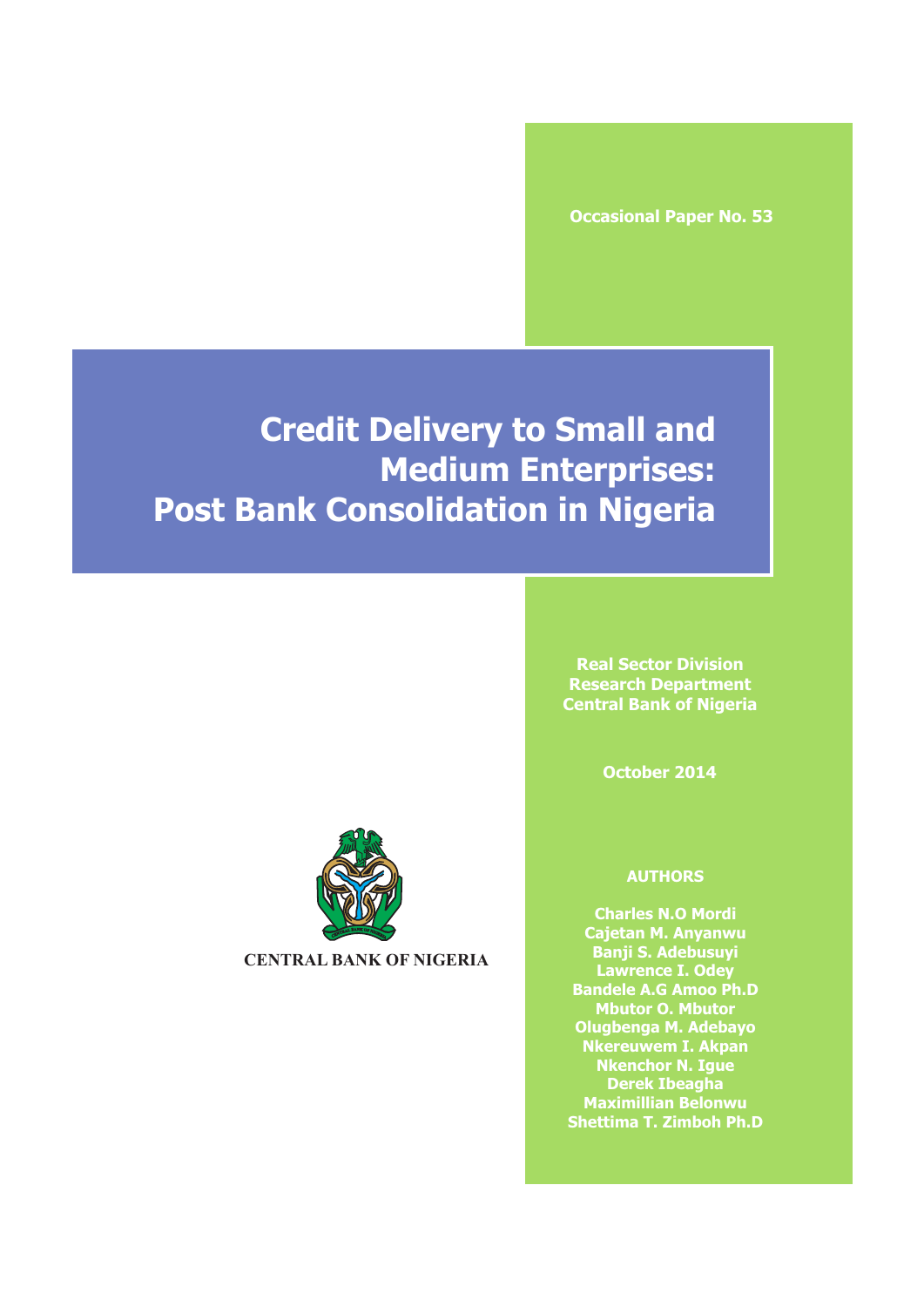**Real Sector Division Research Department Central Bank of Nigeria**

**October 2014**



**CENTRAL BANK OF NIGERIA**

#### **AUTHORS**

**Charles N.O Mordi Cajetan M. Anyanwu Banji S. Adebusuyi Lawrence I. Odey Bandele A.G Amoo Ph.D Mbutor O. Mbutor Olugbenga M. Adebayo Nkereuwem I. Akpan Nkenchor N. Igue Derek Ibeagha Maximillian Belonwu Shettima T. Zimboh Ph.D**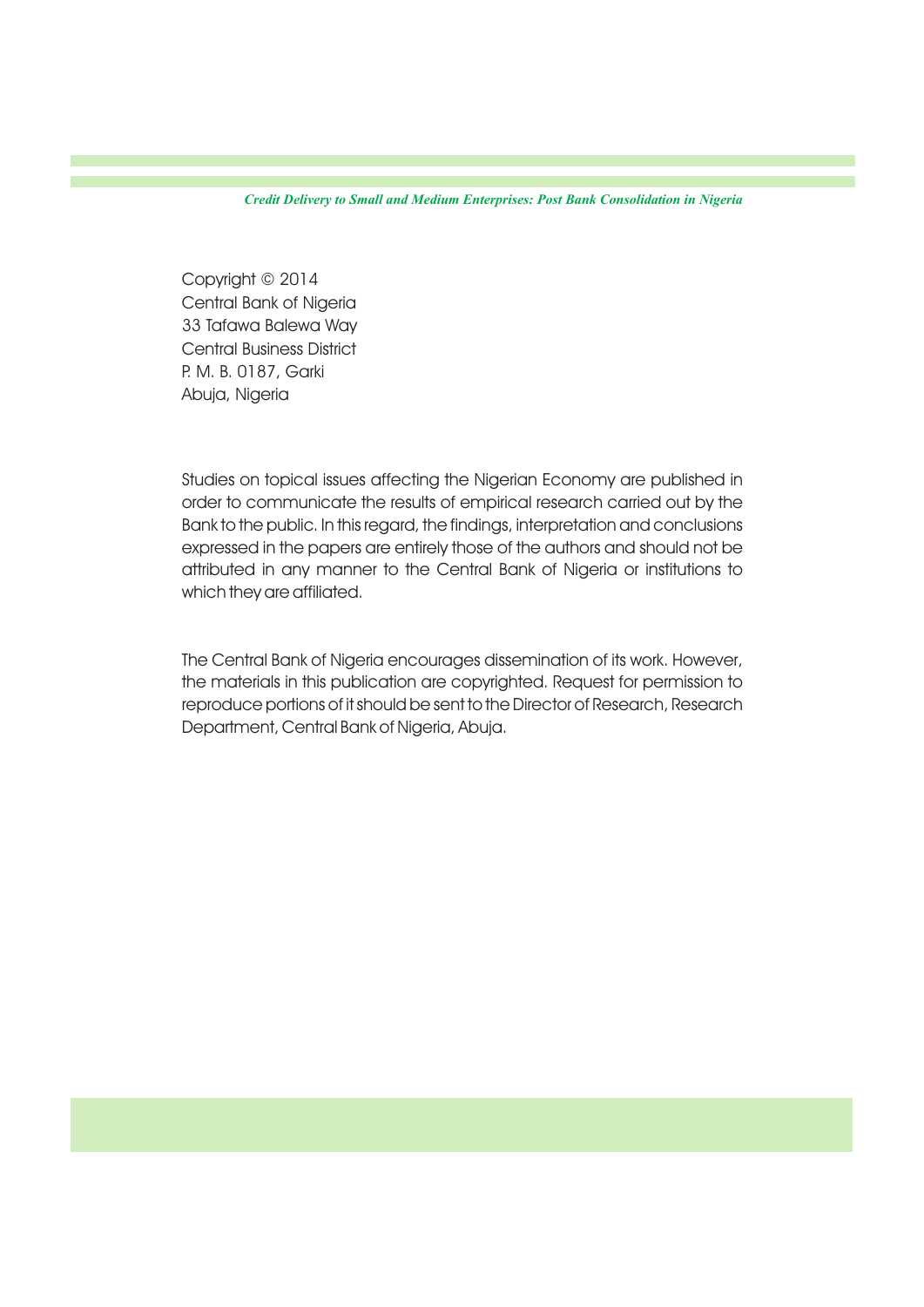Copyright © 2014 Central Bank of Nigeria 33 Tafawa Balewa Way Central Business District P. M. B. 0187, Garki Abuja, Nigeria

Studies on topical issues affecting the Nigerian Economy are published in order to communicate the results of empirical research carried out by the Bank to the public. In this regard, the findings, interpretation and conclusions expressed in the papers are entirely those of the authors and should not be attributed in any manner to the Central Bank of Nigeria or institutions to which they are affiliated.

The Central Bank of Nigeria encourages dissemination of its work. However, the materials in this publication are copyrighted. Request for permission to reproduce portions of it should be sent to the Director of Research, Research Department, Central Bank of Nigeria, Abuja.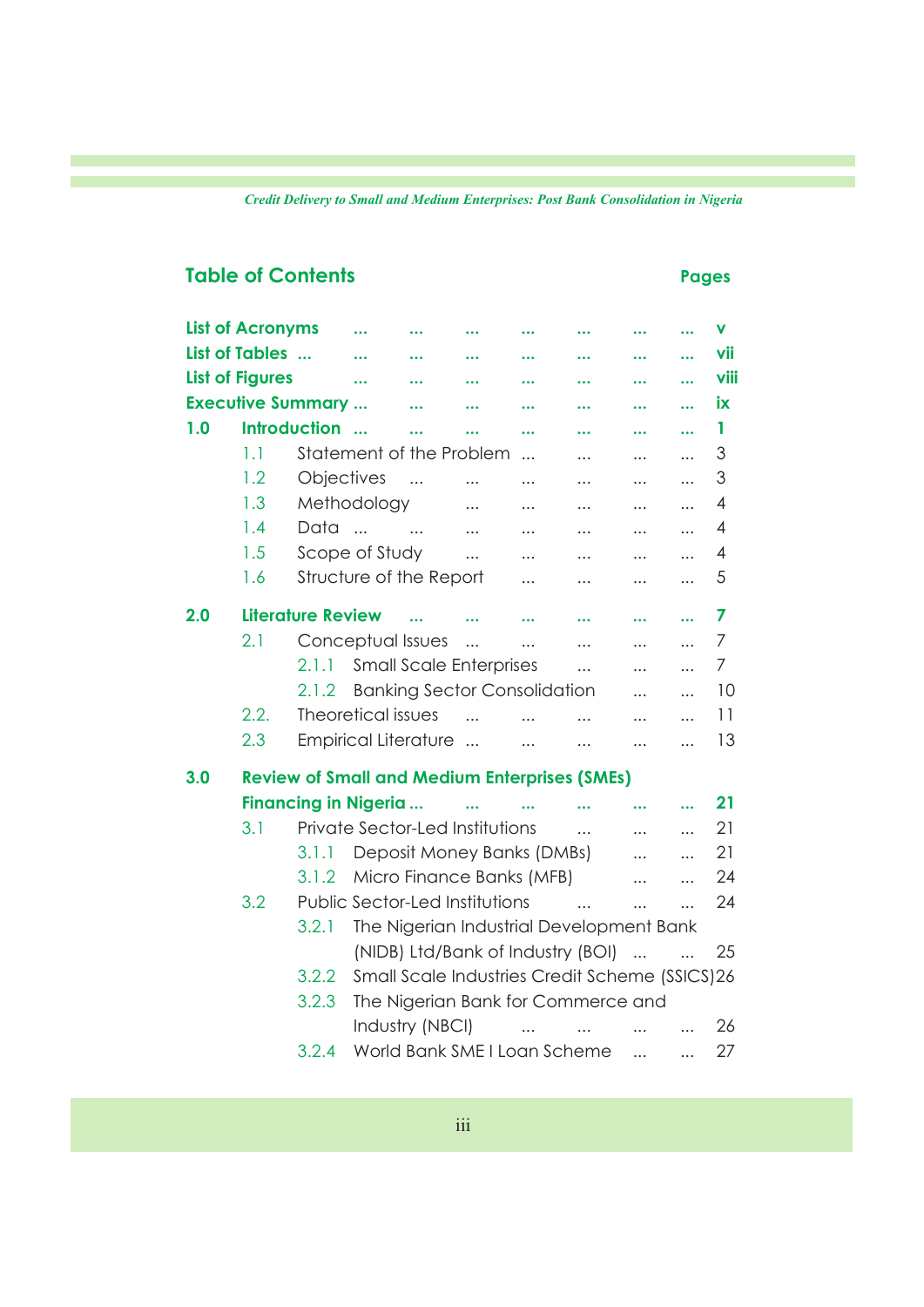## **Table of Contents Pages**

|     | <b>List of Acronyms</b>   |                          |                             |                                                      |            |            |            |            |           | v          |
|-----|---------------------------|--------------------------|-----------------------------|------------------------------------------------------|------------|------------|------------|------------|-----------|------------|
|     | List of Tables            |                          |                             |                                                      |            |            |            |            |           | vii        |
|     | <b>List of Figures</b>    |                          |                             |                                                      |            |            |            |            |           | viii       |
|     | <b>Executive Summary </b> |                          |                             |                                                      |            |            |            |            |           | ix         |
| 1.0 |                           | Introduction             |                             |                                                      |            |            |            |            |           | 1          |
|     | 1.1                       |                          |                             | Statement of the Problem                             |            | $\ddotsc$  | .          |            |           | 3          |
|     | 1.2                       | Objectives               |                             | $\cdots$                                             | $\cdots$   | .          |            | $\cdots$   | .         | 3          |
|     | 1.3                       |                          | Methodology                 |                                                      | $\cdots$   |            |            | $\cdots$   |           | 4          |
|     | 1.4                       | Data                     | $\sim$                      | $\sim$ $\sim$                                        | $\ddotsc$  |            |            | .          | .         | 4          |
|     | 1.5                       |                          | Scope of Study              |                                                      | $\dddotsc$ | .          |            |            | .         | 4          |
|     | 1.6                       |                          |                             | Structure of the Report                              |            |            |            |            | .         | $\sqrt{5}$ |
| 2.0 |                           | <b>Literature Review</b> |                             |                                                      |            |            |            |            |           | 7          |
|     | 2.1                       |                          | Conceptual Issues           |                                                      | $\cdots$   | $\cdots$   | $\ddotsc$  |            | $\cdots$  | 7          |
|     |                           | 2.1.1                    |                             | <b>Small Scale Enterprises</b>                       |            |            | $\cdots$   | .          |           | 7          |
|     |                           | 2.1.2                    |                             | <b>Banking Sector Consolidation</b>                  |            |            |            |            | .         | 10         |
|     | 2.2.                      |                          | Theoretical issues          |                                                      |            |            |            |            |           | $  \n $    |
|     | 2.3                       |                          |                             | Empirical Literature                                 |            | $\dddotsc$ | $\ddotsc$  | .          | .         | 13         |
| 3.0 |                           |                          |                             | <b>Review of Small and Medium Enterprises (SMEs)</b> |            |            |            |            |           |            |
|     |                           |                          | <b>Financing in Nigeria</b> |                                                      |            |            |            |            |           | 21         |
|     | 3.1                       |                          |                             | Private Sector-Led Institutions                      |            |            | $\dddotsc$ | $\cdots$   | .         | 21         |
|     |                           | 3.1.1                    |                             | Deposit Money Banks (DMBs)                           |            |            |            | $\ddotsc$  | .         | 21         |
|     |                           | 3.1.2                    |                             | Micro Finance Banks (MFB)                            |            |            |            | $\dddotsc$ |           | 24         |
|     | 3.2                       |                          |                             | Public Sector-Led Institutions                       |            |            | $\ddotsc$  | $\ddots$   | $\ddotsc$ | 24         |
|     |                           | 3.2.1                    |                             | The Nigerian Industrial Development Bank             |            |            |            |            |           |            |
|     |                           |                          |                             | (NIDB) Ltd/Bank of Industry (BOI)                    |            |            |            |            | $\ddotsc$ | 25         |
|     |                           | 3.2.2                    |                             | Small Scale Industries Credit Scheme (SSICS)26       |            |            |            |            |           |            |
|     |                           | 3.2.3                    |                             | The Nigerian Bank for Commerce and                   |            |            |            |            |           |            |
|     |                           |                          |                             | Industry (NBCI)                                      |            | $\ddotsc$  | $\dddotsc$ |            |           | 26         |
|     |                           | 3.2.4                    |                             | World Bank SME I Loan Scheme                         |            |            |            | $\cdots$   |           | 27         |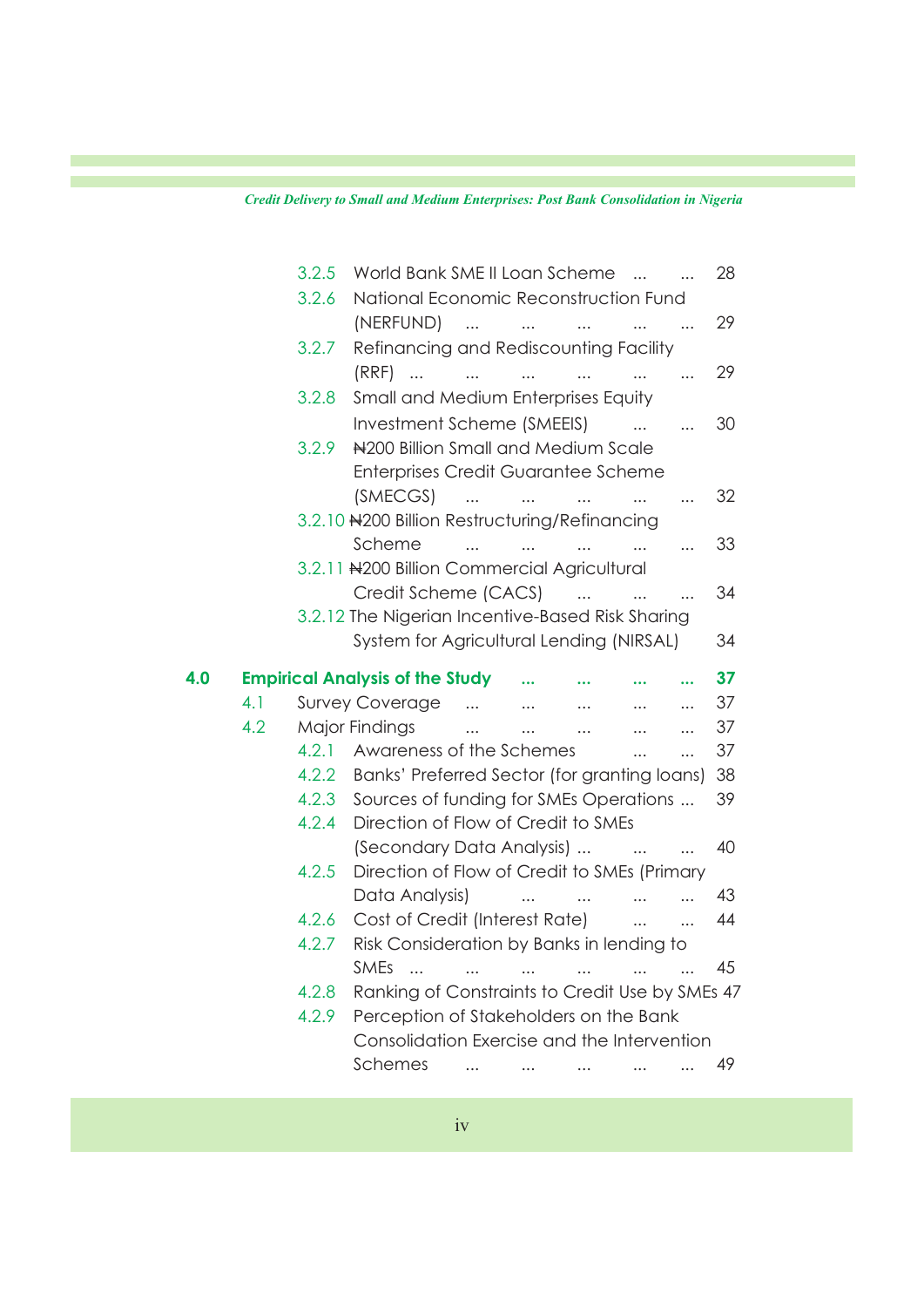|     |     |       | 3.2.5 World Bank SME II Loan Scheme                   |                                                                                                                                          |          |                                     |                       |            | 28 |
|-----|-----|-------|-------------------------------------------------------|------------------------------------------------------------------------------------------------------------------------------------------|----------|-------------------------------------|-----------------------|------------|----|
|     |     | 3.2.6 | National Economic Reconstruction Fund                 |                                                                                                                                          |          |                                     |                       |            |    |
|     |     |       | (NERFUND)                                             |                                                                                                                                          |          |                                     |                       | $\dddotsc$ | 29 |
|     |     | 3.2.7 | Refinancing and Rediscounting Facility                |                                                                                                                                          |          |                                     |                       |            |    |
|     |     |       | (RRF)<br>$\sim$                                       | $\dddotsc$                                                                                                                               |          | $\cdots$                            | $\cdots$              | $\cdots$   | 29 |
|     |     | 3.2.8 | Small and Medium Enterprises Equity                   |                                                                                                                                          |          |                                     |                       |            |    |
|     |     |       | Investment Scheme (SMEEIS)                            |                                                                                                                                          |          |                                     | $\cdots$              |            | 30 |
|     |     | 3.2.9 | Nedium Scale and Medium Scale                         |                                                                                                                                          |          |                                     |                       |            |    |
|     |     |       | <b>Enterprises Credit Guarantee Scheme</b>            |                                                                                                                                          |          |                                     |                       |            |    |
|     |     |       | (SMECGS)                                              | $\frac{1}{2}$ . The contract of the contract of $\frac{1}{2}$                                                                            |          |                                     | $\cdots$              |            | 32 |
|     |     |       | 3.2.10 New Billion Restructuring/Refinancing          |                                                                                                                                          |          |                                     |                       |            |    |
|     |     |       | Scheme                                                | المنفر المنفر المنفر المستحدث المنفر                                                                                                     |          |                                     |                       | $\cdots$   | 33 |
|     |     |       | 3.2.11 N200 Billion Commercial Agricultural           |                                                                                                                                          |          |                                     |                       |            |    |
|     |     |       | Credit Scheme (CACS)                                  |                                                                                                                                          |          | $\overline{\phantom{a}}$            | $\dddotsc$            | $\ddotsc$  | 34 |
|     |     |       | 3.2.12 The Nigerian Incentive-Based Risk Sharing      |                                                                                                                                          |          |                                     |                       |            |    |
|     |     |       | System for Agricultural Lending (NIRSAL)              |                                                                                                                                          |          |                                     |                       |            | 34 |
| 4.0 |     |       | <b>Empirical Analysis of the Study </b>               |                                                                                                                                          |          |                                     |                       |            | 37 |
|     | 4.1 |       | Survey Coverage                                       |                                                                                                                                          | $\cdots$ | $\cdots$                            | $\cdots$              |            | 37 |
|     | 4.2 |       | Major Findings                                        | $\mathbf{r} = \mathbf{r} \cdot \mathbf{r}$ and $\mathbf{r} = \mathbf{r} \cdot \mathbf{r}$ and $\mathbf{r} = \mathbf{r} \cdot \mathbf{r}$ |          |                                     | $\cdots$              |            | 37 |
|     |     |       | 4.2.1 Awareness of the Schemes                        |                                                                                                                                          |          |                                     | $\dddot{\phantom{0}}$ |            | 37 |
|     |     |       | 4.2.2 Banks' Preferred Sector (for granting loans) 38 |                                                                                                                                          |          |                                     |                       |            |    |
|     |     | 4.2.3 | Sources of funding for SMEs Operations                |                                                                                                                                          |          |                                     |                       |            | 39 |
|     |     | 4.2.4 | Direction of Flow of Credit to SMEs                   |                                                                                                                                          |          |                                     |                       |            |    |
|     |     |       | (Secondary Data Analysis)                             |                                                                                                                                          |          |                                     | $\sim$ $\sim$         |            | 40 |
|     |     | 4.2.5 | Direction of Flow of Credit to SMEs (Primary          |                                                                                                                                          |          |                                     |                       |            |    |
|     |     |       | Data Analysis)                                        |                                                                                                                                          |          | $\cdots$ $\cdots$ $\cdots$ $\cdots$ |                       | $\dddotsc$ | 43 |
|     |     | 4.2.6 | Cost of Credit (Interest Rate)                        |                                                                                                                                          |          |                                     |                       | $\cdots$   | 44 |
|     |     | 4.2.7 | Risk Consideration by Banks in lending to             |                                                                                                                                          |          |                                     |                       |            |    |
|     |     |       | SMEs                                                  |                                                                                                                                          |          |                                     |                       | $\cdots$   | 45 |
|     |     | 4.2.8 | Ranking of Constraints to Credit Use by SMEs 47       |                                                                                                                                          |          |                                     |                       |            |    |
|     |     | 4.2.9 | Perception of Stakeholders on the Bank                |                                                                                                                                          |          |                                     |                       |            |    |
|     |     |       | Consolidation Exercise and the Intervention           |                                                                                                                                          |          |                                     |                       |            |    |
|     |     |       | Schemes                                               |                                                                                                                                          | $\cdots$ |                                     |                       |            | 49 |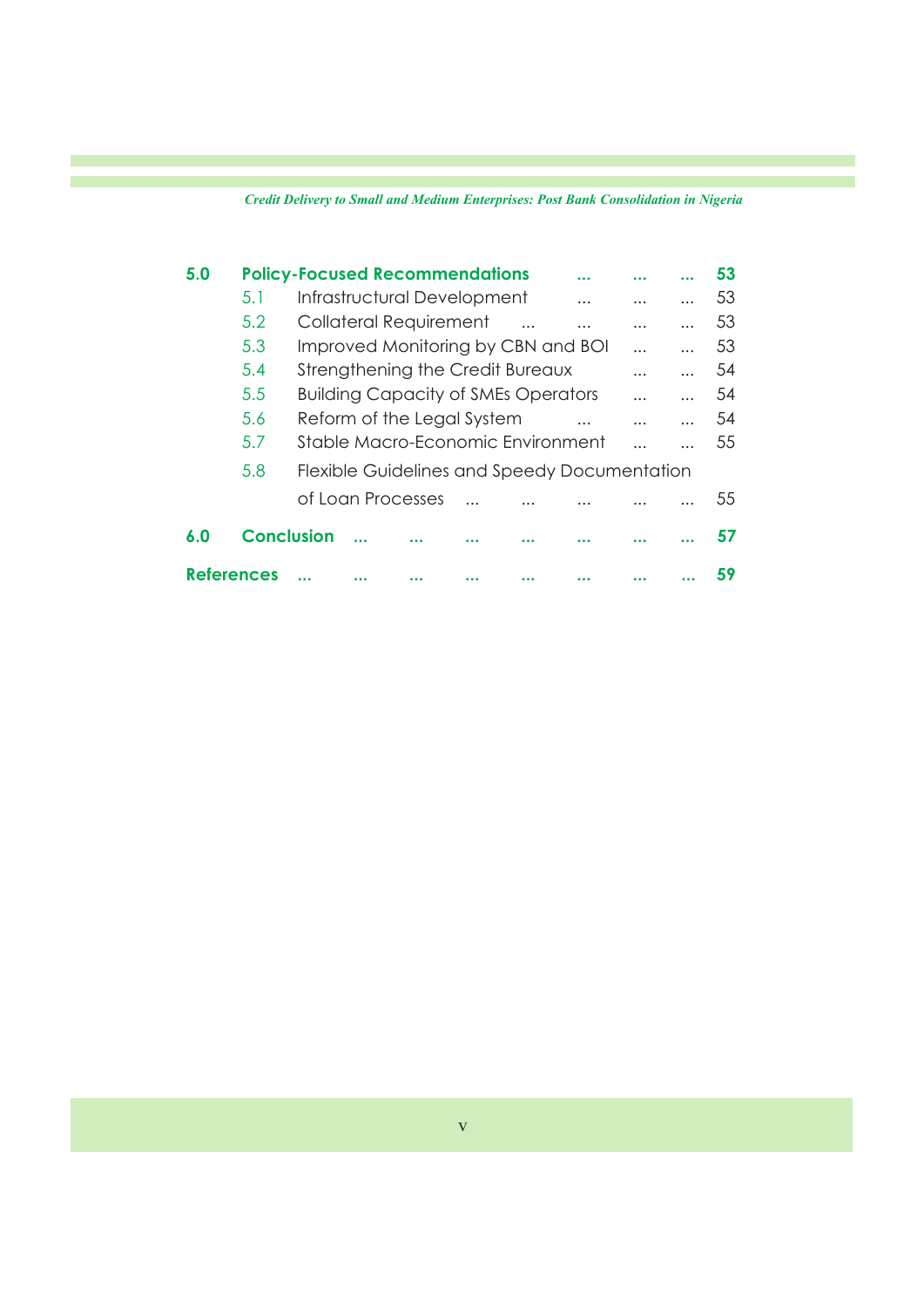г

| 5.0               |                   |                   |                        | <b>Policy-Focused Recommendations</b>        |  |  | 53 |
|-------------------|-------------------|-------------------|------------------------|----------------------------------------------|--|--|----|
|                   | 5.1               |                   |                        | Infrastructural Development                  |  |  | 53 |
|                   | 5.2               |                   | Collateral Requirement |                                              |  |  | 53 |
|                   | 5.3               |                   |                        | Improved Monitoring by CBN and BOI           |  |  | 53 |
|                   | 5.4               |                   |                        | Strengthening the Credit Bureaux             |  |  | 54 |
|                   | 5.5               |                   |                        | <b>Building Capacity of SMEs Operators</b>   |  |  | 54 |
|                   | 5.6               |                   |                        | Reform of the Legal System                   |  |  | 54 |
|                   | 5.7               |                   |                        | Stable Macro-Economic Environment            |  |  | 55 |
|                   | 5.8               |                   |                        | Flexible Guidelines and Speedy Documentation |  |  |    |
|                   |                   | of Loan Processes |                        |                                              |  |  | 55 |
| 6.0               | <b>Conclusion</b> |                   |                        |                                              |  |  | 57 |
| <b>References</b> |                   |                   |                        |                                              |  |  | 59 |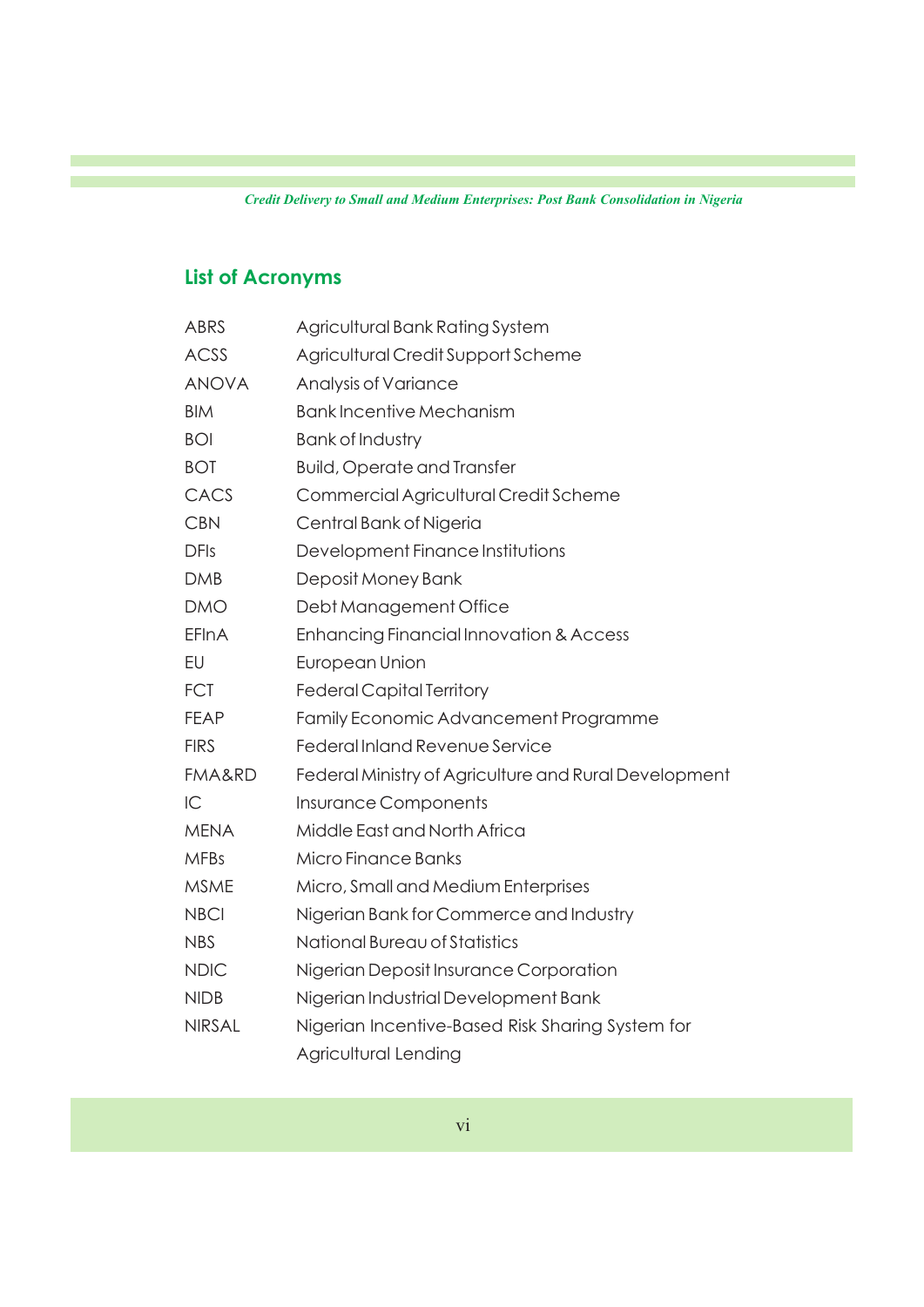## **List of Acronyms**

| ABRS              | Agricultural Bank Rating System                       |
|-------------------|-------------------------------------------------------|
| <b>ACSS</b>       | Agricultural Credit Support Scheme                    |
| <b>ANOVA</b>      | Analysis of Variance                                  |
| <b>BIM</b>        | <b>Bank Incentive Mechanism</b>                       |
| BOI               | <b>Bank of Industry</b>                               |
| <b>BOT</b>        | <b>Build, Operate and Transfer</b>                    |
| CACS              | Commercial Agricultural Credit Scheme                 |
| <b>CBN</b>        | Central Bank of Nigeria                               |
| <b>DFIs</b>       | Development Finance Institutions                      |
| <b>DMB</b>        | Deposit Money Bank                                    |
| <b>DMO</b>        | Debt Management Office                                |
| <b>EFInA</b>      | <b>Enhancing Financial Innovation &amp; Access</b>    |
| EU                | European Union                                        |
| <b>FCT</b>        | <b>Federal Capital Territory</b>                      |
| <b>FEAP</b>       | Family Economic Advancement Programme                 |
| <b>FIRS</b>       | Federal Inland Revenue Service                        |
| <b>FMA&amp;RD</b> | Federal Ministry of Agriculture and Rural Development |
| IC                | Insurance Components                                  |
| <b>MENA</b>       | Middle East and North Africa                          |
| <b>MFBs</b>       | <b>Micro Finance Banks</b>                            |
| <b>MSME</b>       | Micro, Small and Medium Enterprises                   |
| <b>NBCI</b>       | Nigerian Bank for Commerce and Industry               |
| <b>NBS</b>        | National Bureau of Statistics                         |
| <b>NDIC</b>       | Nigerian Deposit Insurance Corporation                |
| <b>NIDB</b>       | Nigerian Industrial Development Bank                  |
| <b>NIRSAL</b>     | Nigerian Incentive-Based Risk Sharing System for      |
|                   | Agricultural Lending                                  |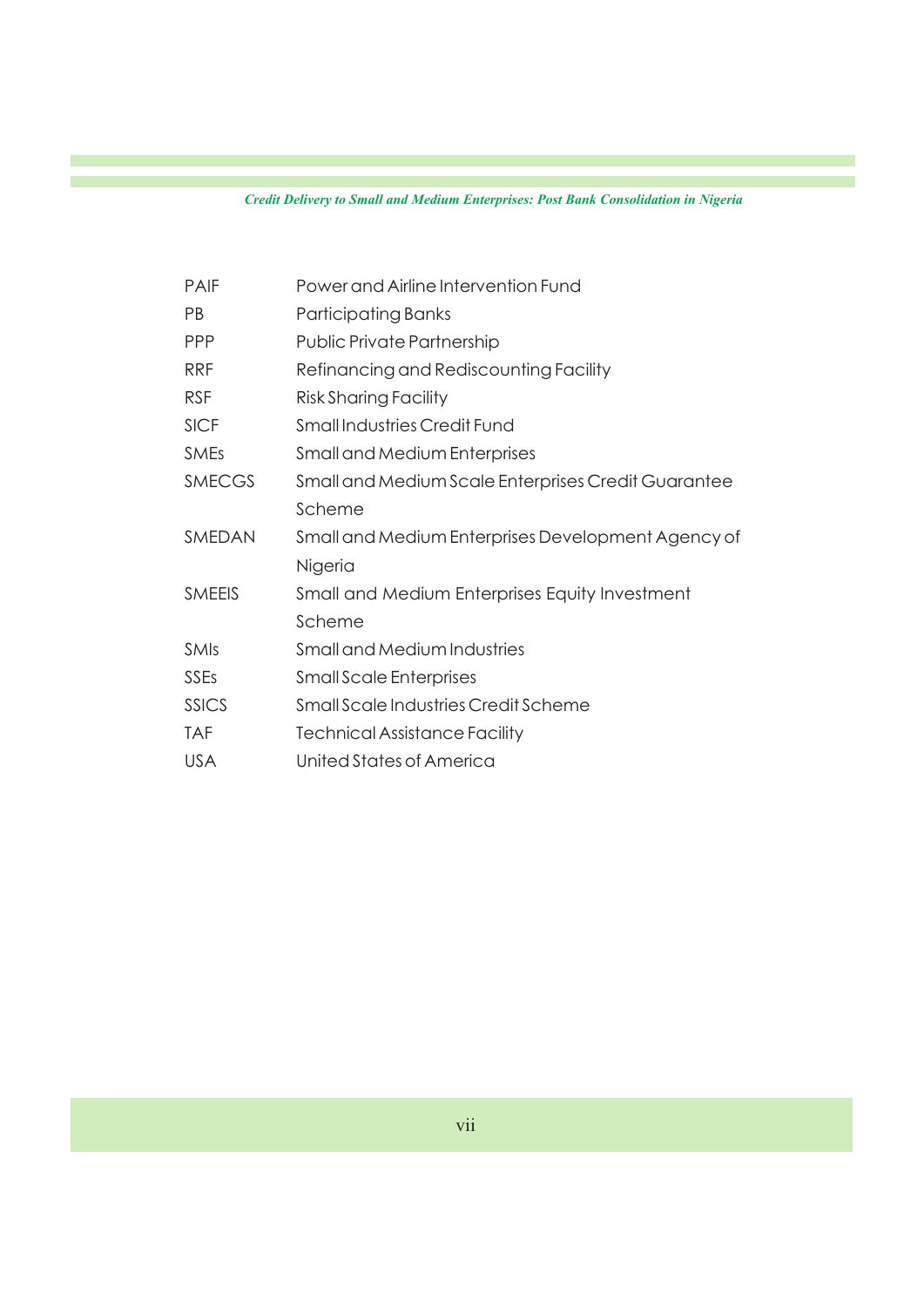| <b>PAIF</b>   | Power and Airline Intervention Fund                 |
|---------------|-----------------------------------------------------|
| PB            | Participating Banks                                 |
| <b>PPP</b>    | Public Private Partnership                          |
| <b>RRF</b>    | Refinancing and Rediscounting Facility              |
| <b>RSF</b>    | <b>Risk Sharing Facility</b>                        |
| <b>SICF</b>   | Small Industries Credit Fund                        |
| <b>SMEs</b>   | <b>Small and Medium Enterprises</b>                 |
| <b>SMECGS</b> | Small and Medium Scale Enterprises Credit Guarantee |
|               | Scheme                                              |
| SMEDAN        | Small and Medium Enterprises Development Agency of  |
|               | Nigeria                                             |
| <b>SMEEIS</b> | Small and Medium Enterprises Equity Investment      |
|               | Scheme                                              |
| <b>SMIs</b>   | Small and Medium Industries                         |
| <b>SSEs</b>   | <b>Small Scale Enterprises</b>                      |
| <b>SSICS</b>  | Small Scale Industries Credit Scheme                |
| <b>TAF</b>    | <b>Technical Assistance Facility</b>                |
| <b>USA</b>    | United States of America                            |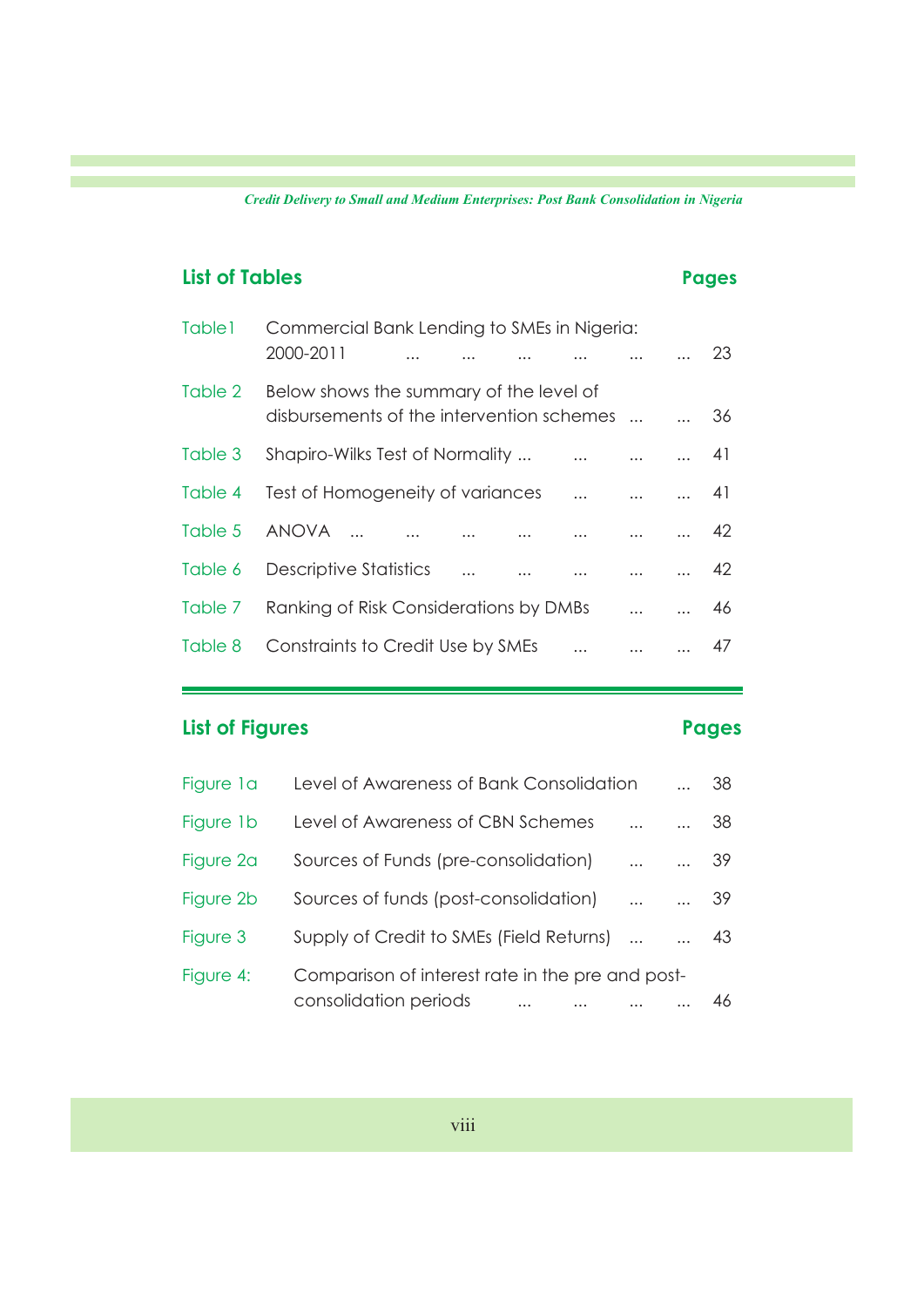## **List of Tables Pages**

| Table <sub>1</sub> | Commercial Bank Lending to SMEs in Nigeria:                                          |              |               |                                        |          |                    |                                                           |    |  |
|--------------------|--------------------------------------------------------------------------------------|--------------|---------------|----------------------------------------|----------|--------------------|-----------------------------------------------------------|----|--|
|                    | 2000-2011                                                                            |              |               |                                        |          |                    |                                                           | 23 |  |
| Table 2            | Below shows the summary of the level of<br>disbursements of the intervention schemes |              |               |                                        |          |                    | $\mathcal{L}_{\text{max}}$ and $\mathcal{L}_{\text{max}}$ | 36 |  |
| Table 3            | Shapiro-Wilks Test of Normality                                                      |              |               |                                        | $\cdots$ | $\dots$ $\dots$ 41 |                                                           |    |  |
| Table 4            | Test of Homogeneity of variances                                                     |              |               |                                        | $\cdots$ |                    | $\dots$ 41                                                |    |  |
| Table 5            | ANOVA                                                                                | $\mathbf{m}$ | $\sim$ $\sim$ | $\mathbf{r}$ . The set of $\mathbf{r}$ | 42       |                    |                                                           |    |  |
| Table 6            | Descriptive Statistics                                                               |              | $\dddotsc$    | $\cdots$ $\cdots$                      |          | $\cdots$ $\cdots$  |                                                           | 42 |  |
|                    | Table 7 Ranking of Risk Considerations by DMBs                                       |              |               |                                        |          |                    |                                                           | 46 |  |
| Table 8            | Constraints to Credit Use by SMEs                                                    |              |               |                                        |          |                    |                                                           | 47 |  |

## **List of Figures Pages**

| Figure 1a | Level of Awareness of Bank Consolidation                                  |  | 38 |
|-----------|---------------------------------------------------------------------------|--|----|
| Figure 1b | Level of Awareness of CBN Schemes                                         |  | 38 |
| Figure 2a | Sources of Funds (pre-consolidation)                                      |  | 39 |
| Figure 2b | Sources of funds (post-consolidation)                                     |  | 39 |
| Figure 3  | Supply of Credit to SMEs (Field Returns)                                  |  | 43 |
| Figure 4: | Comparison of interest rate in the pre and post-<br>consolidation periods |  | 46 |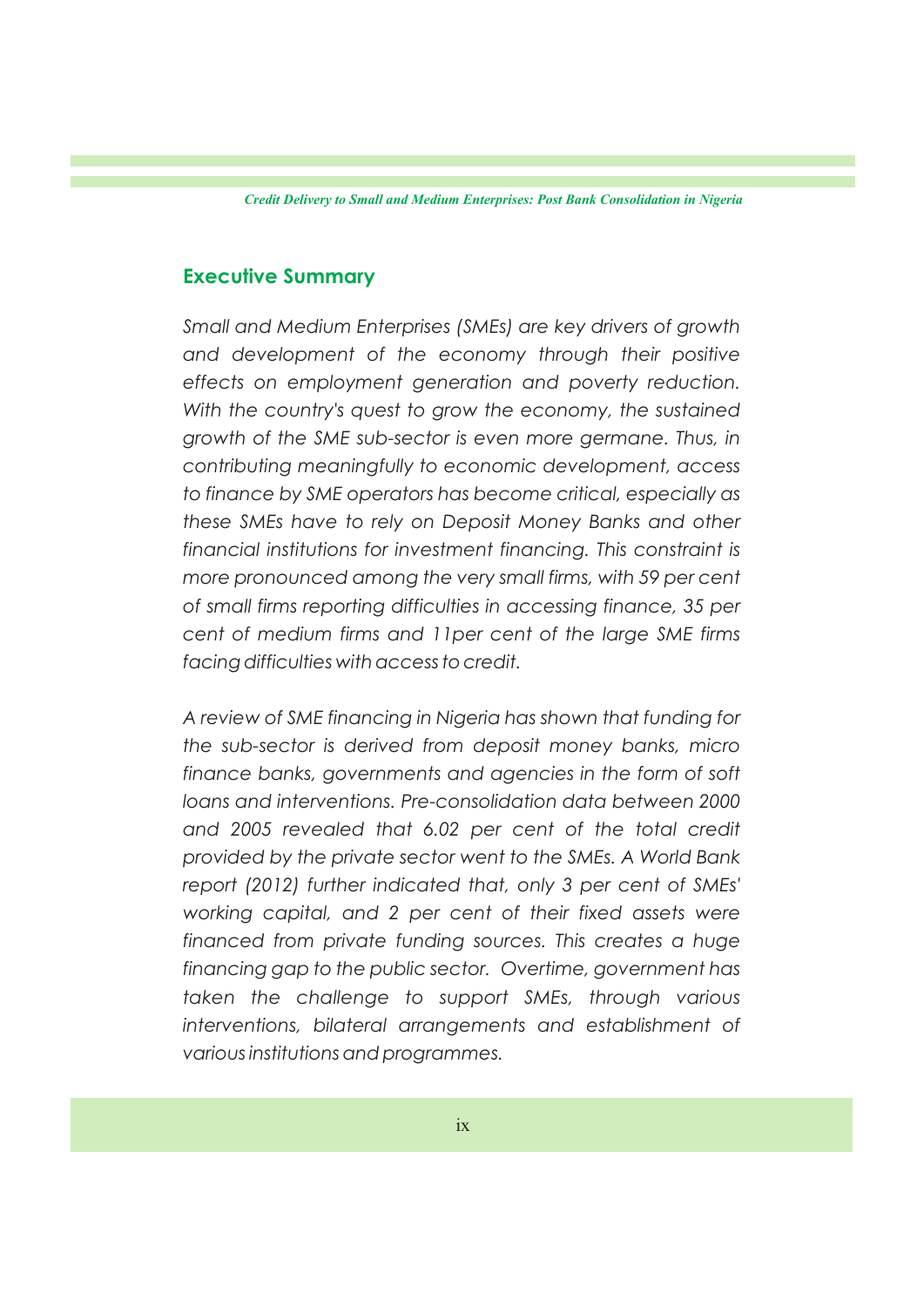#### **Executive Summary**

*Small and Medium Enterprises (SMEs) are key drivers of growth and development of the economy through their positive effects on employment generation and poverty reduction. With the country's quest to grow the economy, the sustained growth of the SME sub-sector is even more germane. Thus, in contributing meaningfully to economic development, access to finance by SME operators has become critical, especially as these SMEs have to rely on Deposit Money Banks and other financial institutions for investment financing. This constraint is more pronounced among the very small firms, with 59 per cent of small firms reporting difficulties in accessing finance, 35 per cent of medium firms and 11per cent of the large SME firms facing difficulties with access to credit.* 

*A review of SME financing in Nigeria has shown that funding for the sub-sector is derived from deposit money banks, micro*  finance banks, governments and agencies in the form of soft *loans and interventions. Pre-consolidation data between 2000 and 2005 revealed that 6.02 per cent of the total credit provided by the private sector went to the SMEs. A World Bank report (2012) further indicated that, only 3 per cent of SMEs' working capital, and 2 per cent of their fixed assets were financed from private funding sources. This creates a huge financing gap to the public sector. Overtime, government has taken the challenge to support SMEs, through various interventions, bilateral arrangements and establishment of various institutions and programmes.*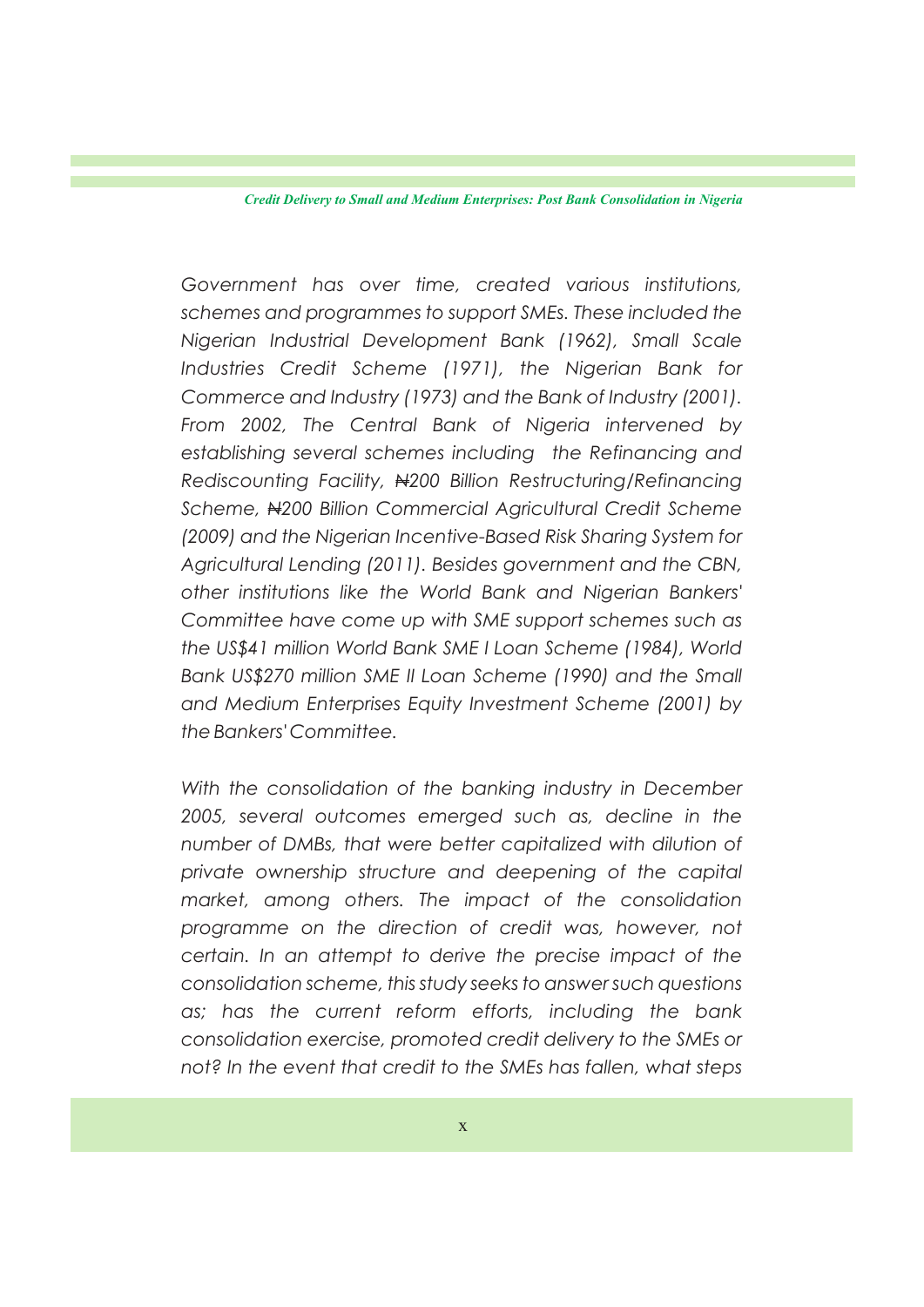*Government has over time, created various institutions, schemes and programmes to support SMEs. These included the Nigerian Industrial Development Bank (1962), Small Scale Industries Credit Scheme (1971), the Nigerian Bank for Commerce and Industry (1973) and the Bank of Industry (2001). From 2002, The Central Bank of Nigeria intervened by establishing several schemes including the Refinancing and Rediscounting Facility, N200 Billion Restructuring/Refinancing Scheme, N200 Billion Commercial Agricultural Credit Scheme (2009) and the Nigerian Incentive-Based Risk Sharing System for Agricultural Lending (2011). Besides government and the CBN, other institutions like the World Bank and Nigerian Bankers' Committee have come up with SME support schemes such as the US\$41 million World Bank SME I Loan Scheme (1984), World Bank US\$270 million SME II Loan Scheme (1990) and the Small and Medium Enterprises Equity Investment Scheme (2001) by the Bankers' Committee.*

*With the consolidation of the banking industry in December 2005, several outcomes emerged such as, decline in the number of DMBs, that were better capitalized with dilution of private ownership structure and deepening of the capital market, among others. The impact of the consolidation programme on the direction of credit was, however, not certain. In an attempt to derive the precise impact of the consolidation scheme, this study seeks to answer such questions as; has the current reform efforts, including the bank consolidation exercise, promoted credit delivery to the SMEs or not? In the event that credit to the SMEs has fallen, what steps*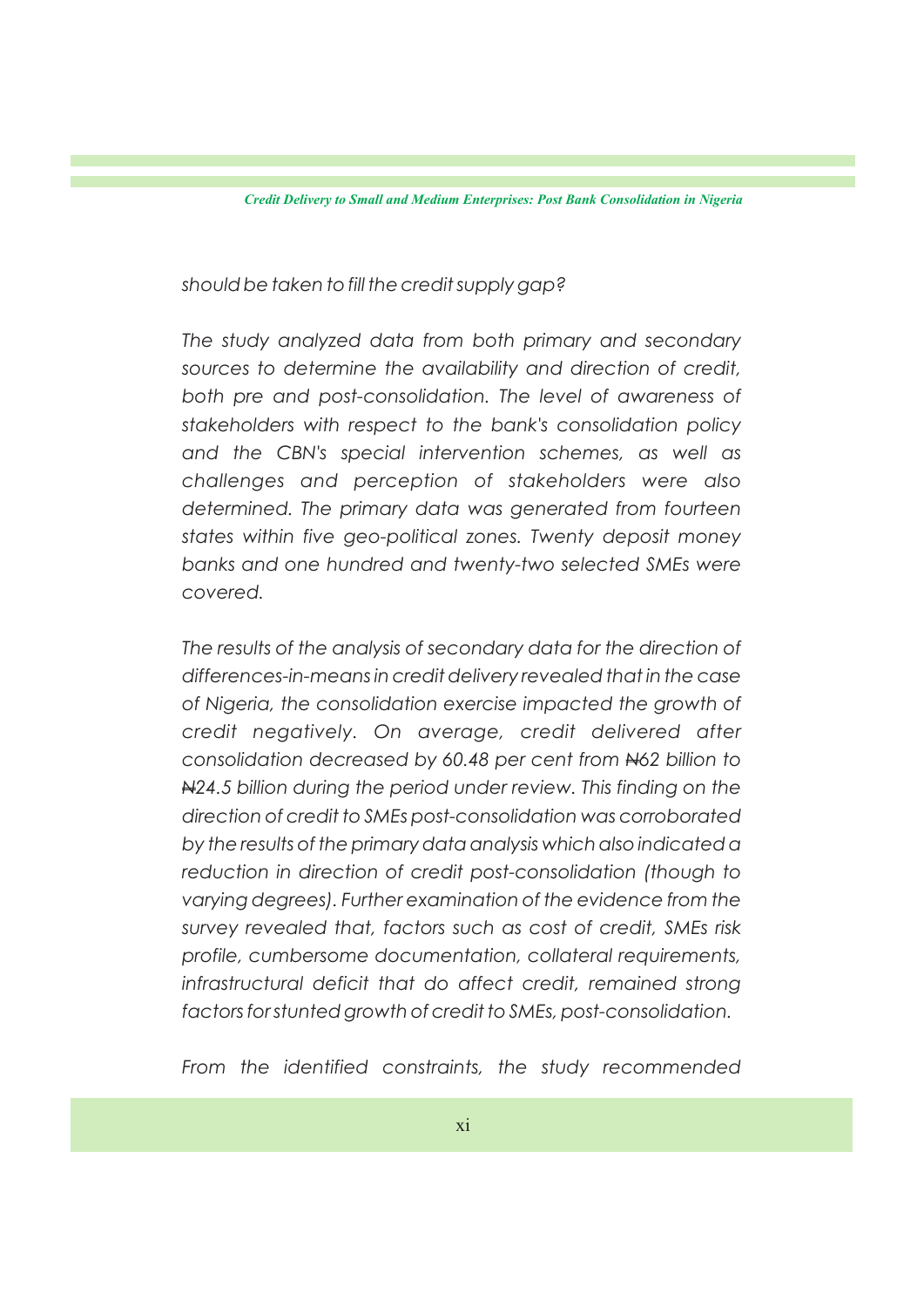*should be taken to fill the credit supply gap?*

*The study analyzed data from both primary and secondary sources to determine the availability and direction of credit, both pre and post-consolidation. The level of awareness of stakeholders with respect to the bank's consolidation policy and the CBN's special intervention schemes, as well as challenges and perception of stakeholders were also determined. The primary data was generated from fourteen states within five geo-political zones. Twenty deposit money banks and one hundred and twenty-two selected SMEs were covered.* 

*The results of the analysis of secondary data for the direction of differences-in-means in credit delivery revealed that in the case of Nigeria, the consolidation exercise impacted the growth of credit negatively. On average, credit delivered after consolidation decreased by 60.48 per cent from N62 billion to N24.5 billion during the period under review. This finding on the direction of credit to SMEs post-consolidation was corroborated by the results of the primary data analysis which also indicated a reduction in direction of credit post-consolidation (though to varying degrees). Further examination of the evidence from the survey revealed that, factors such as cost of credit, SMEs risk profile, cumbersome documentation, collateral requirements,*  infrastructural deficit that do affect credit, remained strong *factors for stunted growth of credit to SMEs, post-consolidation.*

*From the identified constraints, the study recommended*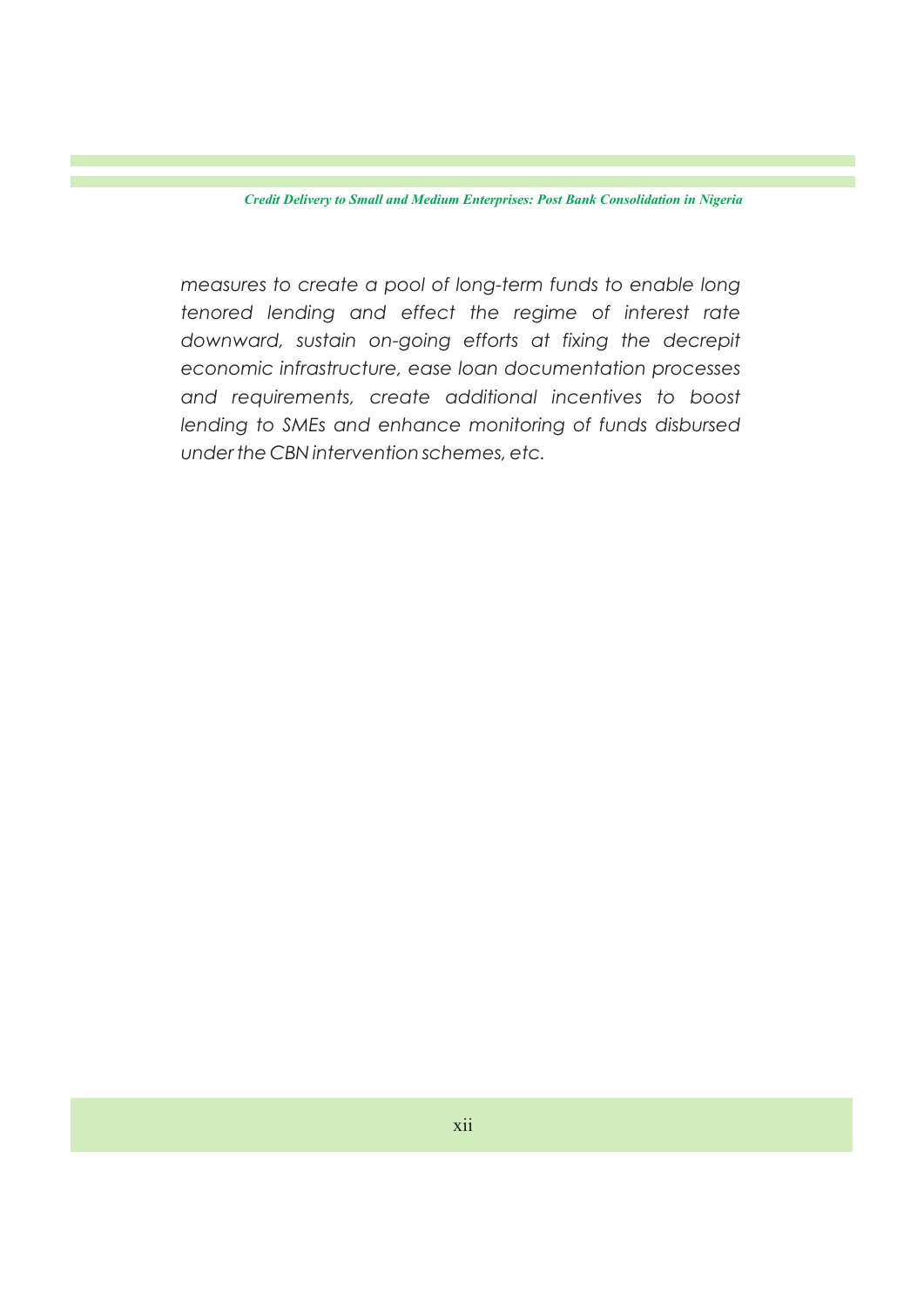*measures to create a pool of long-term funds to enable long tenored lending and effect the regime of interest rate downward, sustain on-going efforts at fixing the decrepit economic infrastructure, ease loan documentation processes and requirements, create additional incentives to boost lending to SMEs and enhance monitoring of funds disbursed under the CBN intervention schemes, etc.*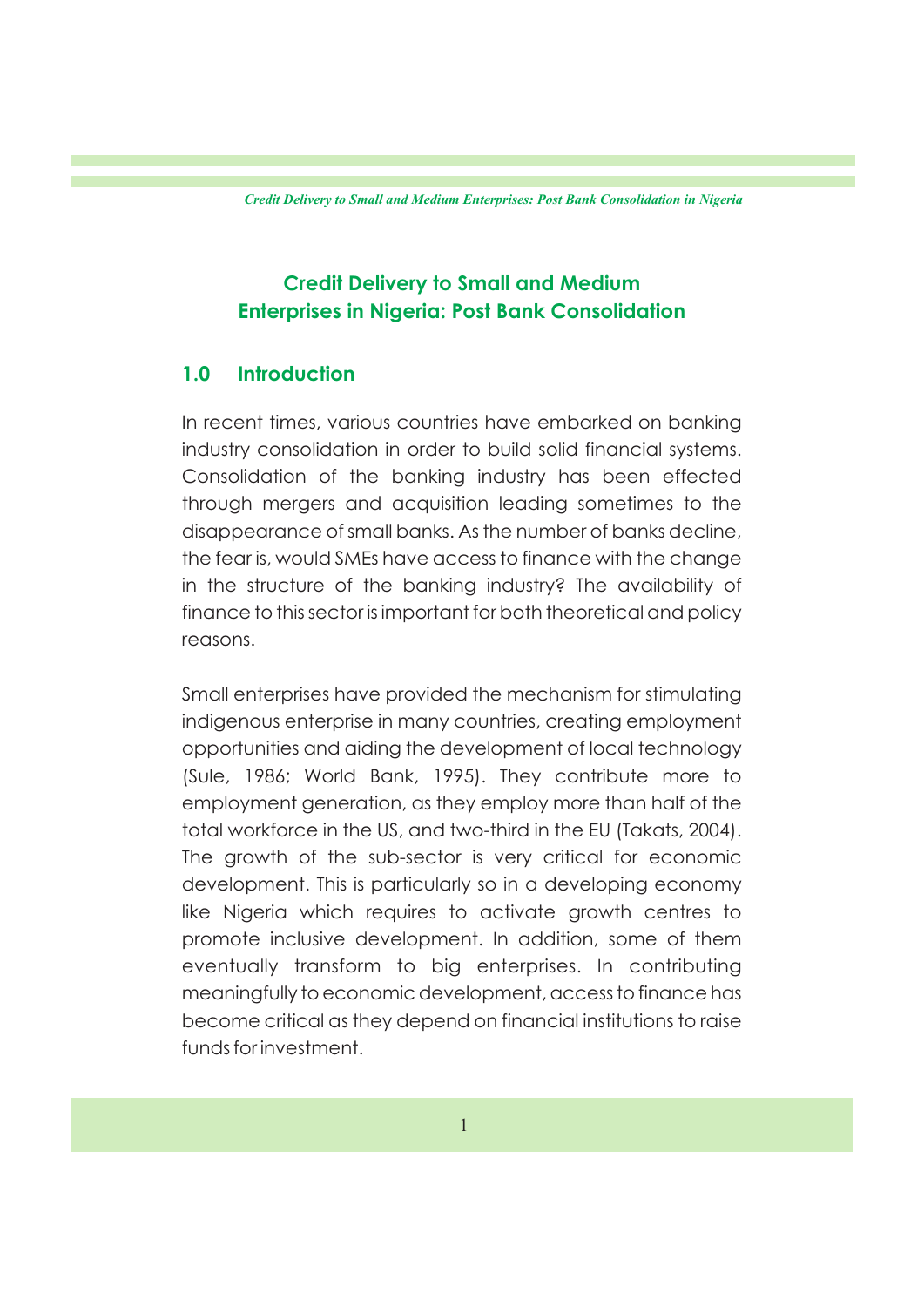### **Credit Delivery to Small and Medium Enterprises in Nigeria: Post Bank Consolidation**

#### **1.0 Introduction**

In recent times, various countries have embarked on banking industry consolidation in order to build solid financial systems. Consolidation of the banking industry has been effected through mergers and acquisition leading sometimes to the disappearance of small banks. As the number of banks decline, the fear is, would SMEs have access to finance with the change in the structure of the banking industry? The availability of finance to this sector is important for both theoretical and policy reasons.

Small enterprises have provided the mechanism for stimulating indigenous enterprise in many countries, creating employment opportunities and aiding the development of local technology (Sule, 1986; World Bank, 1995). They contribute more to employment generation, as they employ more than half of the total workforce in the US, and two-third in the EU (Takats, 2004). The growth of the sub-sector is very critical for economic development. This is particularly so in a developing economy like Nigeria which requires to activate growth centres to promote inclusive development. In addition, some of them eventually transform to big enterprises. In contributing meaningfully to economic development, access to finance has become critical as they depend on financial institutions to raise funds for investment.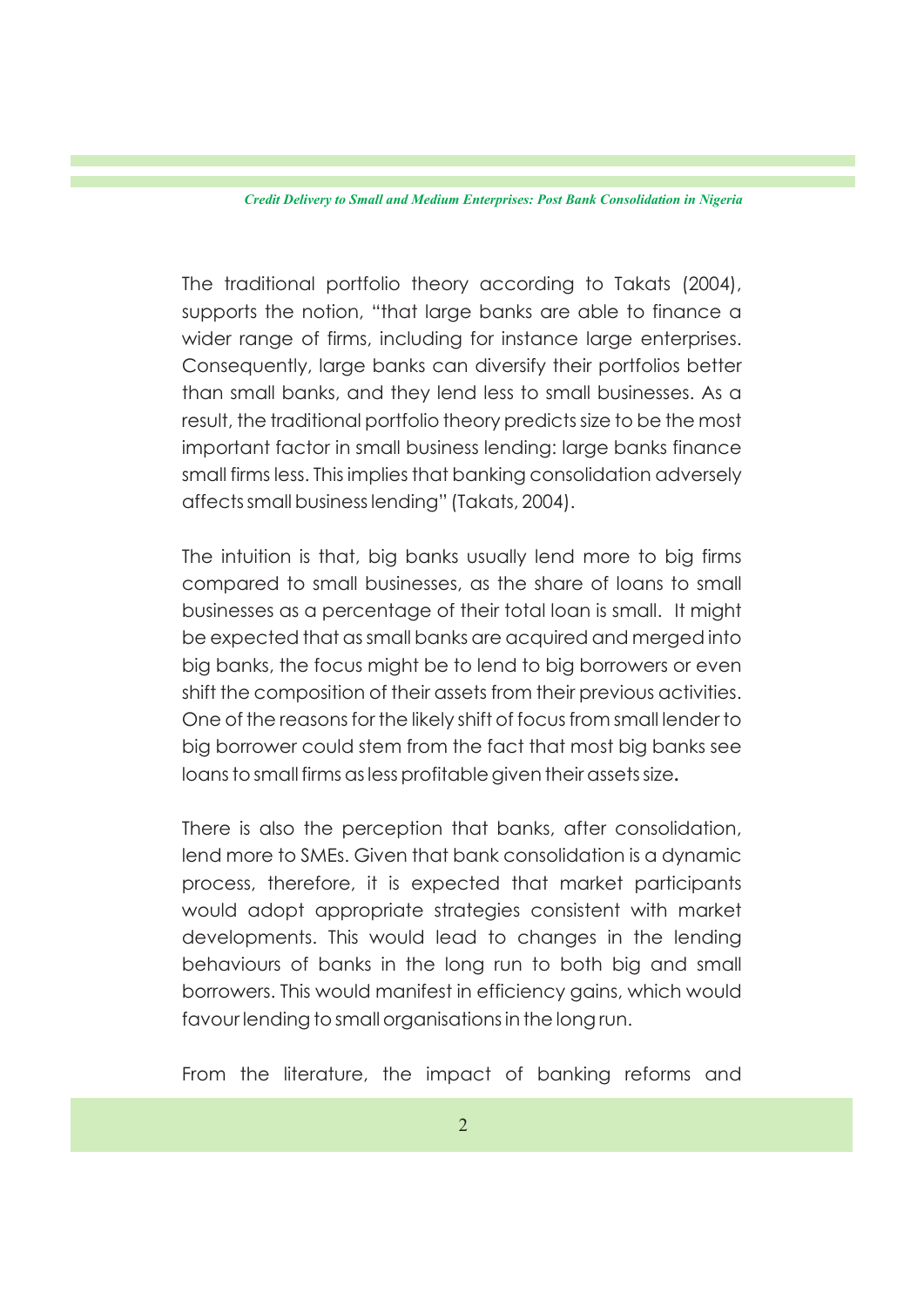The traditional portfolio theory according to Takats (2004), supports the notion, "that large banks are able to finance a wider range of firms, including for instance large enterprises. Consequently, large banks can diversify their portfolios better than small banks, and they lend less to small businesses. As a result, the traditional portfolio theory predicts size to be the most important factor in small business lending: large banks finance small firms less. This implies that banking consolidation adversely affects small business lending" (Takats, 2004).

The intuition is that, big banks usually lend more to big firms compared to small businesses, as the share of loans to small businesses as a percentage of their total loan is small. It might be expected that as small banks are acquired and merged into big banks, the focus might be to lend to big borrowers or even shift the composition of their assets from their previous activities. One of the reasons for the likely shift of focus from small lender to big borrower could stem from the fact that most big banks see loans to small firms as less profitable given their assets size**.**

There is also the perception that banks, after consolidation, lend more to SMEs. Given that bank consolidation is a dynamic process, therefore, it is expected that market participants would adopt appropriate strategies consistent with market developments. This would lead to changes in the lending behaviours of banks in the long run to both big and small borrowers. This would manifest in efficiency gains, which would favour lending to small organisations in the long run.

From the literature, the impact of banking reforms and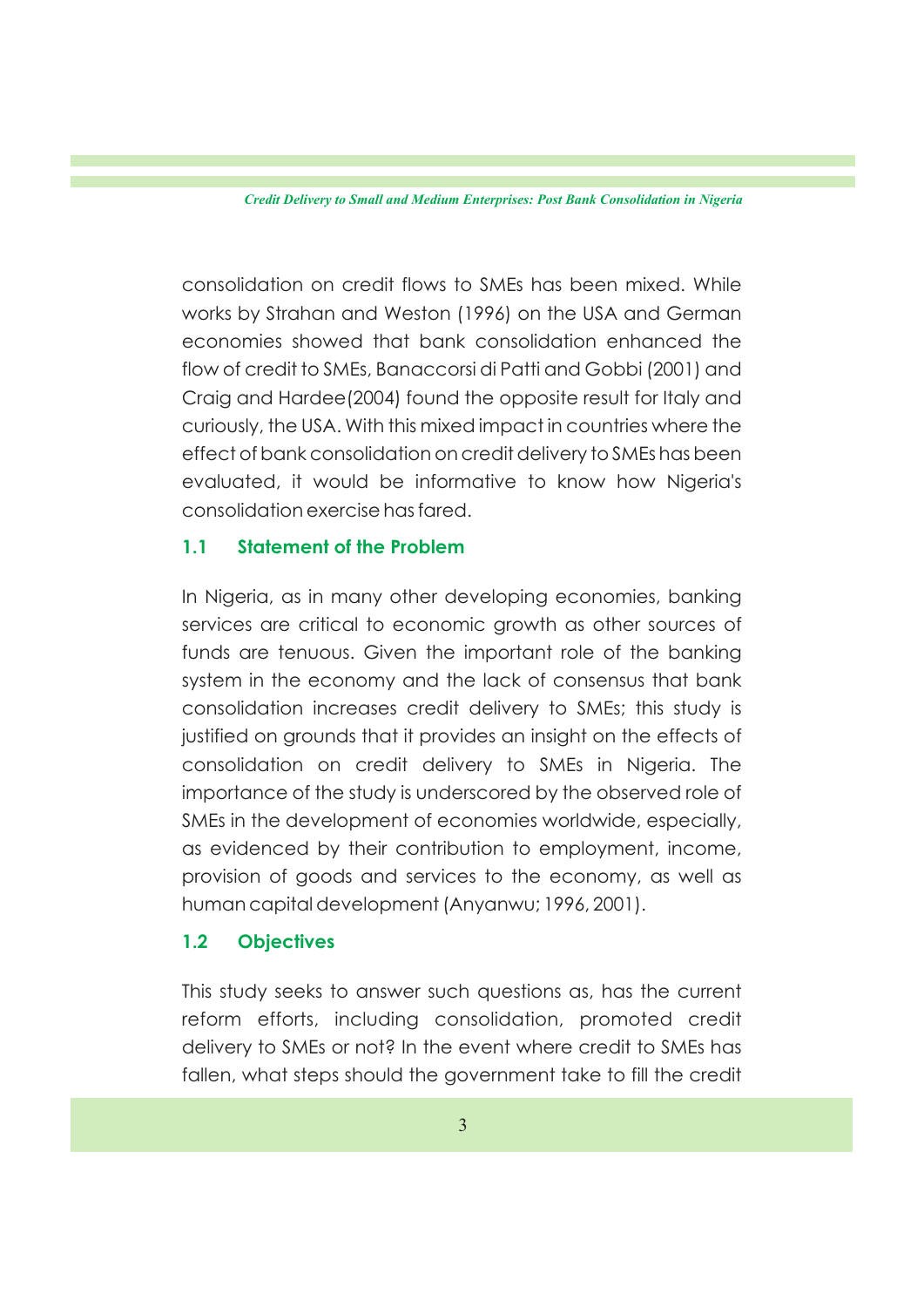consolidation on credit flows to SMEs has been mixed. While works by Strahan and Weston (1996) on the USA and German economies showed that bank consolidation enhanced the flow of credit to SMEs, Banaccorsi di Patti and Gobbi (2001) and Craig and Hardee(2004) found the opposite result for Italy and curiously, the USA. With this mixed impact in countries where the effect of bank consolidation on credit delivery to SMEs has been evaluated, it would be informative to know how Nigeria's consolidation exercise has fared.

#### **1.1 Statement of the Problem**

In Nigeria, as in many other developing economies, banking services are critical to economic growth as other sources of funds are tenuous. Given the important role of the banking system in the economy and the lack of consensus that bank consolidation increases credit delivery to SMEs; this study is justified on grounds that it provides an insight on the effects of consolidation on credit delivery to SMEs in Nigeria. The importance of the study is underscored by the observed role of SMEs in the development of economies worldwide, especially, as evidenced by their contribution to employment, income, provision of goods and services to the economy, as well as human capital development (Anyanwu; 1996, 2001).

#### **1.2 Objectives**

This study seeks to answer such questions as, has the current reform efforts, including consolidation, promoted credit delivery to SMEs or not? In the event where credit to SMEs has fallen, what steps should the government take to fill the credit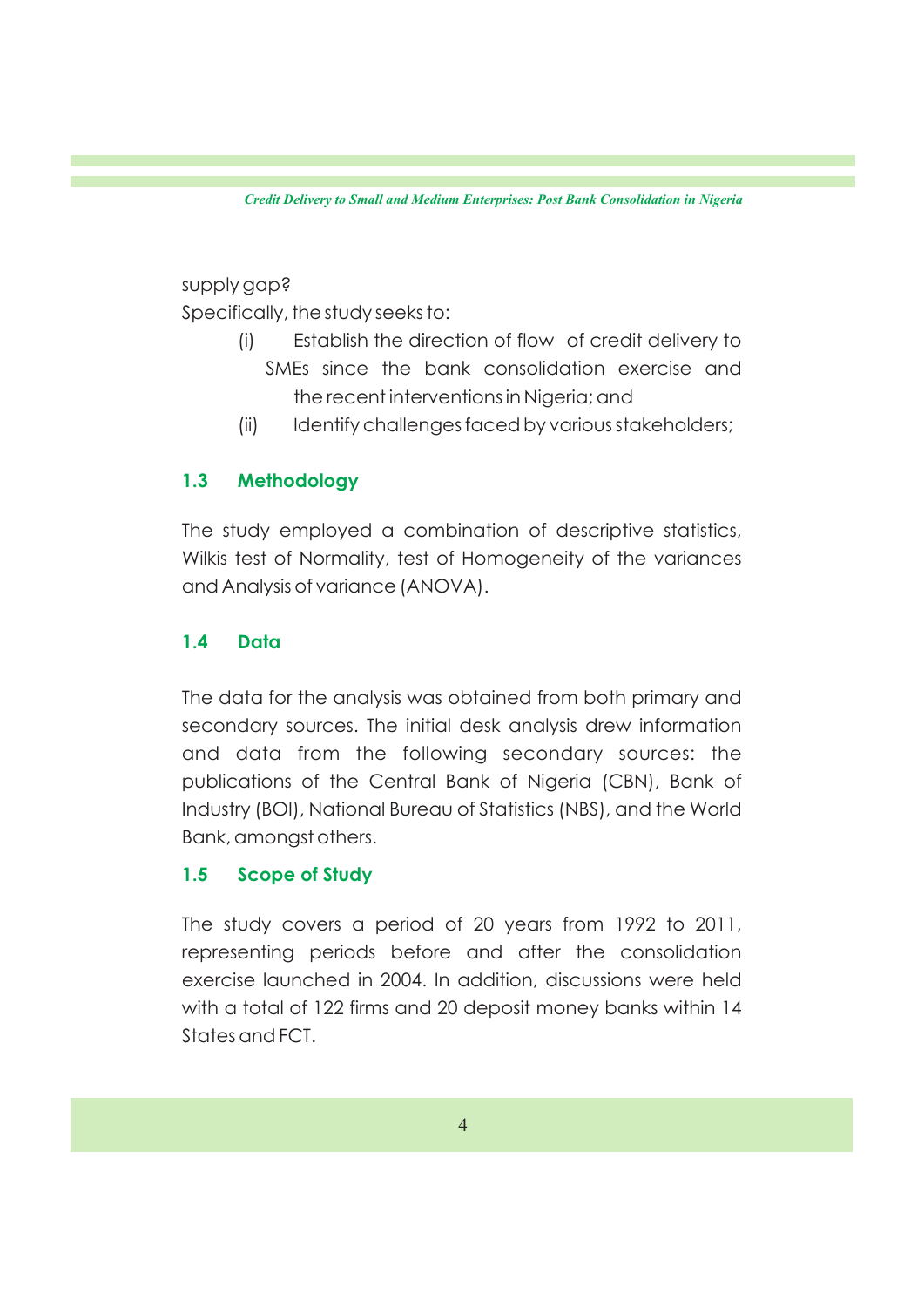supply gap?

Specifically, the study seeks to:

- (i) Establish the direction of flow of credit delivery to SMEs since the bank consolidation exercise and the recent interventions in Nigeria; and
- (ii) Identify challenges faced by various stakeholders;

## **1.3 Methodology**

The study employed a combination of descriptive statistics, Wilkis test of Normality, test of Homogeneity of the variances and Analysis of variance (ANOVA).

## **1.4 Data**

The data for the analysis was obtained from both primary and secondary sources. The initial desk analysis drew information and data from the following secondary sources: the publications of the Central Bank of Nigeria (CBN), Bank of Industry (BOI), National Bureau of Statistics (NBS), and the World Bank, amongst others.

### **1.5 Scope of Study**

The study covers a period of 20 years from 1992 to 2011, representing periods before and after the consolidation exercise launched in 2004. In addition, discussions were held with a total of 122 firms and 20 deposit money banks within 14 States and FCT.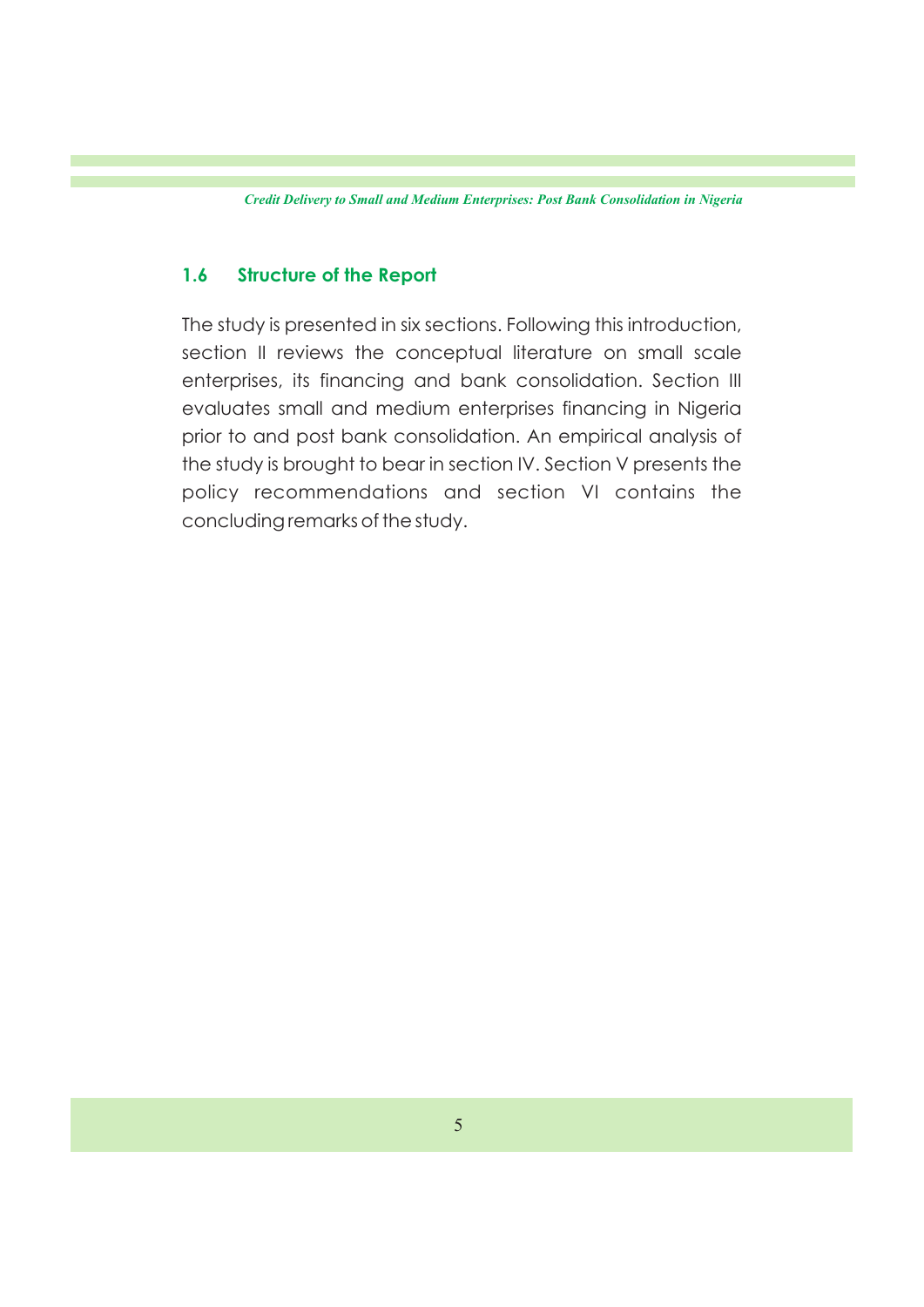#### **1.6 Structure of the Report**

The study is presented in six sections. Following this introduction, section II reviews the conceptual literature on small scale enterprises, its financing and bank consolidation. Section III evaluates small and medium enterprises financing in Nigeria prior to and post bank consolidation. An empirical analysis of the study is brought to bear in section IV. Section V presents the policy recommendations and section VI contains the concluding remarks of the study.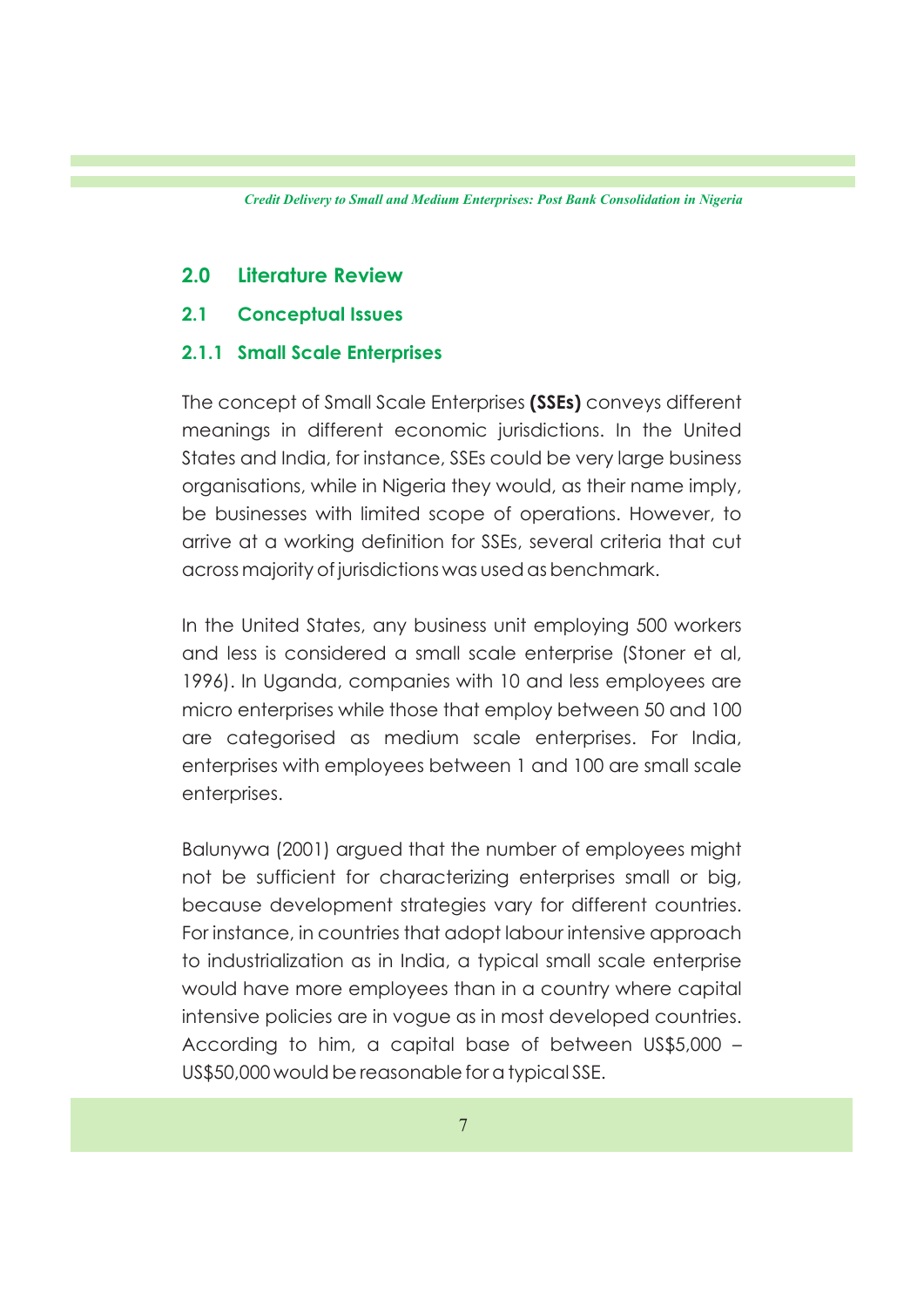#### **2.0 Literature Review**

#### **2.1 Conceptual Issues**

#### **2.1.1 Small Scale Enterprises**

The concept of Small Scale Enterprises **(SSEs)** conveys different meanings in different economic jurisdictions. In the United States and India, for instance, SSEs could be very large business organisations, while in Nigeria they would, as their name imply, be businesses with limited scope of operations. However, to arrive at a working definition for SSEs, several criteria that cut across majority of jurisdictions was used as benchmark.

In the United States, any business unit employing 500 workers and less is considered a small scale enterprise (Stoner et al, 1996). In Uganda, companies with 10 and less employees are micro enterprises while those that employ between 50 and 100 are categorised as medium scale enterprises. For India, enterprises with employees between 1 and 100 are small scale enterprises.

Balunywa (2001) argued that the number of employees might not be sufficient for characterizing enterprises small or big, because development strategies vary for different countries. For instance, in countries that adopt labour intensive approach to industrialization as in India, a typical small scale enterprise would have more employees than in a country where capital intensive policies are in vogue as in most developed countries. According to him, a capital base of between US\$5,000 – US\$50,000 would be reasonable for a typical SSE.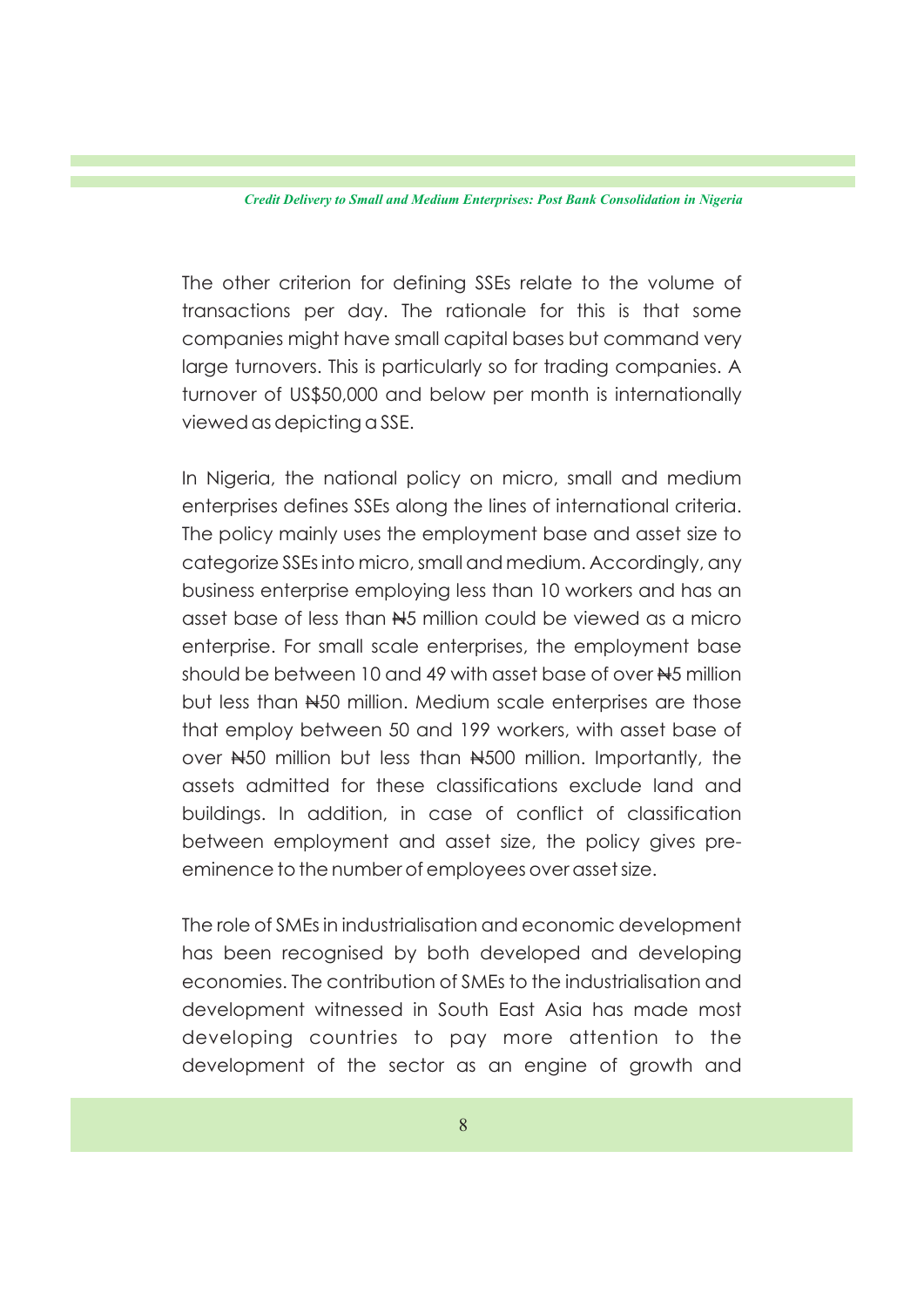The other criterion for defining SSEs relate to the volume of transactions per day. The rationale for this is that some companies might have small capital bases but command very large turnovers. This is particularly so for trading companies. A turnover of US\$50,000 and below per month is internationally viewed as depicting a SSE.

In Nigeria, the national policy on micro, small and medium enterprises defines SSEs along the lines of international criteria. The policy mainly uses the employment base and asset size to categorize SSEs into micro, small and medium. Accordingly, any business enterprise employing less than 10 workers and has an asset base of less than  $H_5$  million could be viewed as a micro enterprise. For small scale enterprises, the employment base should be between 10 and 49 with asset base of over <del>N</del>5 million but less than N50 million. Medium scale enterprises are those that employ between 50 and 199 workers, with asset base of over N50 million but less than N500 million. Importantly, the assets admitted for these classifications exclude land and buildings. In addition, in case of conflict of classification between employment and asset size, the policy gives preeminence to the number of employees over asset size.

The role of SMEs in industrialisation and economic development has been recognised by both developed and developing economies. The contribution of SMEs to the industrialisation and development witnessed in South East Asia has made most developing countries to pay more attention to the development of the sector as an engine of growth and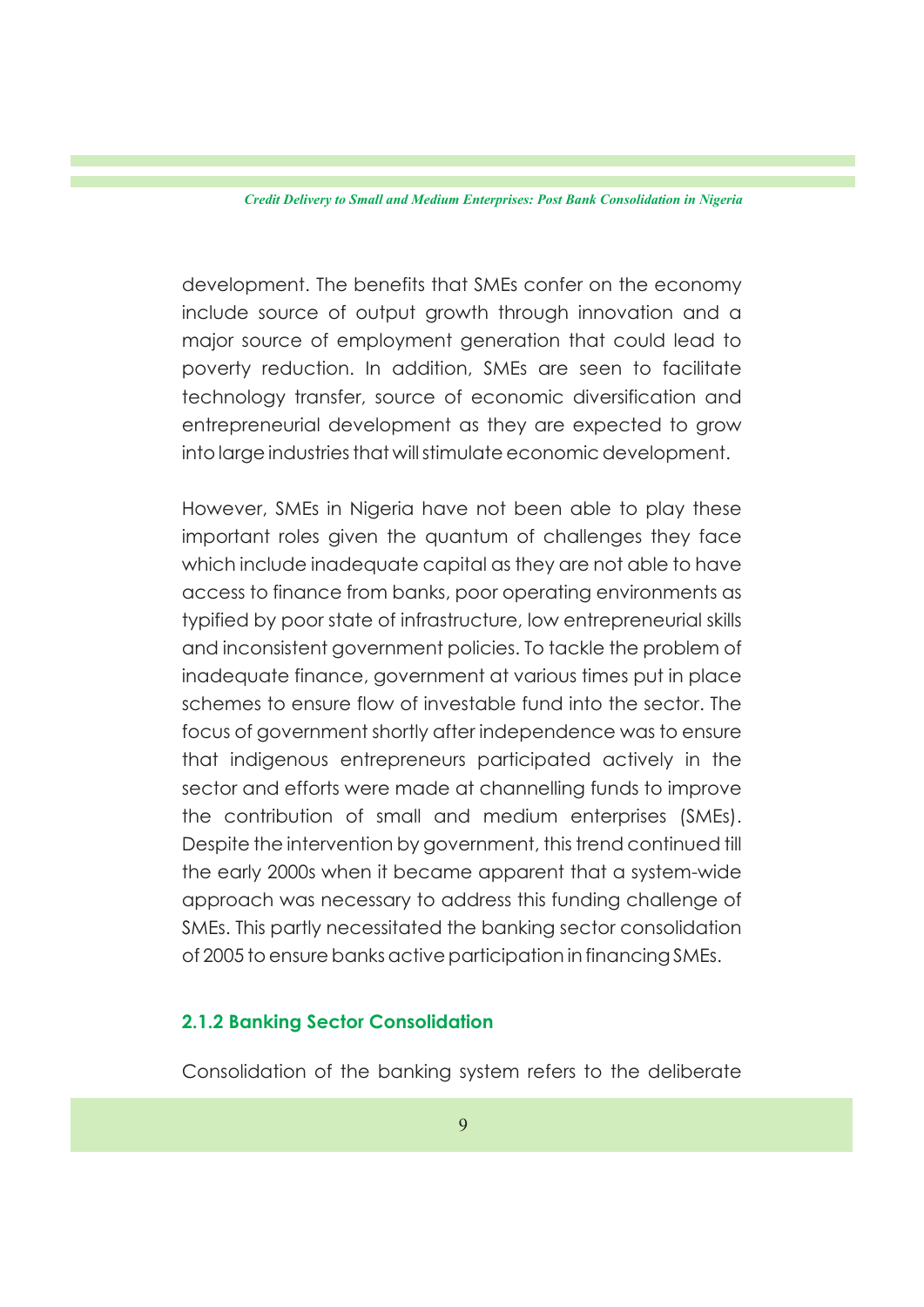development. The benefits that SMEs confer on the economy include source of output growth through innovation and a major source of employment generation that could lead to poverty reduction. In addition, SMEs are seen to facilitate technology transfer, source of economic diversification and entrepreneurial development as they are expected to grow into large industries that will stimulate economic development.

However, SMEs in Nigeria have not been able to play these important roles given the quantum of challenges they face which include inadequate capital as they are not able to have access to finance from banks, poor operating environments as typified by poor state of infrastructure, low entrepreneurial skills and inconsistent government policies. To tackle the problem of inadequate finance, government at various times put in place schemes to ensure flow of investable fund into the sector. The focus of government shortly after independence was to ensure that indigenous entrepreneurs participated actively in the sector and efforts were made at channelling funds to improve the contribution of small and medium enterprises (SMEs). Despite the intervention by government, this trend continued till the early 2000s when it became apparent that a system-wide approach was necessary to address this funding challenge of SMEs. This partly necessitated the banking sector consolidation of 2005 to ensure banks active participation in financing SMEs.

#### **2.1.2 Banking Sector Consolidation**

Consolidation of the banking system refers to the deliberate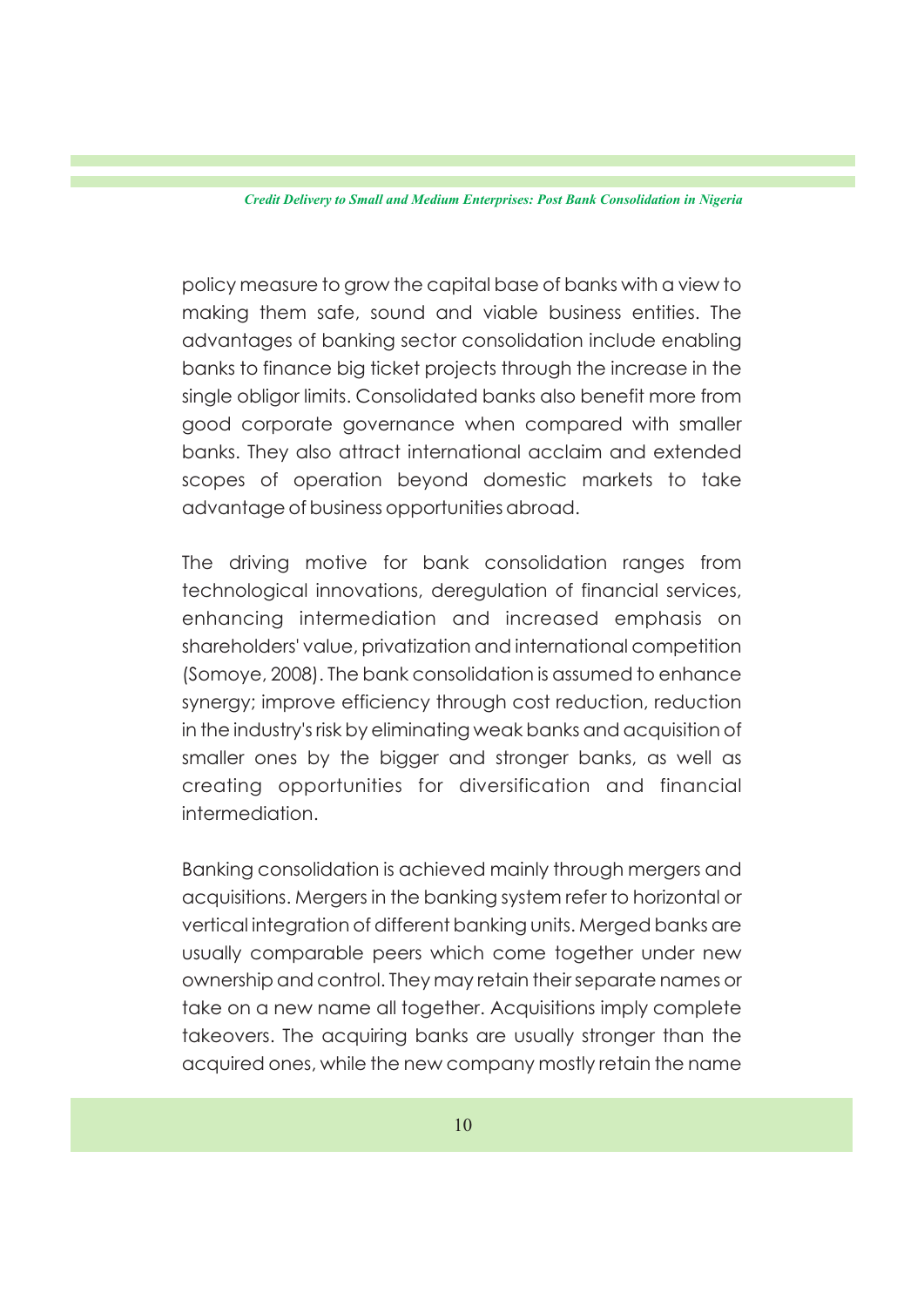policy measure to grow the capital base of banks with a view to making them safe, sound and viable business entities. The advantages of banking sector consolidation include enabling banks to finance big ticket projects through the increase in the single obligor limits. Consolidated banks also benefit more from good corporate governance when compared with smaller banks. They also attract international acclaim and extended scopes of operation beyond domestic markets to take advantage of business opportunities abroad.

The driving motive for bank consolidation ranges from technological innovations, deregulation of financial services, enhancing intermediation and increased emphasis on shareholders' value, privatization and international competition (Somoye, 2008). The bank consolidation is assumed to enhance synergy; improve efficiency through cost reduction, reduction in the industry's risk by eliminating weak banks and acquisition of smaller ones by the bigger and stronger banks, as well as creating opportunities for diversification and financial intermediation.

Banking consolidation is achieved mainly through mergers and acquisitions. Mergers in the banking system refer to horizontal or vertical integration of different banking units. Merged banks are usually comparable peers which come together under new ownership and control. They may retain their separate names or take on a new name all together. Acquisitions imply complete takeovers. The acquiring banks are usually stronger than the acquired ones, while the new company mostly retain the name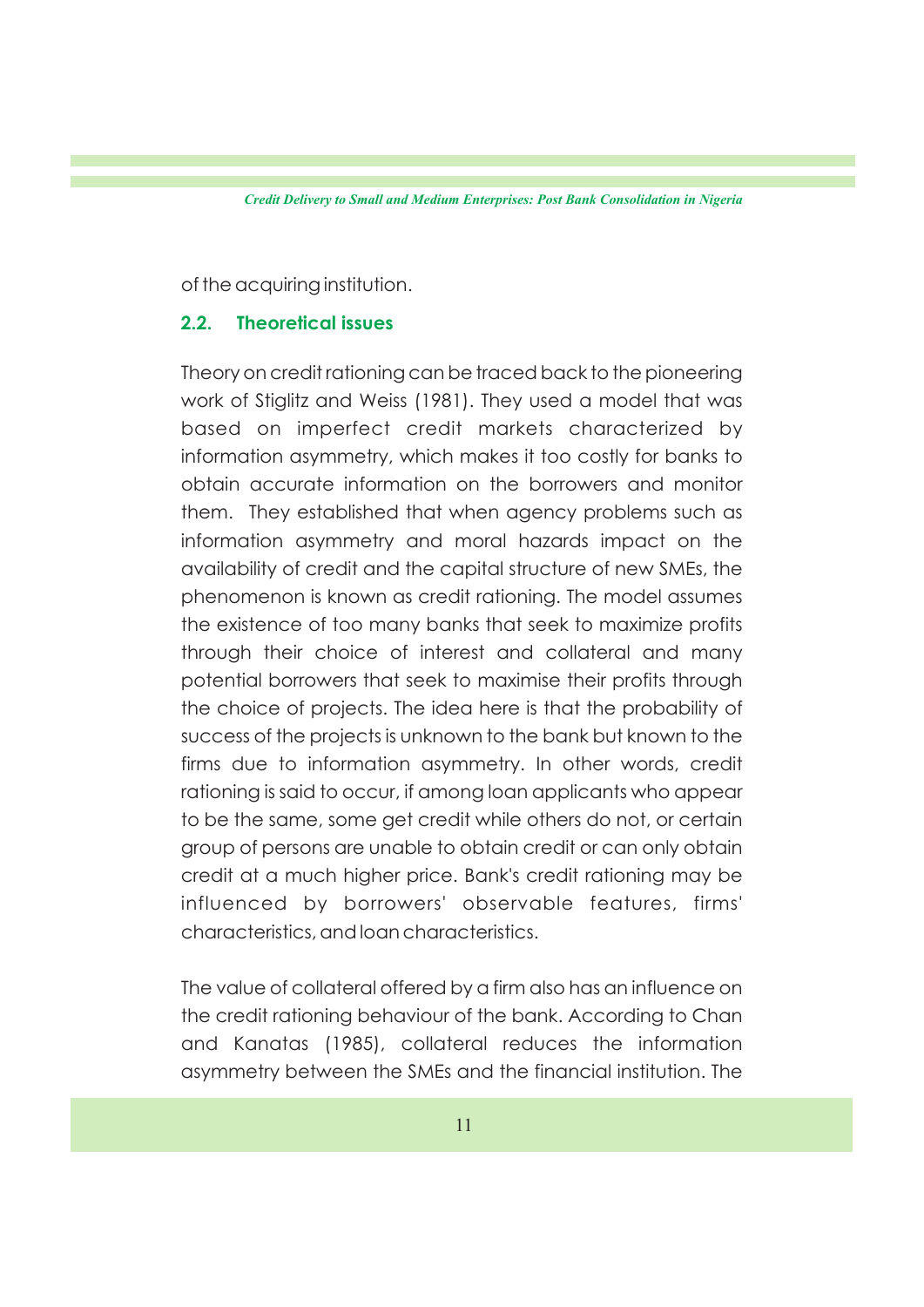of the acquiring institution.

#### **2.2. Theoretical issues**

Theory on credit rationing can be traced back to the pioneering work of Stiglitz and Weiss (1981). They used a model that was based on imperfect credit markets characterized by information asymmetry, which makes it too costly for banks to obtain accurate information on the borrowers and monitor them. They established that when agency problems such as information asymmetry and moral hazards impact on the availability of credit and the capital structure of new SMEs, the phenomenon is known as credit rationing. The model assumes the existence of too many banks that seek to maximize profits through their choice of interest and collateral and many potential borrowers that seek to maximise their profits through the choice of projects. The idea here is that the probability of success of the projects is unknown to the bank but known to the firms due to information asymmetry. In other words, credit rationing is said to occur, if among loan applicants who appear to be the same, some get credit while others do not, or certain group of persons are unable to obtain credit or can only obtain credit at a much higher price. Bank's credit rationing may be influenced by borrowers' observable features, firms' characteristics, and loan characteristics.

The value of collateral offered by a firm also has an influence on the credit rationing behaviour of the bank. According to Chan and Kanatas (1985), collateral reduces the information asymmetry between the SMEs and the financial institution. The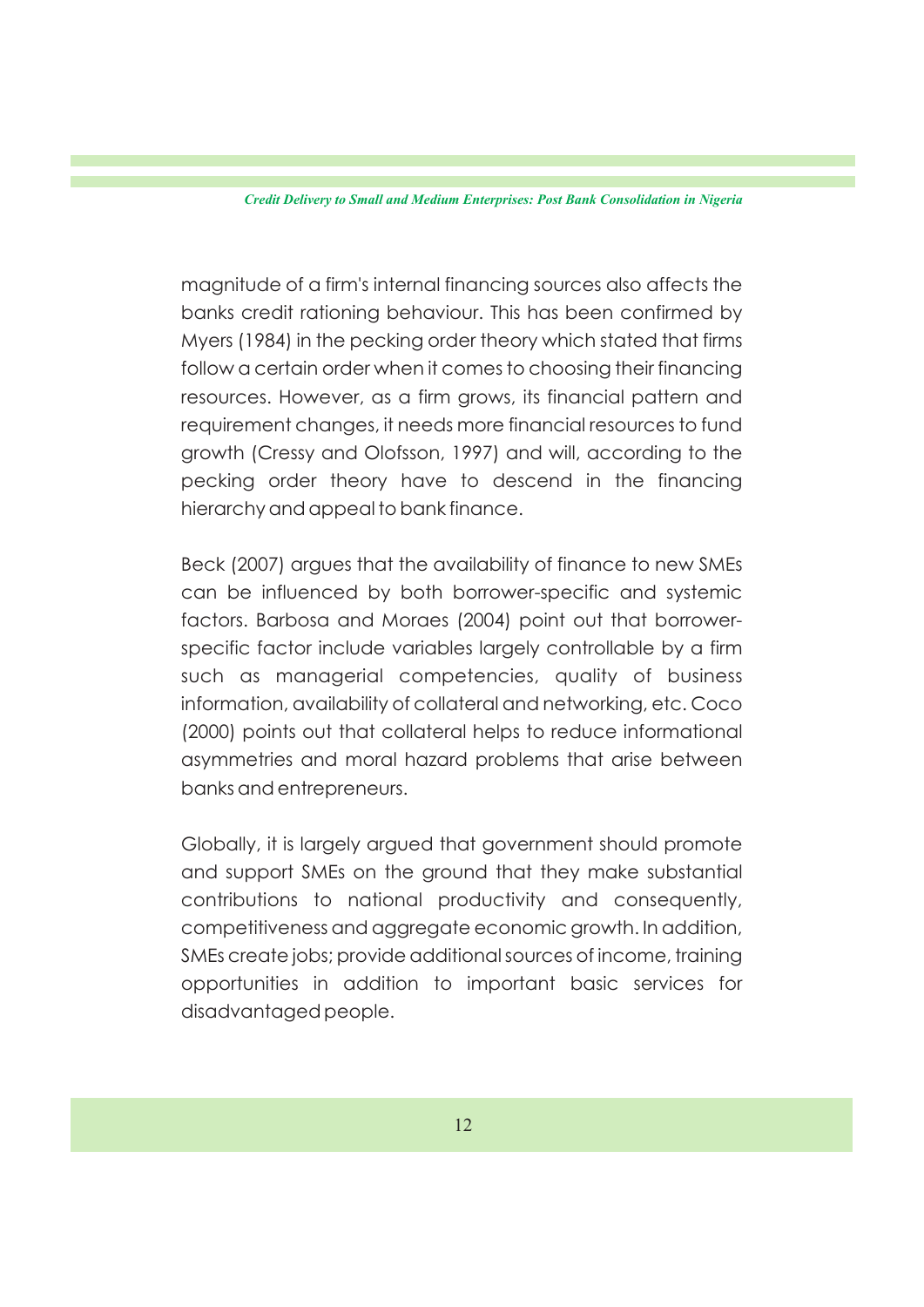magnitude of a firm's internal financing sources also affects the banks credit rationing behaviour. This has been confirmed by Myers (1984) in the pecking order theory which stated that firms follow a certain order when it comes to choosing their financing resources. However, as a firm grows, its financial pattern and requirement changes, it needs more financial resources to fund growth (Cressy and Olofsson, 1997) and will, according to the pecking order theory have to descend in the financing hierarchy and appeal to bank finance.

Beck (2007) argues that the availability of finance to new SMEs can be influenced by both borrower-specific and systemic factors. Barbosa and Moraes (2004) point out that borrowerspecific factor include variables largely controllable by a firm such as managerial competencies, quality of business information, availability of collateral and networking, etc. Coco (2000) points out that collateral helps to reduce informational asymmetries and moral hazard problems that arise between banks and entrepreneurs.

Globally, it is largely argued that government should promote and support SMEs on the ground that they make substantial contributions to national productivity and consequently, competitiveness and aggregate economic growth. In addition, SMEs create jobs; provide additional sources of income, training opportunities in addition to important basic services for disadvantaged people.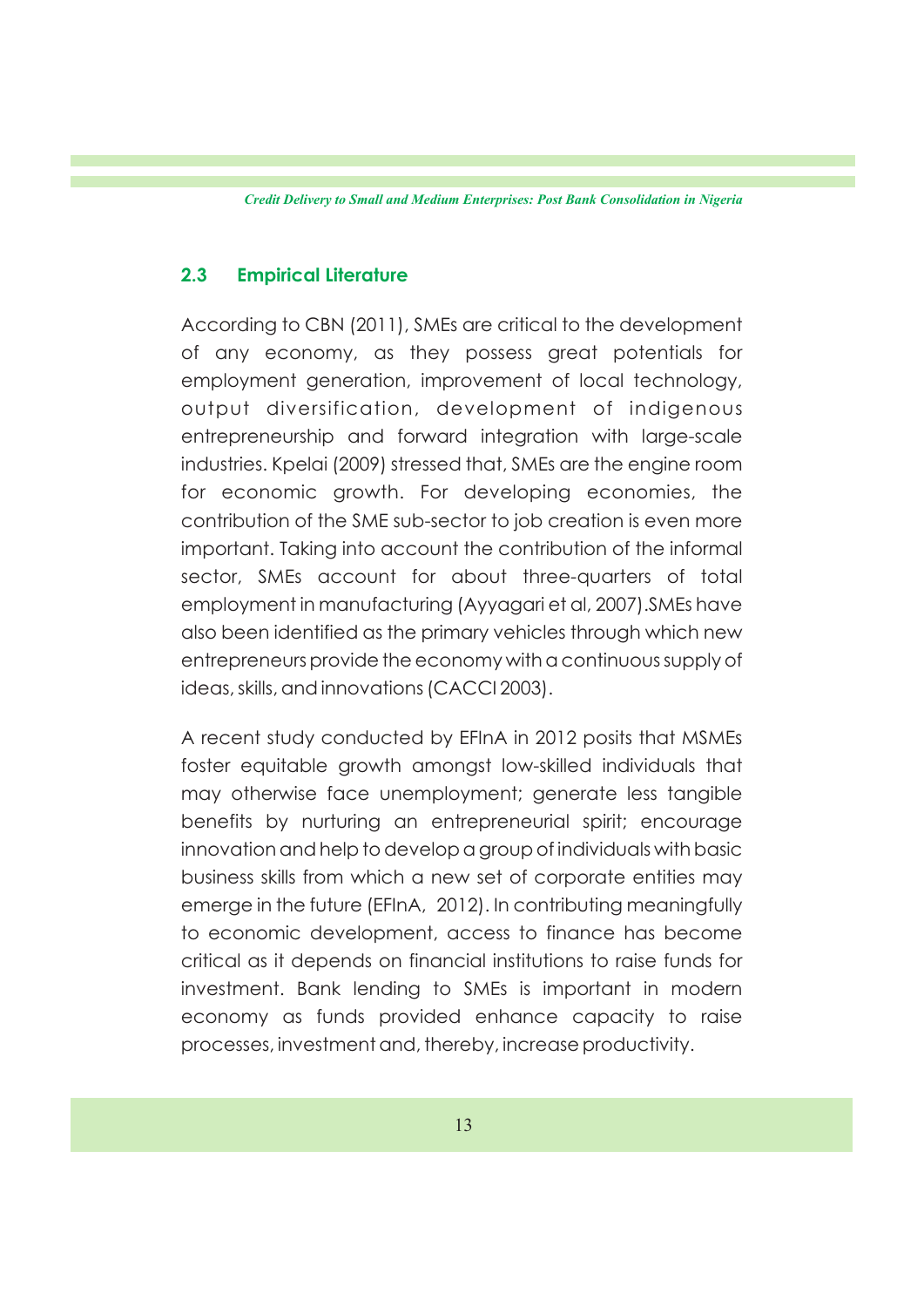#### **2.3 Empirical Literature**

According to CBN (2011), SMEs are critical to the development of any economy, as they possess great potentials for employment generation, improvement of local technology, output diversification, development of indigenous entrepreneurship and forward integration with large-scale industries. Kpelai (2009) stressed that, SMEs are the engine room for economic growth. For developing economies, the contribution of the SME sub-sector to job creation is even more important. Taking into account the contribution of the informal sector, SMEs account for about three-quarters of total employment in manufacturing (Ayyagari et al, 2007).SMEs have also been identified as the primary vehicles through which new entrepreneurs provide the economy with a continuous supply of ideas, skills, and innovations (CACCI 2003).

A recent study conducted by EFInA in 2012 posits that MSMEs foster equitable growth amongst low-skilled individuals that may otherwise face unemployment; generate less tangible benefits by nurturing an entrepreneurial spirit; encourage innovation and help to develop a group of individuals with basic business skills from which a new set of corporate entities may emerge in the future (EFInA, 2012). In contributing meaningfully to economic development, access to finance has become critical as it depends on financial institutions to raise funds for investment. Bank lending to SMEs is important in modern economy as funds provided enhance capacity to raise processes, investment and, thereby, increase productivity.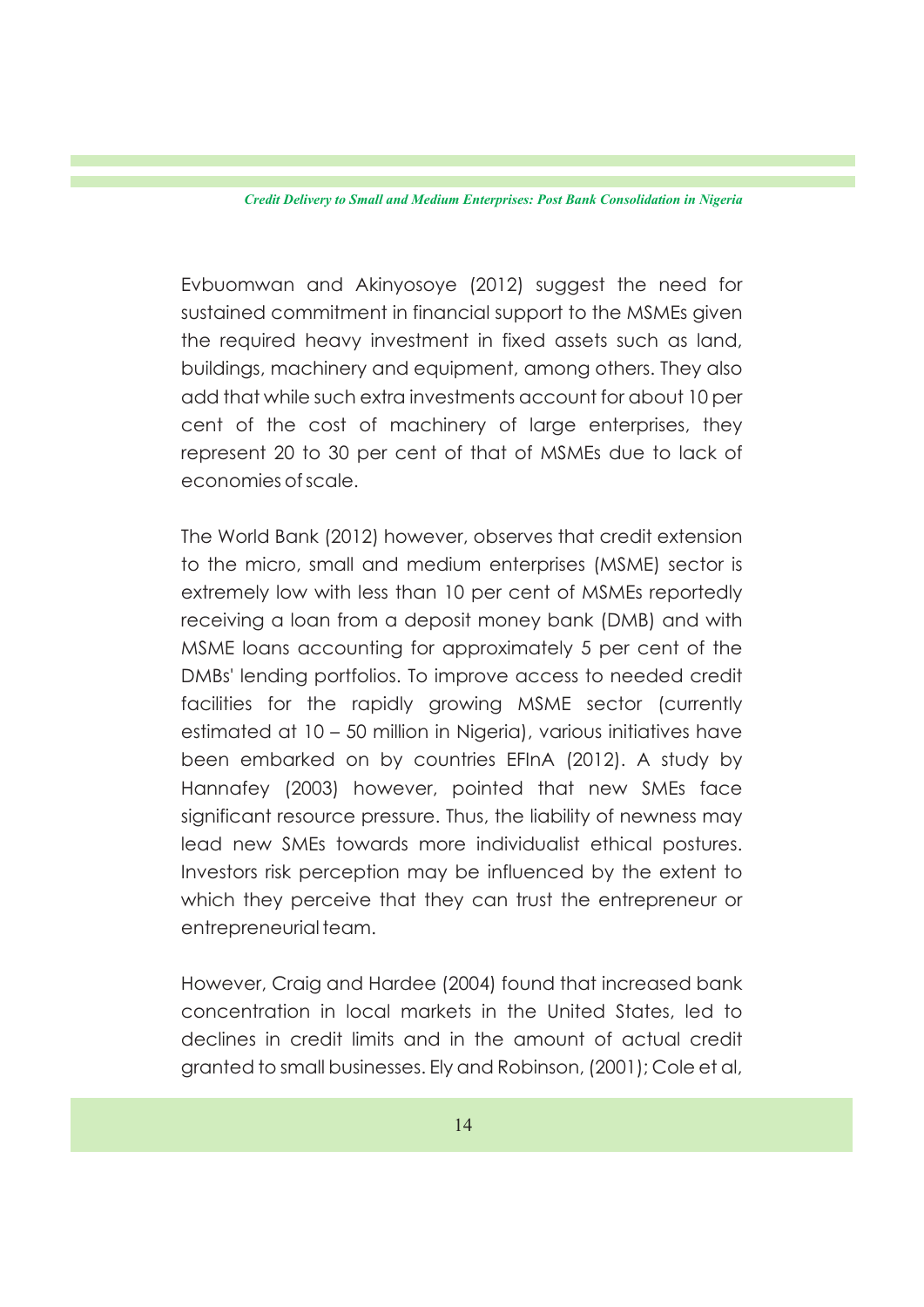Evbuomwan and Akinyosoye (2012) suggest the need for sustained commitment in financial support to the MSMEs given the required heavy investment in fixed assets such as land, buildings, machinery and equipment, among others. They also add that while such extra investments account for about 10 per cent of the cost of machinery of large enterprises, they represent 20 to 30 per cent of that of MSMEs due to lack of economies of scale.

The World Bank (2012) however, observes that credit extension to the micro, small and medium enterprises (MSME) sector is extremely low with less than 10 per cent of MSMEs reportedly receiving a loan from a deposit money bank (DMB) and with MSME loans accounting for approximately 5 per cent of the DMBs' lending portfolios. To improve access to needed credit facilities for the rapidly growing MSME sector (currently estimated at 10 – 50 million in Nigeria), various initiatives have been embarked on by countries EFInA (2012). A study by Hannafey (2003) however, pointed that new SMEs face significant resource pressure. Thus, the liability of newness may lead new SMEs towards more individualist ethical postures. Investors risk perception may be influenced by the extent to which they perceive that they can trust the entrepreneur or entrepreneurial team.

However, Craig and Hardee (2004) found that increased bank concentration in local markets in the United States, led to declines in credit limits and in the amount of actual credit granted to small businesses. Ely and Robinson, (2001); Cole et al,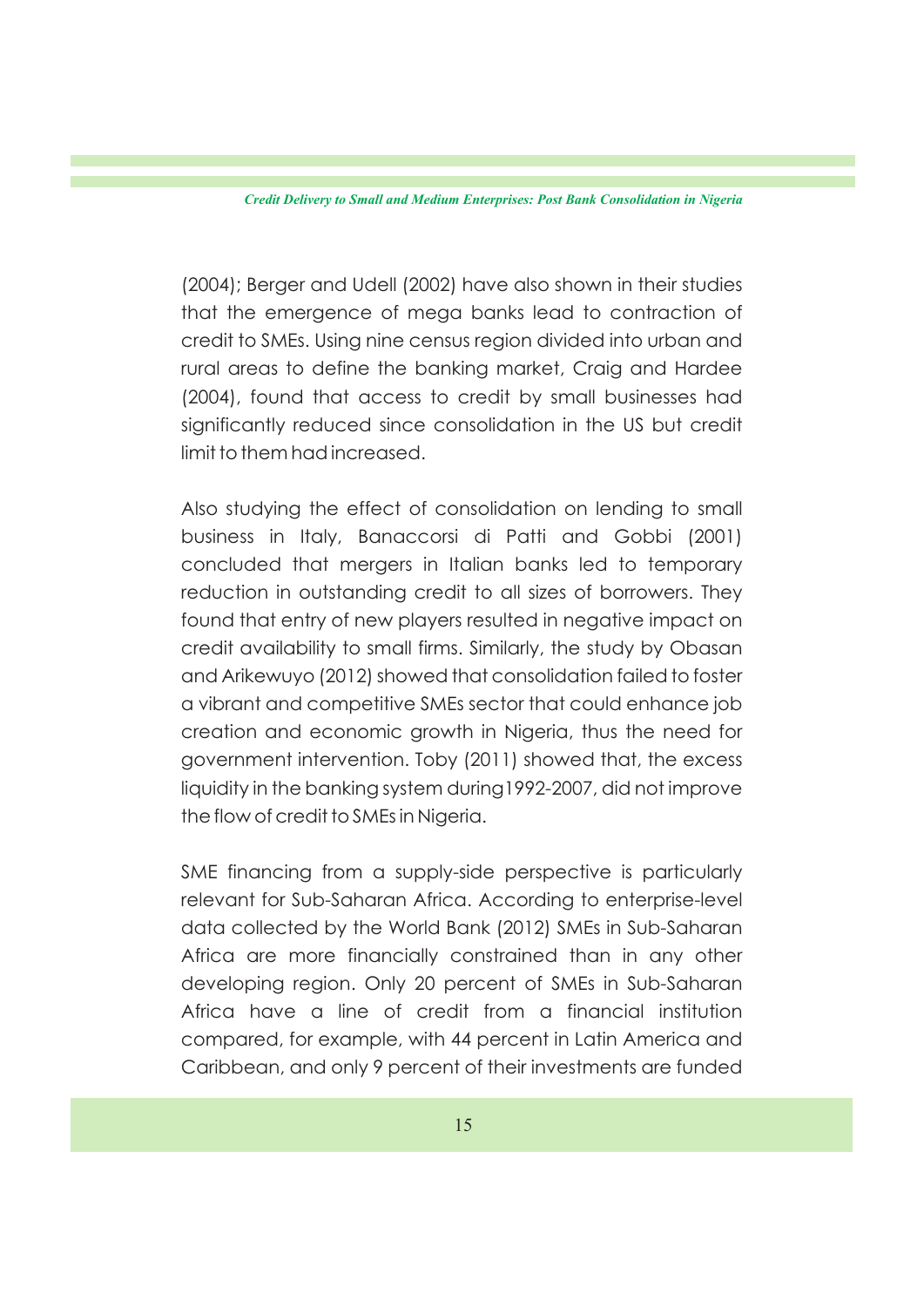(2004); Berger and Udell (2002) have also shown in their studies that the emergence of mega banks lead to contraction of credit to SMEs. Using nine census region divided into urban and rural areas to define the banking market, Craig and Hardee (2004), found that access to credit by small businesses had significantly reduced since consolidation in the US but credit limit to them had increased.

Also studying the effect of consolidation on lending to small business in Italy, Banaccorsi di Patti and Gobbi (2001) concluded that mergers in Italian banks led to temporary reduction in outstanding credit to all sizes of borrowers. They found that entry of new players resulted in negative impact on credit availability to small firms. Similarly, the study by Obasan and Arikewuyo (2012) showed that consolidation failed to foster a vibrant and competitive SMEs sector that could enhance job creation and economic growth in Nigeria, thus the need for government intervention. Toby (2011) showed that, the excess liquidity in the banking system during1992-2007, did not improve the flow of credit to SMEs in Nigeria.

SME financing from a supply-side perspective is particularly relevant for Sub-Saharan Africa. According to enterprise-level data collected by the World Bank (2012) SMEs in Sub-Saharan Africa are more financially constrained than in any other developing region. Only 20 percent of SMEs in Sub-Saharan Africa have a line of credit from a financial institution compared, for example, with 44 percent in Latin America and Caribbean, and only 9 percent of their investments are funded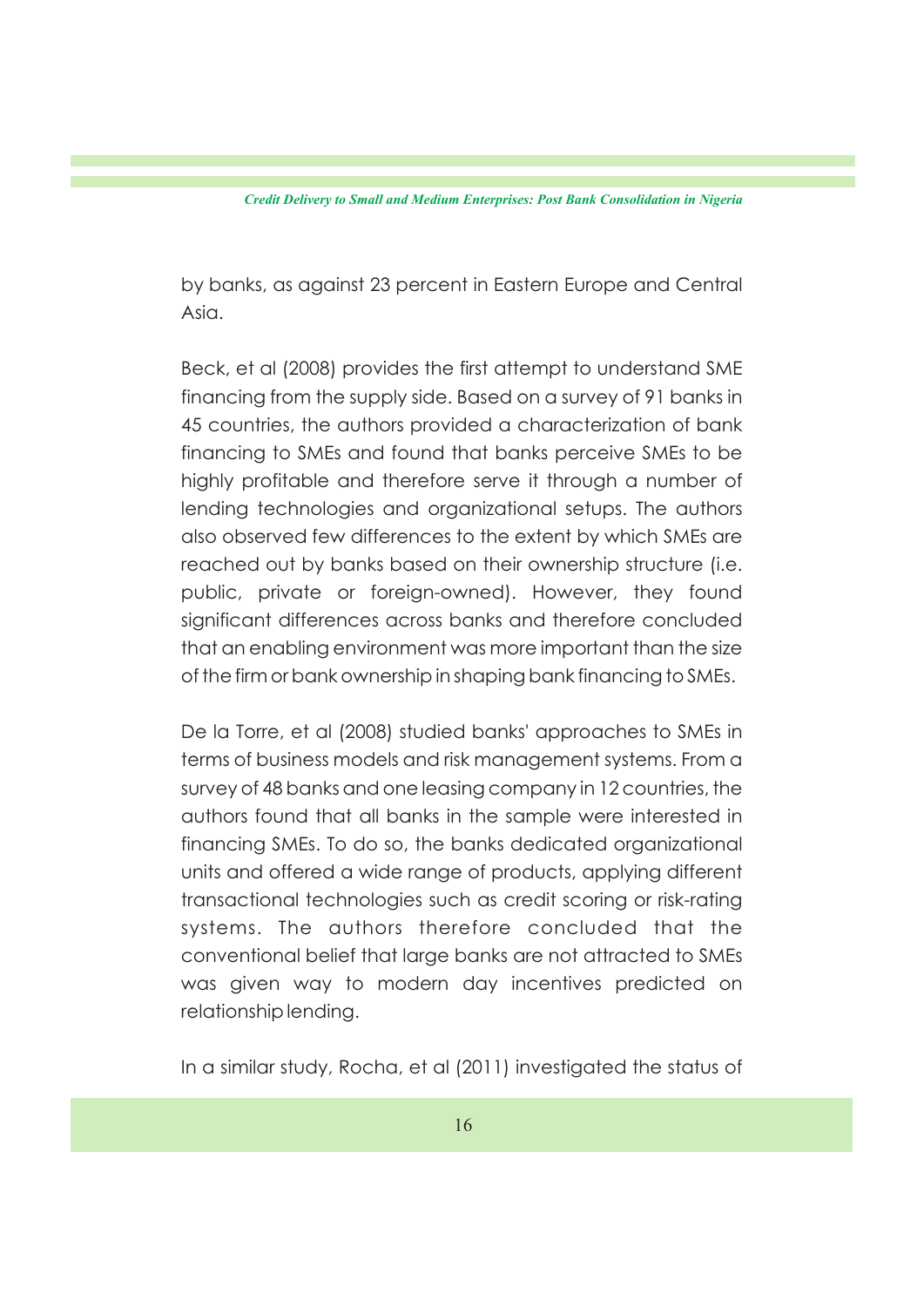by banks, as against 23 percent in Eastern Europe and Central Asia.

Beck, et al (2008) provides the first attempt to understand SME financing from the supply side. Based on a survey of 91 banks in 45 countries, the authors provided a characterization of bank financing to SMEs and found that banks perceive SMEs to be highly profitable and therefore serve it through a number of lending technologies and organizational setups. The authors also observed few differences to the extent by which SMEs are reached out by banks based on their ownership structure (i.e. public, private or foreign-owned). However, they found significant differences across banks and therefore concluded that an enabling environment was more important than the size of the firm or bank ownership in shaping bank financing to SMEs.

De la Torre, et al (2008) studied banks' approaches to SMEs in terms of business models and risk management systems. From a survey of 48 banks and one leasing company in 12 countries, the authors found that all banks in the sample were interested in financing SMEs. To do so, the banks dedicated organizational units and offered a wide range of products, applying different transactional technologies such as credit scoring or risk-rating systems. The authors therefore concluded that the conventional belief that large banks are not attracted to SMEs was given way to modern day incentives predicted on relationship lending.

In a similar study, Rocha, et al (2011) investigated the status of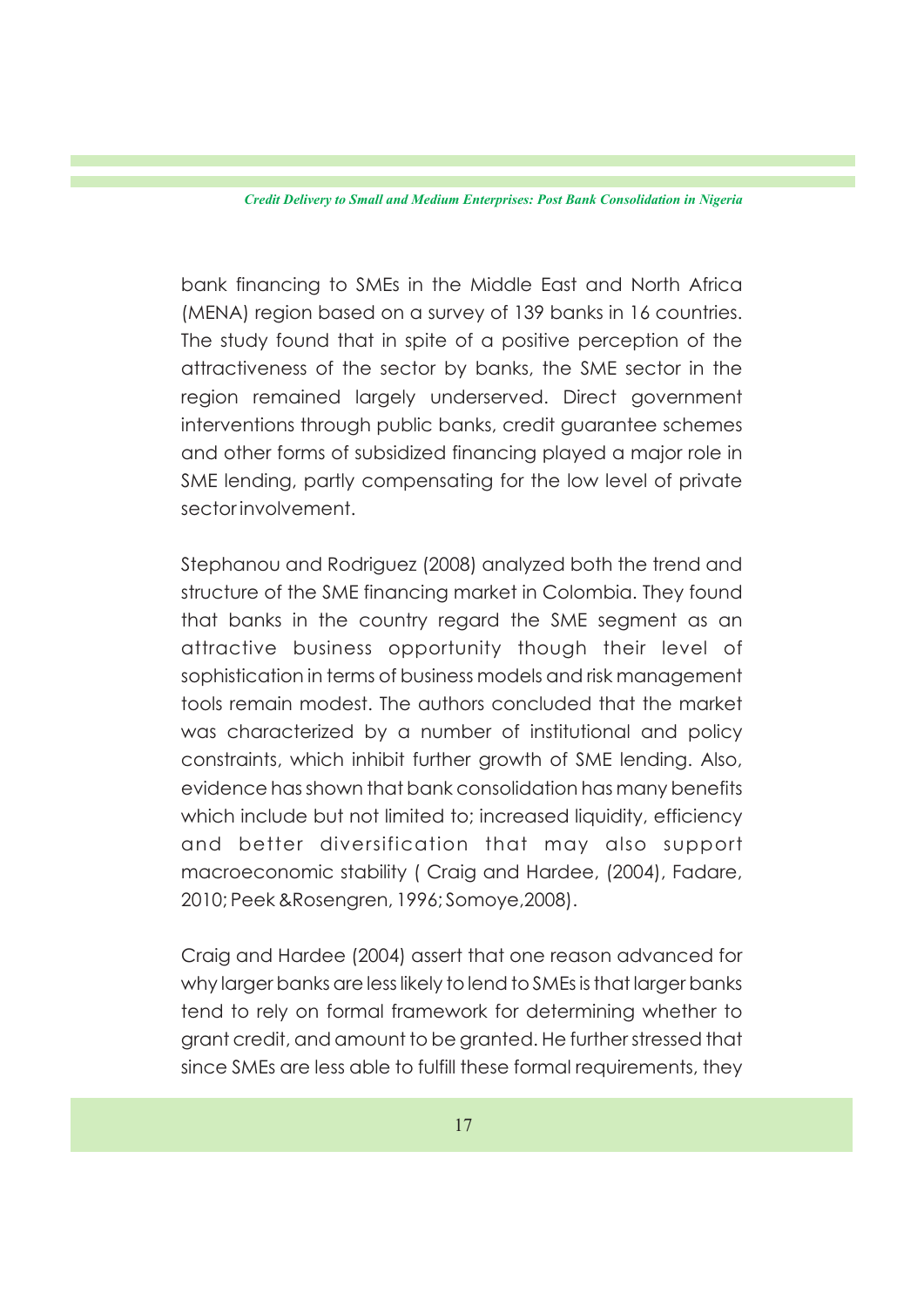bank financing to SMEs in the Middle East and North Africa (MENA) region based on a survey of 139 banks in 16 countries. The study found that in spite of a positive perception of the attractiveness of the sector by banks, the SME sector in the region remained largely underserved. Direct government interventions through public banks, credit guarantee schemes and other forms of subsidized financing played a major role in SME lending, partly compensating for the low level of private sector involvement.

Stephanou and Rodriguez (2008) analyzed both the trend and structure of the SME financing market in Colombia. They found that banks in the country regard the SME segment as an attractive business opportunity though their level of sophistication in terms of business models and risk management tools remain modest. The authors concluded that the market was characterized by a number of institutional and policy constraints, which inhibit further growth of SME lending. Also, evidence has shown that bank consolidation has many benefits which include but not limited to; increased liquidity, efficiency and better diversification that may also support macroeconomic stability ( Craig and Hardee, (2004), Fadare, 2010; Peek &Rosengren, 1996; Somoye,2008).

Craig and Hardee (2004) assert that one reason advanced for why larger banks are less likely to lend to SMEs is that larger banks tend to rely on formal framework for determining whether to grant credit, and amount to be granted. He further stressed that since SMEs are less able to fulfill these formal requirements, they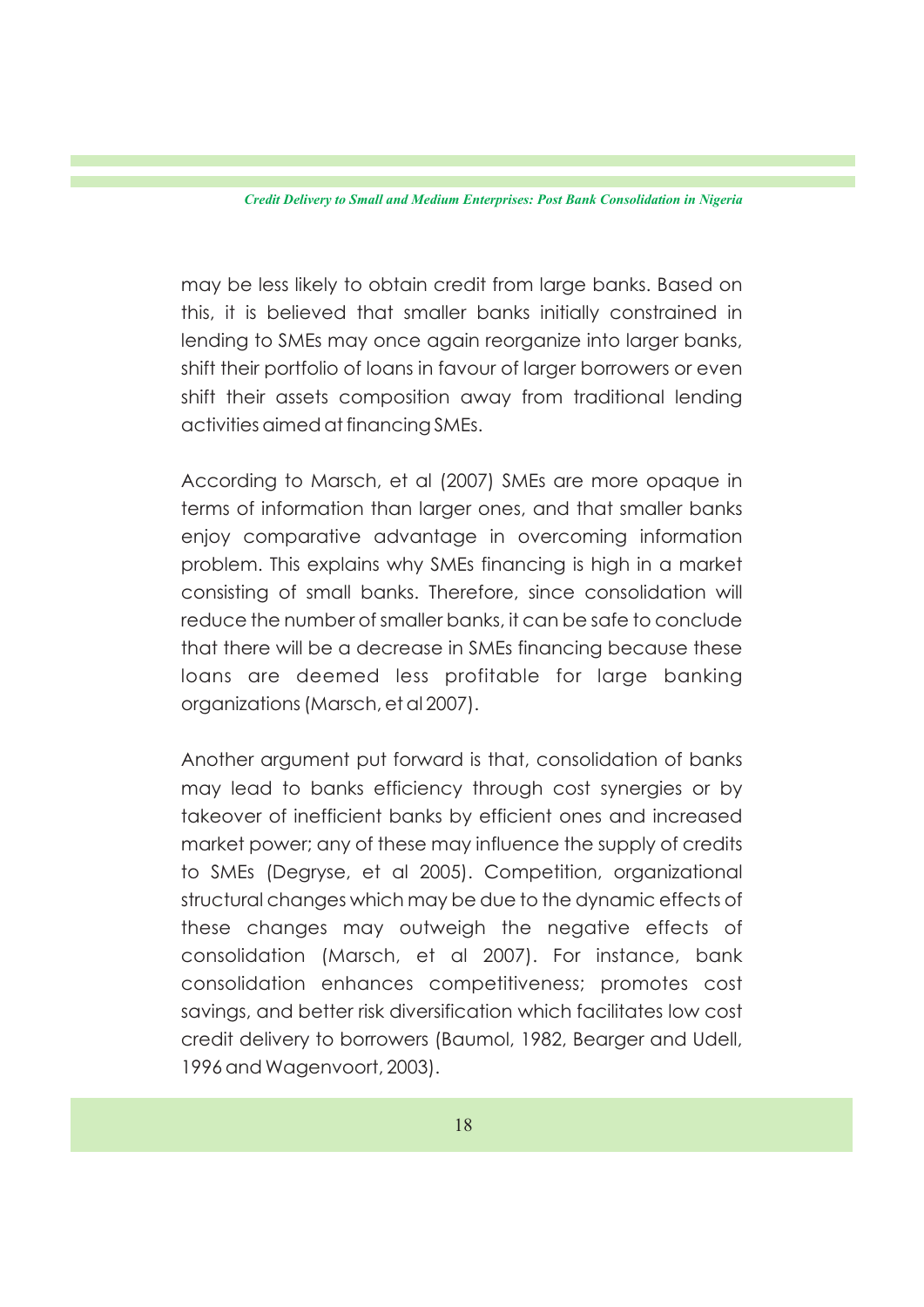may be less likely to obtain credit from large banks. Based on this, it is believed that smaller banks initially constrained in lending to SMEs may once again reorganize into larger banks, shift their portfolio of loans in favour of larger borrowers or even shift their assets composition away from traditional lending activities aimed at financing SMEs.

According to Marsch, et al (2007) SMEs are more opaque in terms of information than larger ones, and that smaller banks enjoy comparative advantage in overcoming information problem. This explains why SMEs financing is high in a market consisting of small banks. Therefore, since consolidation will reduce the number of smaller banks, it can be safe to conclude that there will be a decrease in SMEs financing because these loans are deemed less profitable for large banking organizations (Marsch, et al 2007).

Another argument put forward is that, consolidation of banks may lead to banks efficiency through cost synergies or by takeover of inefficient banks by efficient ones and increased market power; any of these may influence the supply of credits to SMEs (Degryse, et al 2005). Competition, organizational structural changes which may be due to the dynamic effects of these changes may outweigh the negative effects of consolidation (Marsch, et al 2007). For instance, bank consolidation enhances competitiveness; promotes cost savings, and better risk diversification which facilitates low cost credit delivery to borrowers (Baumol, 1982, Bearger and Udell, 1996 and Wagenvoort, 2003).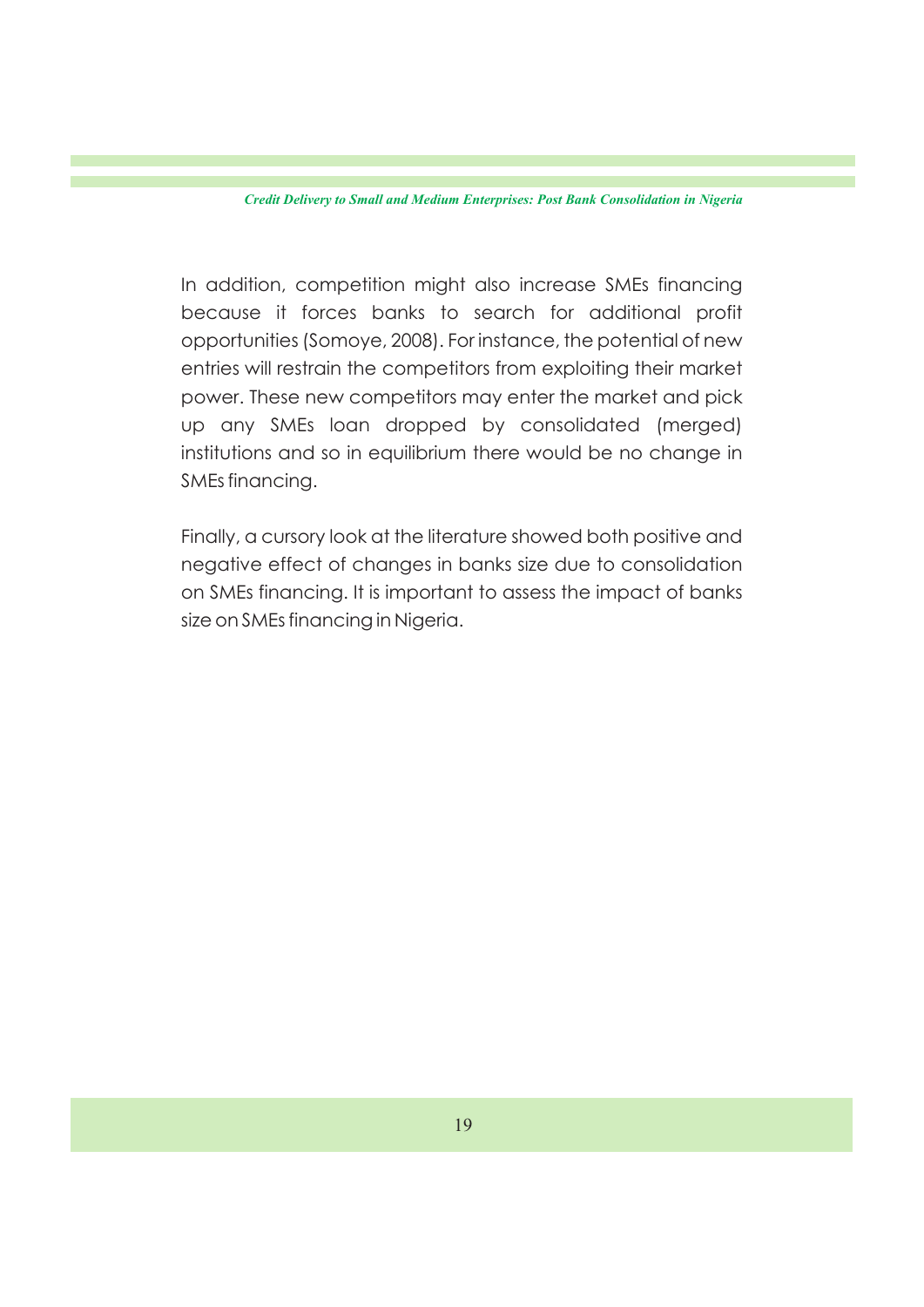In addition, competition might also increase SMEs financing because it forces banks to search for additional profit opportunities (Somoye, 2008). For instance, the potential of new entries will restrain the competitors from exploiting their market power. These new competitors may enter the market and pick up any SMEs loan dropped by consolidated (merged) institutions and so in equilibrium there would be no change in SMEs financing.

Finally, a cursory look at the literature showed both positive and negative effect of changes in banks size due to consolidation on SMEs financing. It is important to assess the impact of banks size on SMEs financing in Nigeria.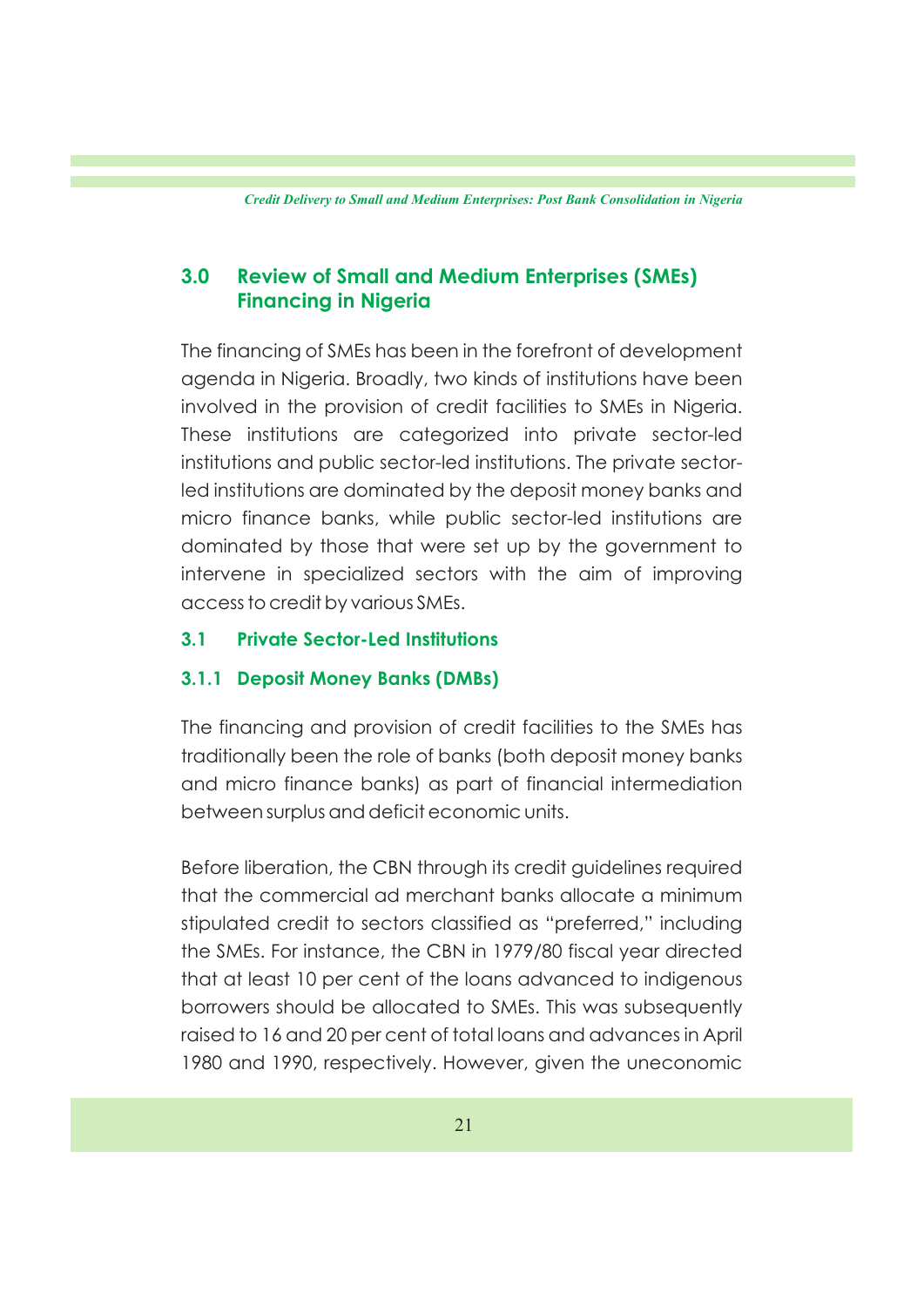### **3.0 Review of Small and Medium Enterprises (SMEs) Financing in Nigeria**

The financing of SMEs has been in the forefront of development agenda in Nigeria. Broadly, two kinds of institutions have been involved in the provision of credit facilities to SMEs in Nigeria. These institutions are categorized into private sector-led institutions and public sector-led institutions. The private sectorled institutions are dominated by the deposit money banks and micro finance banks, while public sector-led institutions are dominated by those that were set up by the government to intervene in specialized sectors with the aim of improving access to credit by various SMEs.

#### **3.1 Private Sector-Led Institutions**

#### **3.1.1 Deposit Money Banks (DMBs)**

The financing and provision of credit facilities to the SMEs has traditionally been the role of banks (both deposit money banks and micro finance banks) as part of financial intermediation between surplus and deficit economic units.

Before liberation, the CBN through its credit guidelines required that the commercial ad merchant banks allocate a minimum stipulated credit to sectors classified as "preferred," including the SMEs. For instance, the CBN in 1979/80 fiscal year directed that at least 10 per cent of the loans advanced to indigenous borrowers should be allocated to SMEs. This was subsequently raised to 16 and 20 per cent of total loans and advances in April 1980 and 1990, respectively. However, given the uneconomic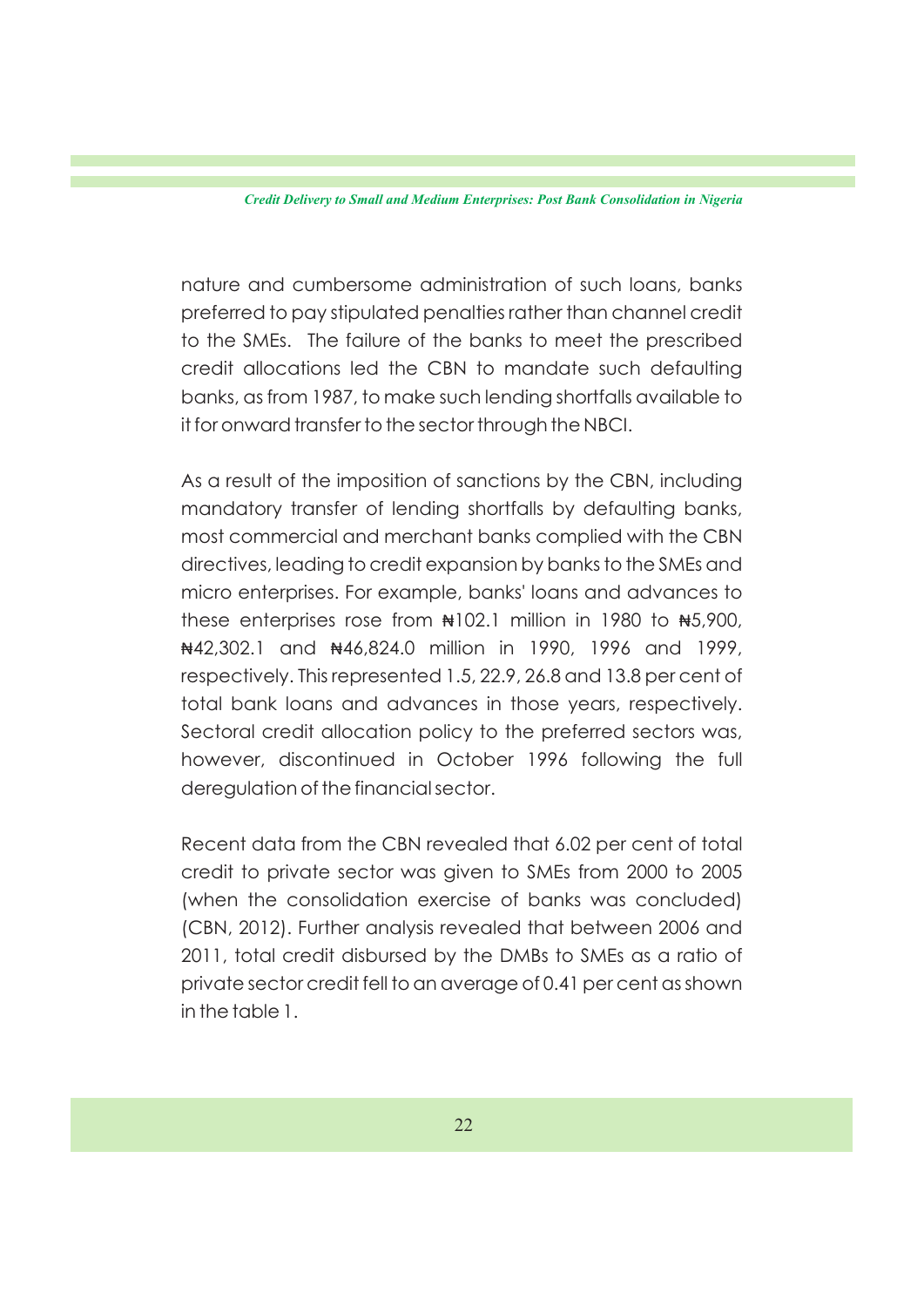nature and cumbersome administration of such loans, banks preferred to pay stipulated penalties rather than channel credit to the SMEs. The failure of the banks to meet the prescribed credit allocations led the CBN to mandate such defaulting banks, as from 1987, to make such lending shortfalls available to it for onward transfer to the sector through the NBCI.

As a result of the imposition of sanctions by the CBN, including mandatory transfer of lending shortfalls by defaulting banks, most commercial and merchant banks complied with the CBN directives, leading to credit expansion by banks to the SMEs and micro enterprises. For example, banks' loans and advances to these enterprises rose from  $\#102.1$  million in 1980 to  $\#5,900$ , #42,302.1 and #46,824.0 million in 1990, 1996 and 1999. respectively. This represented 1.5, 22.9, 26.8 and 13.8 per cent of total bank loans and advances in those years, respectively. Sectoral credit allocation policy to the preferred sectors was, however, discontinued in October 1996 following the full deregulation of the financial sector.

Recent data from the CBN revealed that 6.02 per cent of total credit to private sector was given to SMEs from 2000 to 2005 (when the consolidation exercise of banks was concluded) (CBN, 2012). Further analysis revealed that between 2006 and 2011, total credit disbursed by the DMBs to SMEs as a ratio of private sector credit fell to an average of 0.41 per cent as shown in the table 1.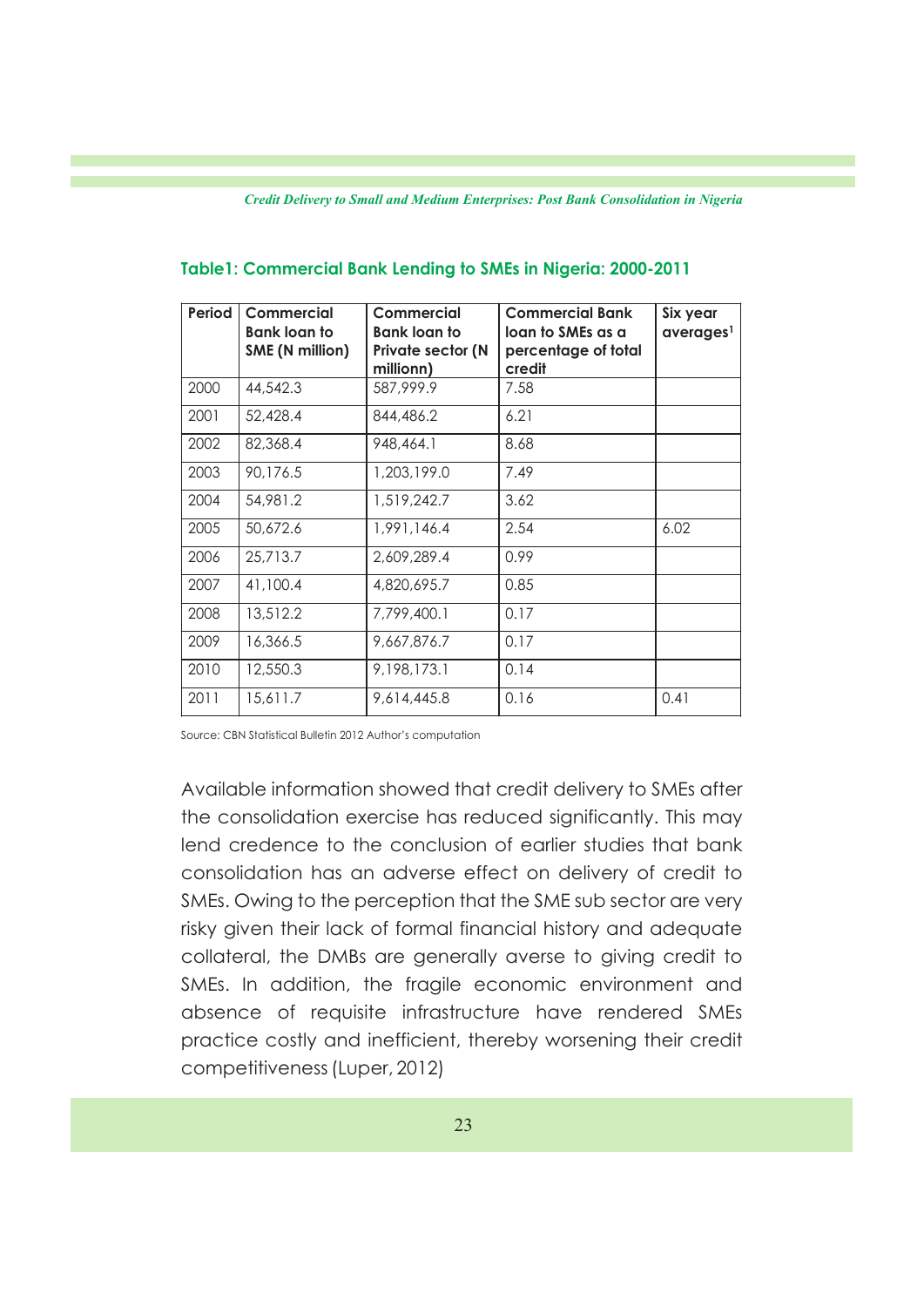| Period | Commercial<br><b>Bank loan to</b><br>SME (N million) | Commercial<br><b>Bank loan to</b><br><b>Private sector (N</b><br>millionn) | <b>Commercial Bank</b><br>loan to SMEs as a<br>percentage of total<br>credit | Six year<br>averages <sup>1</sup> |
|--------|------------------------------------------------------|----------------------------------------------------------------------------|------------------------------------------------------------------------------|-----------------------------------|
| 2000   | 44,542.3                                             | 587,999.9                                                                  | 7.58                                                                         |                                   |
| 2001   | 52,428.4                                             | 844,486.2                                                                  | 6.21                                                                         |                                   |
| 2002   | 82,368.4                                             | 948,464.1                                                                  | 8.68                                                                         |                                   |
| 2003   | 90.176.5                                             | 1,203,199.0                                                                | 7.49                                                                         |                                   |
| 2004   | 54,981.2                                             | 1,519,242.7                                                                | 3.62                                                                         |                                   |
| 2005   | 50,672.6                                             | 1,991,146.4                                                                | 2.54                                                                         | 6.02                              |
| 2006   | 25,713.7                                             | 2,609,289.4                                                                | 0.99                                                                         |                                   |
| 2007   | 41,100.4                                             | 4,820,695.7                                                                | 0.85                                                                         |                                   |
| 2008   | 13,512.2                                             | 7,799,400.1                                                                | 0.17                                                                         |                                   |
| 2009   | 16,366.5                                             | 9,667,876.7                                                                | 0.17                                                                         |                                   |
| 2010   | 12,550.3                                             | 9,198,173.1                                                                | 0.14                                                                         |                                   |
| 2011   | 15,611.7                                             | 9,614,445.8                                                                | 0.16                                                                         | 0.41                              |

#### **Table1: Commercial Bank Lending to SMEs in Nigeria: 2000-2011**

Source: CBN Statistical Bulletin 2012 Author's computation

Available information showed that credit delivery to SMEs after the consolidation exercise has reduced significantly. This may lend credence to the conclusion of earlier studies that bank consolidation has an adverse effect on delivery of credit to SMEs. Owing to the perception that the SME sub sector are very risky given their lack of formal financial history and adequate collateral, the DMBs are generally averse to giving credit to SMEs. In addition, the fragile economic environment and absence of requisite infrastructure have rendered SMEs practice costly and inefficient, thereby worsening their credit competitiveness (Luper, 2012)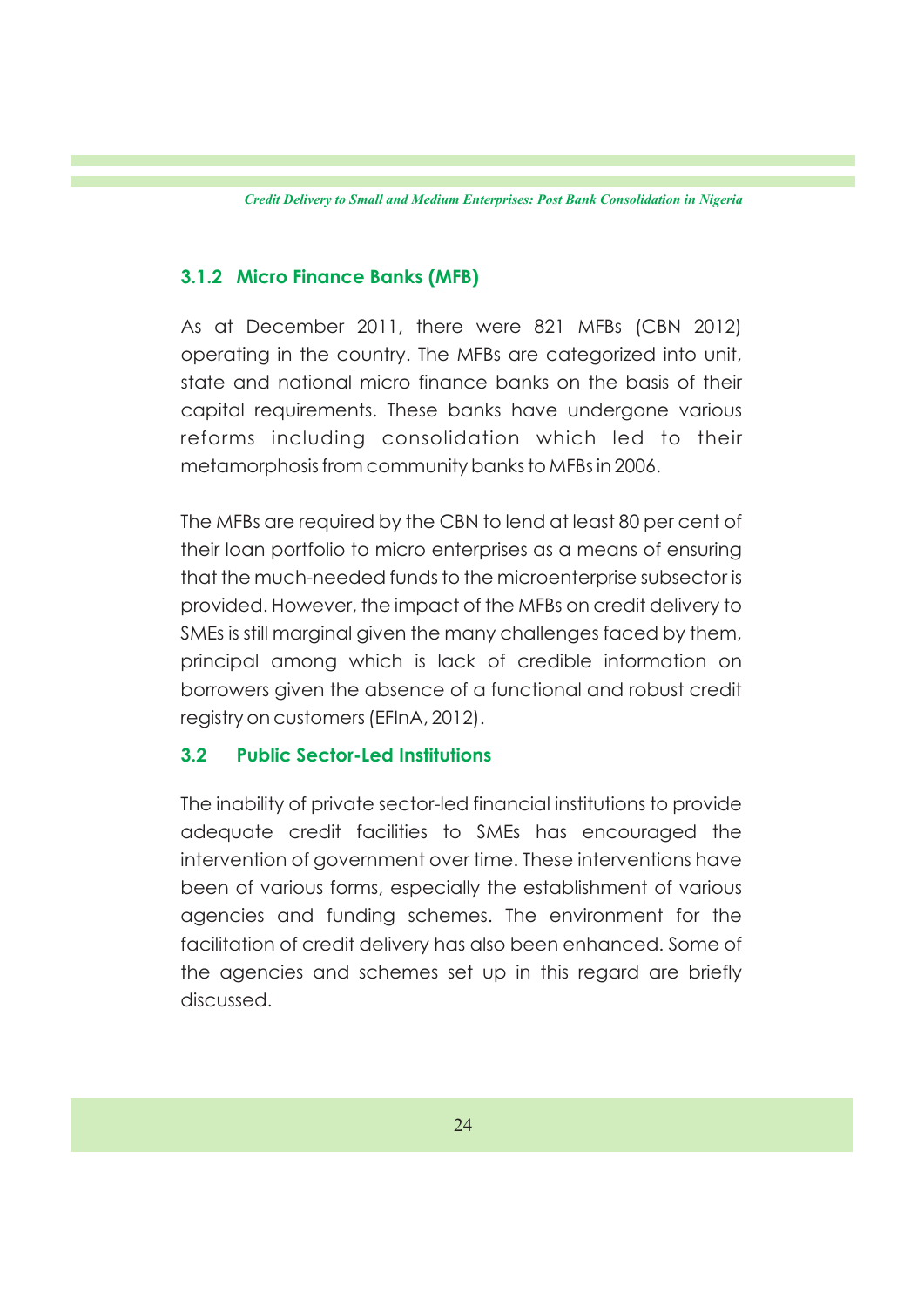#### **3.1.2 Micro Finance Banks (MFB)**

As at December 2011, there were 821 MFBs (CBN 2012) operating in the country. The MFBs are categorized into unit, state and national micro finance banks on the basis of their capital requirements. These banks have undergone various reforms including consolidation which led to their metamorphosis from community banks to MFBs in 2006.

The MFBs are required by the CBN to lend at least 80 per cent of their loan portfolio to micro enterprises as a means of ensuring that the much-needed funds to the microenterprise subsector is provided. However, the impact of the MFBs on credit delivery to SMEs is still marginal given the many challenges faced by them, principal among which is lack of credible information on borrowers given the absence of a functional and robust credit registry on customers (EFInA, 2012).

#### **3.2 Public Sector-Led Institutions**

The inability of private sector-led financial institutions to provide adequate credit facilities to SMEs has encouraged the intervention of government over time. These interventions have been of various forms, especially the establishment of various agencies and funding schemes. The environment for the facilitation of credit delivery has also been enhanced. Some of the agencies and schemes set up in this regard are briefly discussed.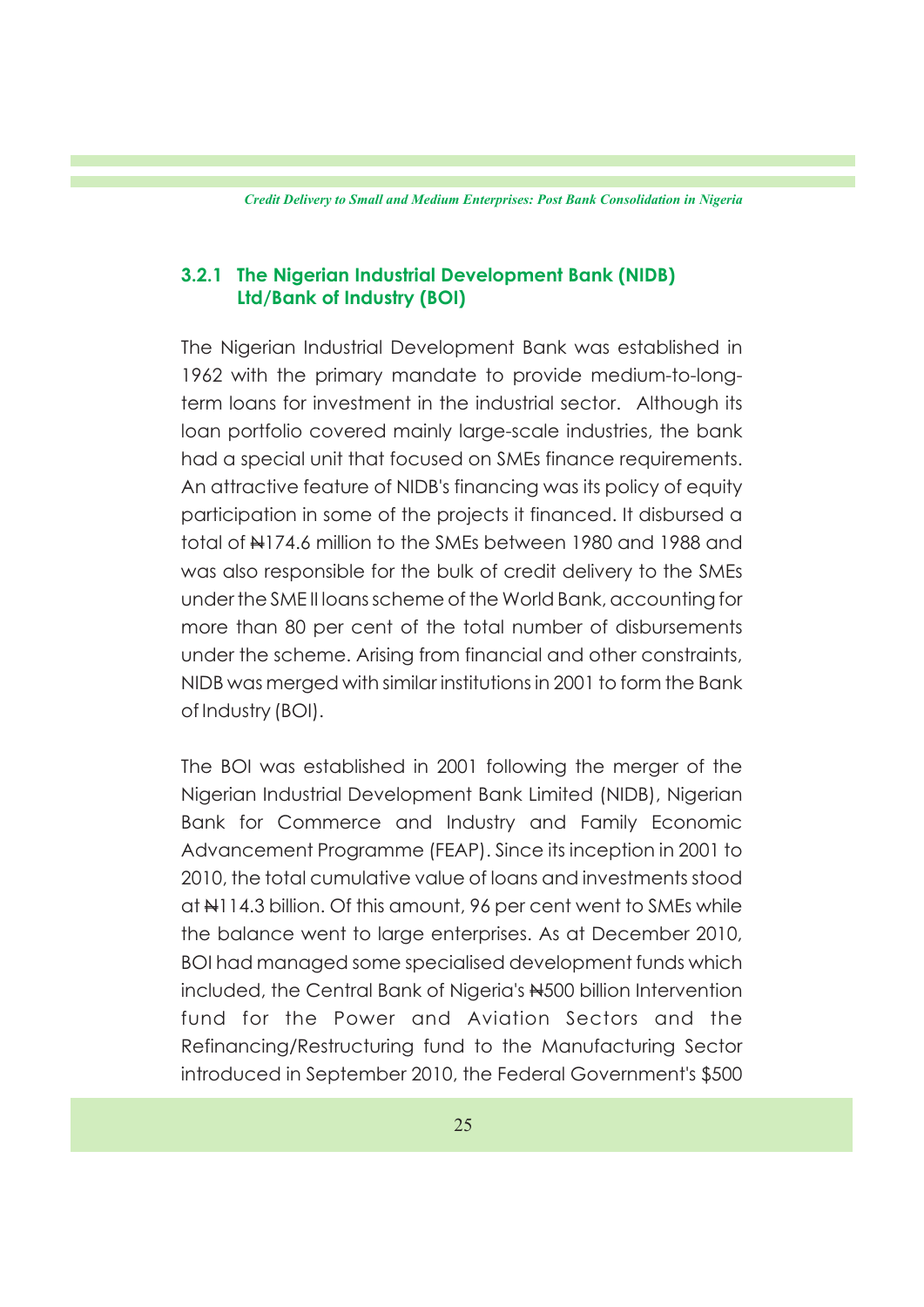## **3.2.1 The Nigerian Industrial Development Bank (NIDB) Ltd/Bank of Industry (BOI)**

The Nigerian Industrial Development Bank was established in 1962 with the primary mandate to provide medium-to-longterm loans for investment in the industrial sector. Although its loan portfolio covered mainly large-scale industries, the bank had a special unit that focused on SMEs finance requirements. An attractive feature of NIDB's financina was its policy of equity participation in some of the projects it financed. It disbursed a total of  $\frac{1}{2}$  174.6 million to the SMEs between 1980 and 1988 and was also responsible for the bulk of credit delivery to the SMEs under the SME II loans scheme of the World Bank, accounting for more than 80 per cent of the total number of disbursements under the scheme. Arising from financial and other constraints, NIDB was merged with similar institutions in 2001 to form the Bank of Industry (BOI).

The BOI was established in 2001 following the merger of the Nigerian Industrial Development Bank Limited (NIDB), Nigerian Bank for Commerce and Industry and Family Economic Advancement Programme (FEAP). Since its inception in 2001 to 2010, the total cumulative value of loans and investments stood at N114.3 billion. Of this amount, 96 per cent went to SMEs while the balance went to large enterprises. As at December 2010, BOI had managed some specialised development funds which included, the Central Bank of Nigeria's N500 billion Intervention fund for the Power and Aviation Sectors and the Refinancing/Restructuring fund to the Manufacturing Sector introduced in September 2010, the Federal Government's \$500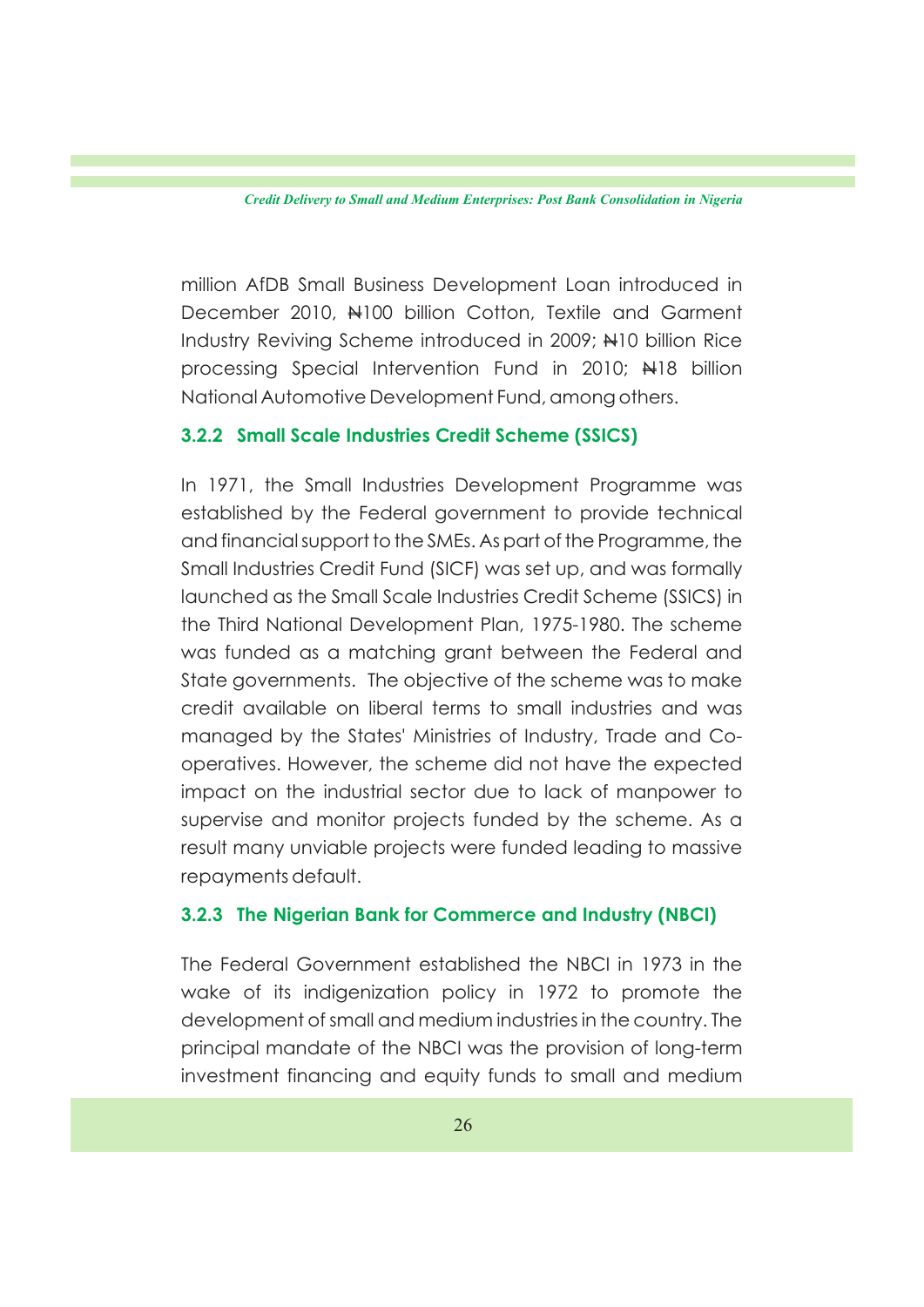million AfDB Small Business Development Loan introduced in December 2010, N100 billion Cotton, Textile and Garment Industry Reviving Scheme introduced in 2009; NHO billion Rice processing Special Intervention Fund in 2010; New billion National Automotive Development Fund, among others.

## **3.2.2 Small Scale Industries Credit Scheme (SSICS)**

In 1971, the Small Industries Development Programme was established by the Federal government to provide technical and financial support to the SMEs. As part of the Programme, the Small Industries Credit Fund (SICF) was set up, and was formally launched as the Small Scale Industries Credit Scheme (SSICS) in the Third National Development Plan, 1975-1980. The scheme was funded as a matching grant between the Federal and State governments. The objective of the scheme was to make credit available on liberal terms to small industries and was managed by the States' Ministries of Industry, Trade and Cooperatives. However, the scheme did not have the expected impact on the industrial sector due to lack of manpower to supervise and monitor projects funded by the scheme. As a result many unviable projects were funded leading to massive repayments default.

#### **3.2.3 The Nigerian Bank for Commerce and Industry (NBCI)**

The Federal Government established the NBCI in 1973 in the wake of its indigenization policy in 1972 to promote the development of small and medium industries in the country. The principal mandate of the NBCI was the provision of long-term investment financing and equity funds to small and medium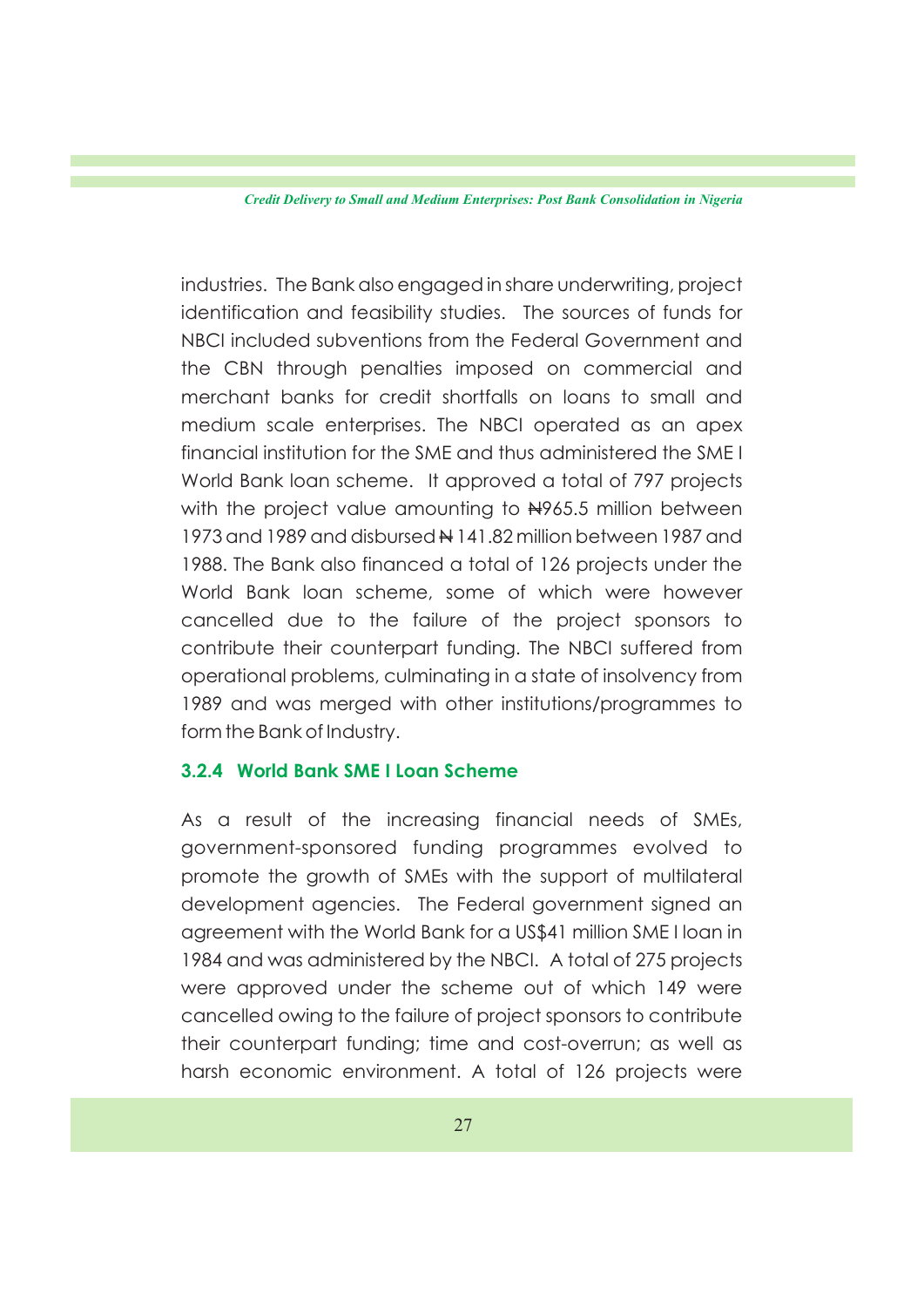industries. The Bank also engaged in share underwriting, project identification and feasibility studies. The sources of funds for NBCI included subventions from the Federal Government and the CBN through penalties imposed on commercial and merchant banks for credit shortfalls on loans to small and medium scale enterprises. The NBCI operated as an apex financial institution for the SME and thus administered the SME I World Bank loan scheme. It approved a total of 797 projects with the project value amounting to  $H965.5$  million between 1973 and 1989 and disbursed  $\leftrightarrow$  141.82 million between 1987 and 1988. The Bank also financed a total of 126 projects under the World Bank loan scheme, some of which were however cancelled due to the failure of the project sponsors to contribute their counterpart funding. The NBCI suffered from operational problems, culminating in a state of insolvency from 1989 and was merged with other institutions/programmes to form the Bank of Industry.

## **3.2.4 World Bank SME I Loan Scheme**

As a result of the increasing financial needs of SMEs, government-sponsored funding programmes evolved to promote the growth of SMEs with the support of multilateral development agencies. The Federal government signed an agreement with the World Bank for a US\$41 million SME I loan in 1984 and was administered by the NBCI. A total of 275 projects were approved under the scheme out of which 149 were cancelled owing to the failure of project sponsors to contribute their counterpart funding; time and cost-overrun; as well as harsh economic environment. A total of 126 projects were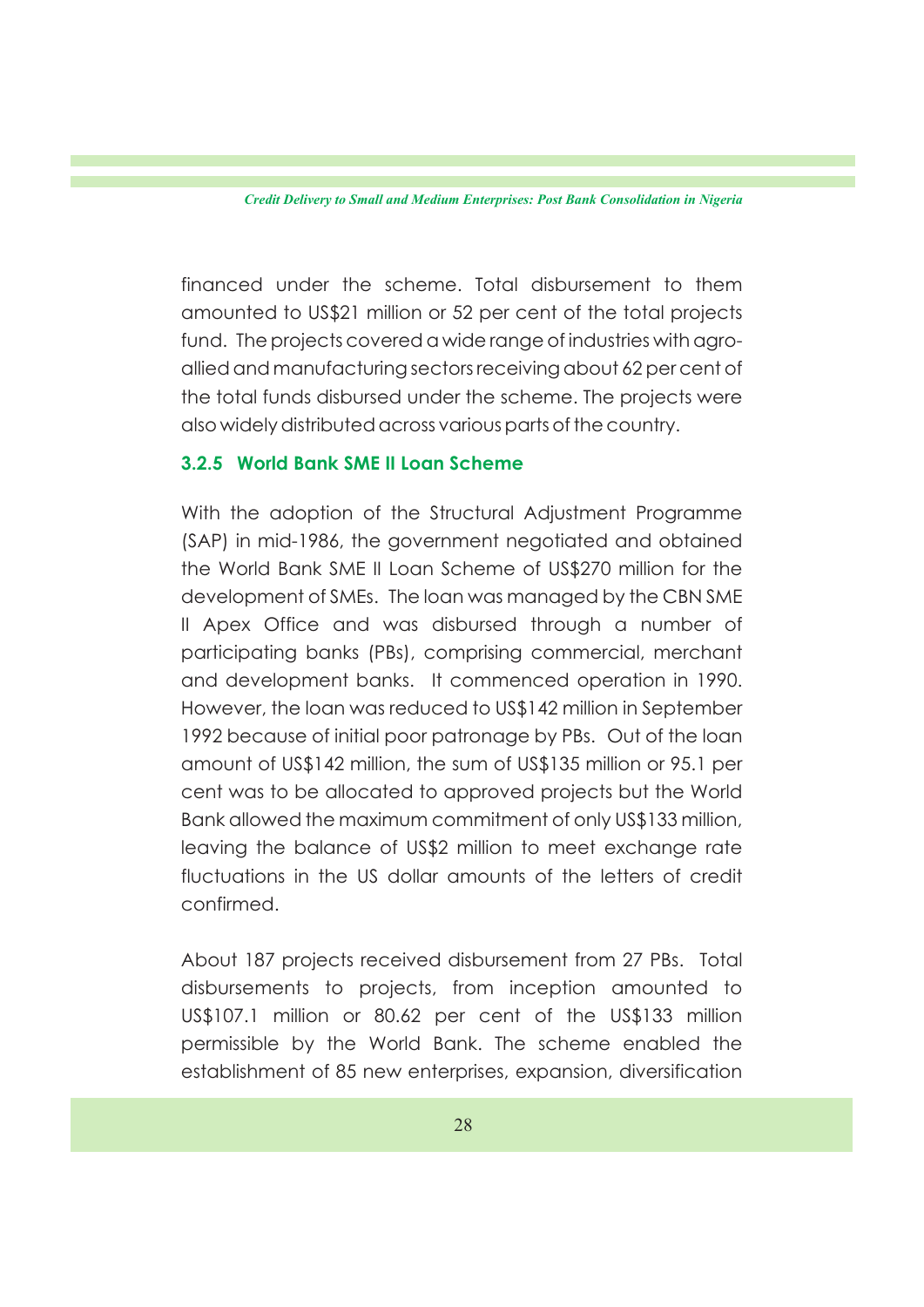financed under the scheme. Total disbursement to them amounted to US\$21 million or 52 per cent of the total projects fund. The projects covered a wide range of industries with agroallied and manufacturing sectors receiving about 62 per cent of the total funds disbursed under the scheme. The projects were also widely distributed across various parts of the country.

#### **3.2.5 World Bank SME II Loan Scheme**

With the adoption of the Structural Adjustment Programme (SAP) in mid-1986, the government negotiated and obtained the World Bank SME II Loan Scheme of US\$270 million for the development of SMEs. The loan was managed by the CBN SME II Apex Office and was disbursed through a number of participating banks (PBs), comprising commercial, merchant and development banks. It commenced operation in 1990. However, the loan was reduced to US\$142 million in September 1992 because of initial poor patronage by PBs. Out of the loan amount of US\$142 million, the sum of US\$135 million or 95.1 per cent was to be allocated to approved projects but the World Bank allowed the maximum commitment of only US\$133 million, leaving the balance of US\$2 million to meet exchange rate fluctuations in the US dollar amounts of the letters of credit confirmed.

About 187 projects received disbursement from 27 PBs. Total disbursements to projects, from inception amounted to US\$107.1 million or 80.62 per cent of the US\$133 million permissible by the World Bank. The scheme enabled the establishment of 85 new enterprises, expansion, diversification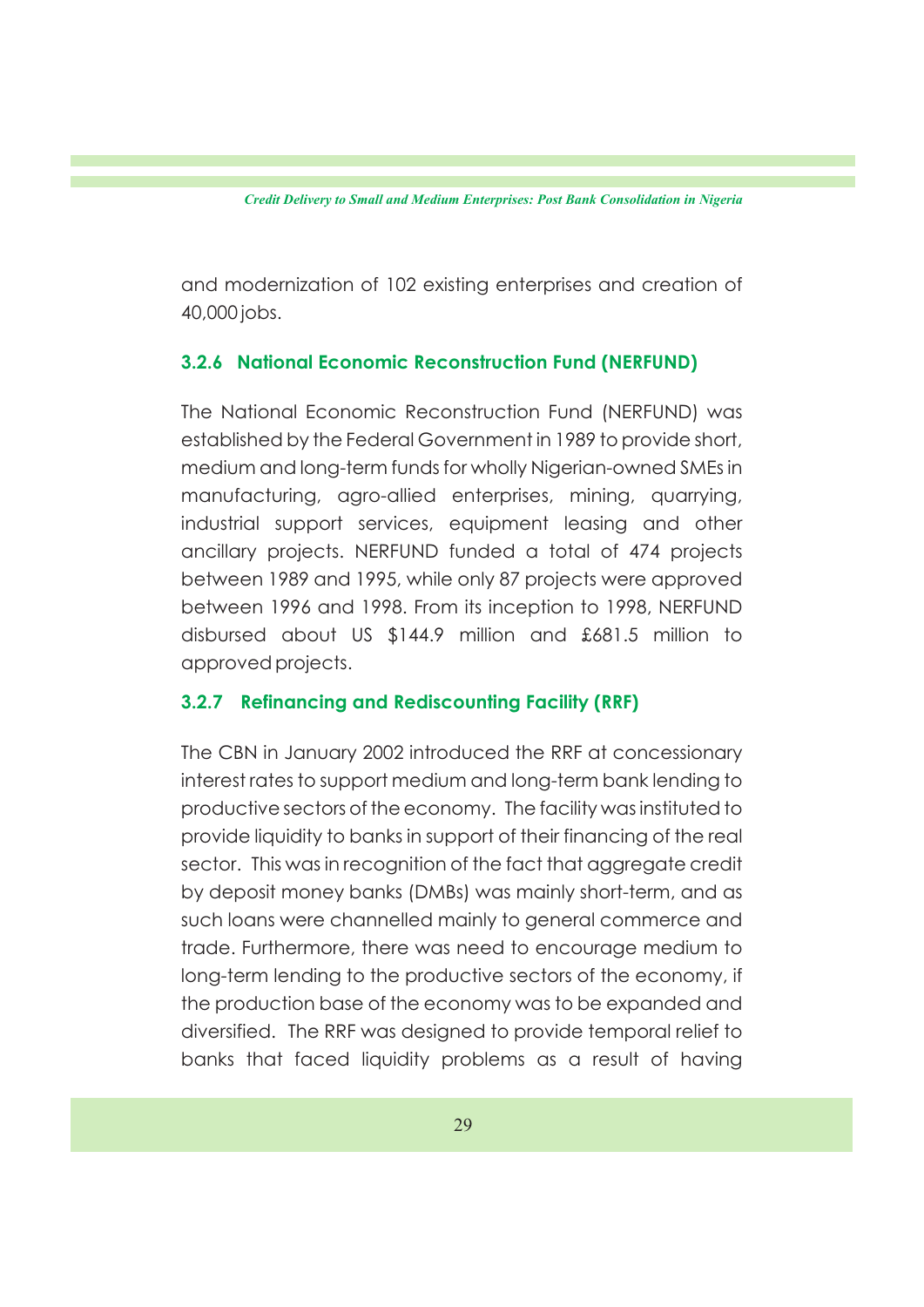and modernization of 102 existing enterprises and creation of 40,000 jobs.

# **3.2.6 National Economic Reconstruction Fund (NERFUND)**

The National Economic Reconstruction Fund (NERFUND) was established by the Federal Government in 1989 to provide short, medium and long-term funds for wholly Nigerian-owned SMEs in manufacturing, agro-allied enterprises, mining, quarrying, industrial support services, equipment leasing and other ancillary projects. NERFUND funded a total of 474 projects between 1989 and 1995, while only 87 projects were approved between 1996 and 1998. From its inception to 1998, NERFUND disbursed about US \$144.9 million and £681.5 million to approved projects.

# **3.2.7 Refinancing and Rediscounting Facility (RRF)**

The CBN in January 2002 introduced the RRF at concessionary interest rates to support medium and long-term bank lending to productive sectors of the economy. The facility was instituted to provide liquidity to banks in support of their financing of the real sector. This was in recognition of the fact that aggregate credit by deposit money banks (DMBs) was mainly short-term, and as such loans were channelled mainly to general commerce and trade. Furthermore, there was need to encourage medium to long-term lending to the productive sectors of the economy, if the production base of the economy was to be expanded and diversified. The RRF was designed to provide temporal relief to banks that faced liquidity problems as a result of having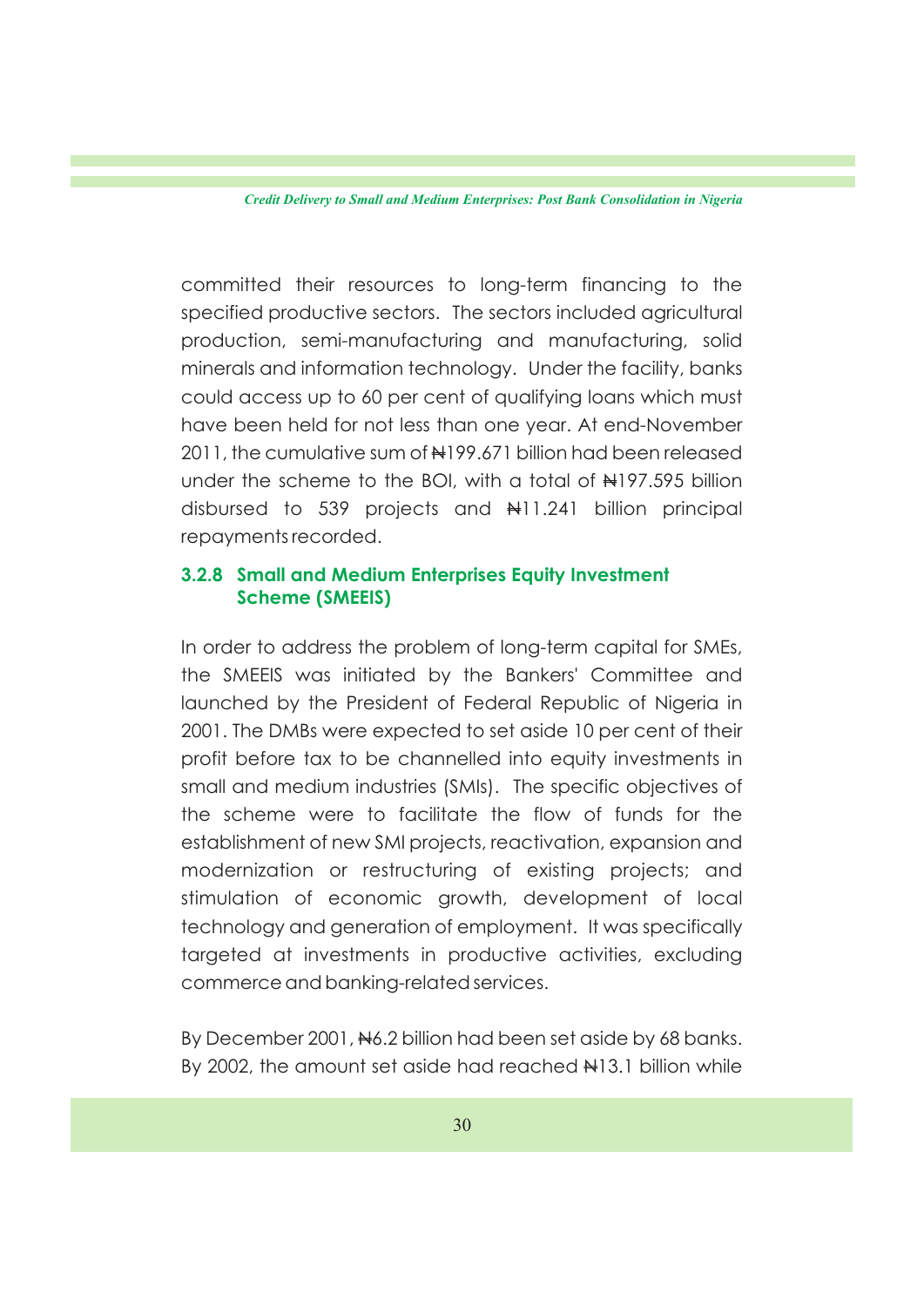committed their resources to long-term financing to the specified productive sectors. The sectors included agricultural production, semi-manufacturing and manufacturing, solid minerals and information technology. Under the facility, banks could access up to 60 per cent of qualifying loans which must have been held for not less than one year. At end-November 2011, the cumulative sum of N199.671 billion had been released under the scheme to the BOI, with a total of N197.595 billion disbursed to 539 projects and N11.241 billion principal repayments recorded.

## **3.2.8 Small and Medium Enterprises Equity Investment Scheme (SMEEIS)**

In order to address the problem of long-term capital for SMEs, the SMEEIS was initiated by the Bankers' Committee and launched by the President of Federal Republic of Nigeria in 2001. The DMBs were expected to set aside 10 per cent of their profit before tax to be channelled into equity investments in small and medium industries (SMIs). The specific objectives of the scheme were to facilitate the flow of funds for the establishment of new SMI projects, reactivation, expansion and modernization or restructuring of existing projects; and stimulation of economic growth, development of local technology and generation of employment. It was specifically targeted at investments in productive activities, excluding commerce and banking-related services.

By December 2001, N6.2 billion had been set aside by 68 banks. By 2002, the amount set aside had reached N13.1 billion while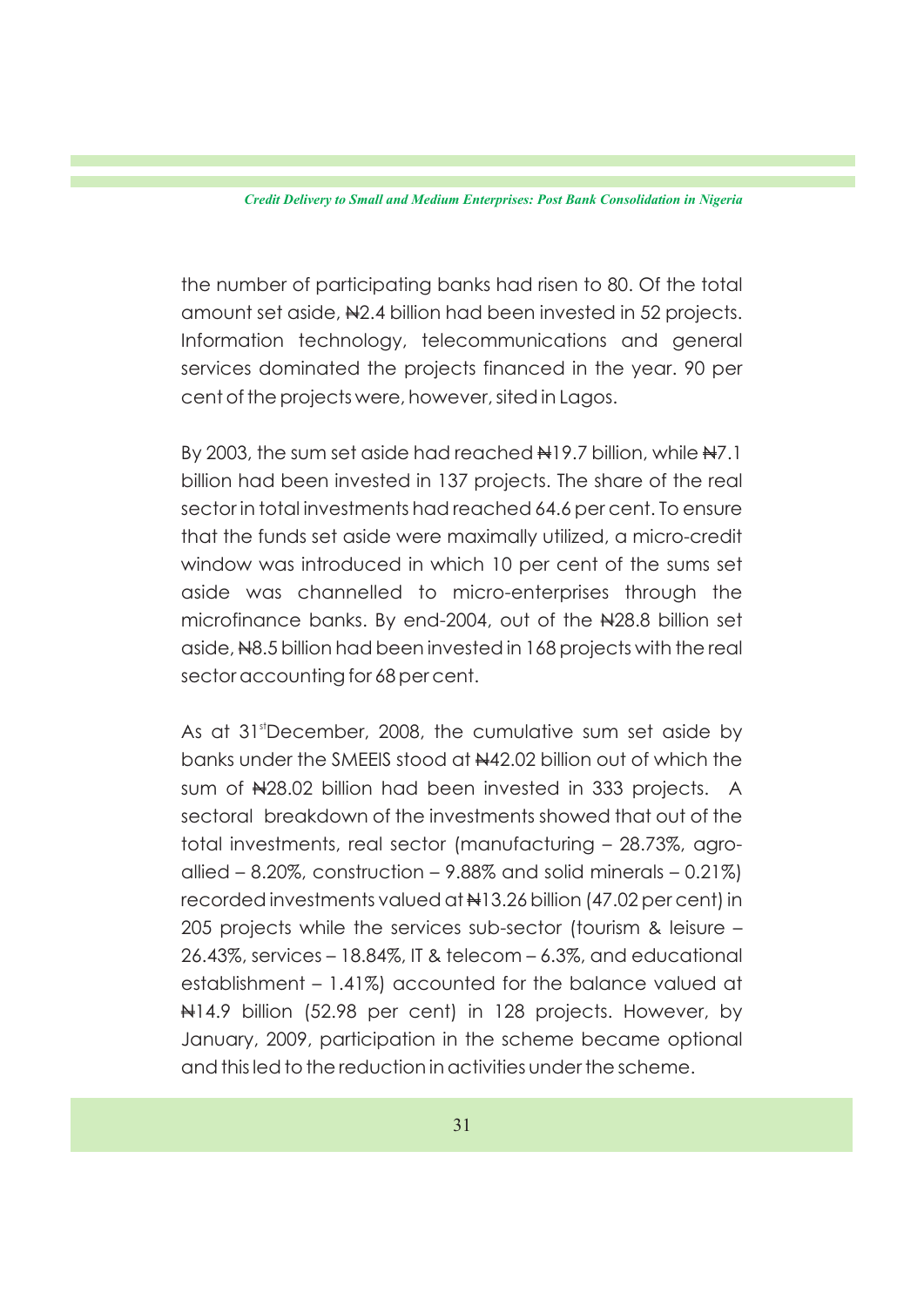the number of participating banks had risen to 80. Of the total amount set aside, N2.4 billion had been invested in 52 projects. Information technology, telecommunications and general services dominated the projects financed in the year. 90 per cent of the projects were, however, sited in Lagos.

By 2003, the sum set aside had reached N19.7 billion, while N7.1 billion had been invested in 137 projects. The share of the real sector in total investments had reached 64.6 per cent. To ensure that the funds set aside were maximally utilized, a micro-credit window was introduced in which 10 per cent of the sums set aside was channelled to micro-enterprises through the microfinance banks. By end-2004, out of the N28.8 billion set aside, N8.5 billion had been invested in 168 projects with the real sector accounting for 68 per cent.

As at 31<sup>st</sup>December, 2008, the cumulative sum set aside by banks under the SMEEIS stood at N42.02 billion out of which the sum of  $H28.02$  billion had been invested in 333 projects. A sectoral breakdown of the investments showed that out of the total investments, real sector (manufacturing – 28.73%, agroallied  $-8.20\%$ , construction  $-9.88\%$  and solid minerals  $-0.21\%$ ) recorded investments valued at N13.26 billion (47.02 per cent) in 205 projects while the services sub-sector (tourism & leisure – 26.43%, services – 18.84%, IT & telecom – 6.3%, and educational establishment – 1.41%) accounted for the balance valued at N14.9 billion (52.98 per cent) in 128 projects. However, by January, 2009, participation in the scheme became optional and this led to the reduction in activities under the scheme.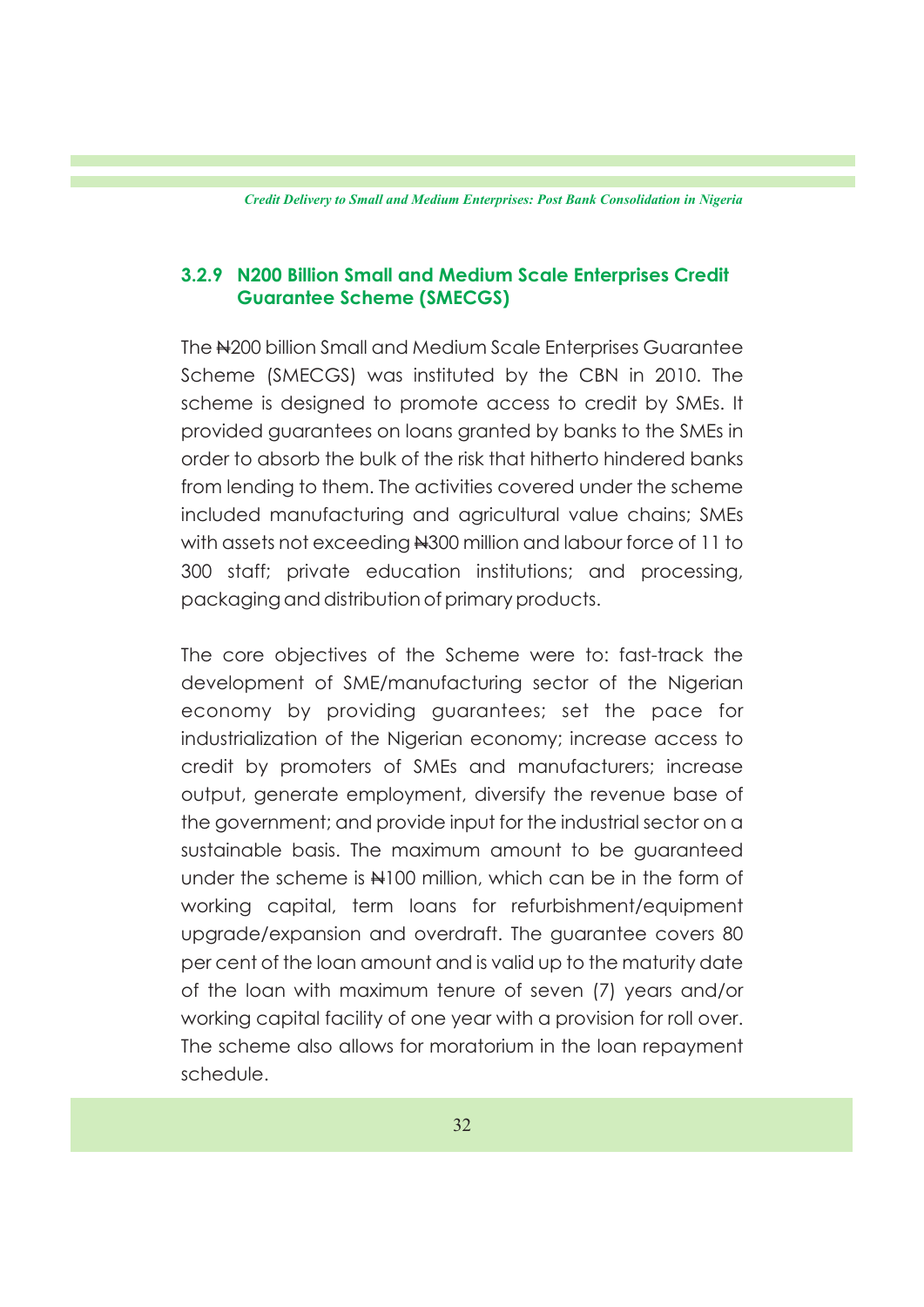## **3.2.9 N200 Billion Small and Medium Scale Enterprises Credit Guarantee Scheme (SMECGS)**

The N<sub>200</sub> billion Small and Medium Scale Enterprises Guarantee Scheme (SMECGS) was instituted by the CBN in 2010. The scheme is designed to promote access to credit by SMEs. It provided guarantees on loans granted by banks to the SMEs in order to absorb the bulk of the risk that hitherto hindered banks from lending to them. The activities covered under the scheme included manufacturing and agricultural value chains; SMEs with assets not exceeding  $H300$  million and labour force of 11 to 300 staff; private education institutions; and processing, packaging and distribution of primary products.

The core objectives of the Scheme were to: fast-track the development of SME/manufacturing sector of the Nigerian economy by providing guarantees; set the pace for industrialization of the Nigerian economy; increase access to credit by promoters of SMEs and manufacturers; increase output, generate employment, diversify the revenue base of the government; and provide input for the industrial sector on a sustainable basis. The maximum amount to be guaranteed under the scheme is N100 million, which can be in the form of working capital, term loans for refurbishment/equipment upgrade/expansion and overdraft. The guarantee covers 80 per cent of the loan amount and is valid up to the maturity date of the loan with maximum tenure of seven (7) years and/or working capital facility of one year with a provision for roll over. The scheme also allows for moratorium in the loan repayment schedule.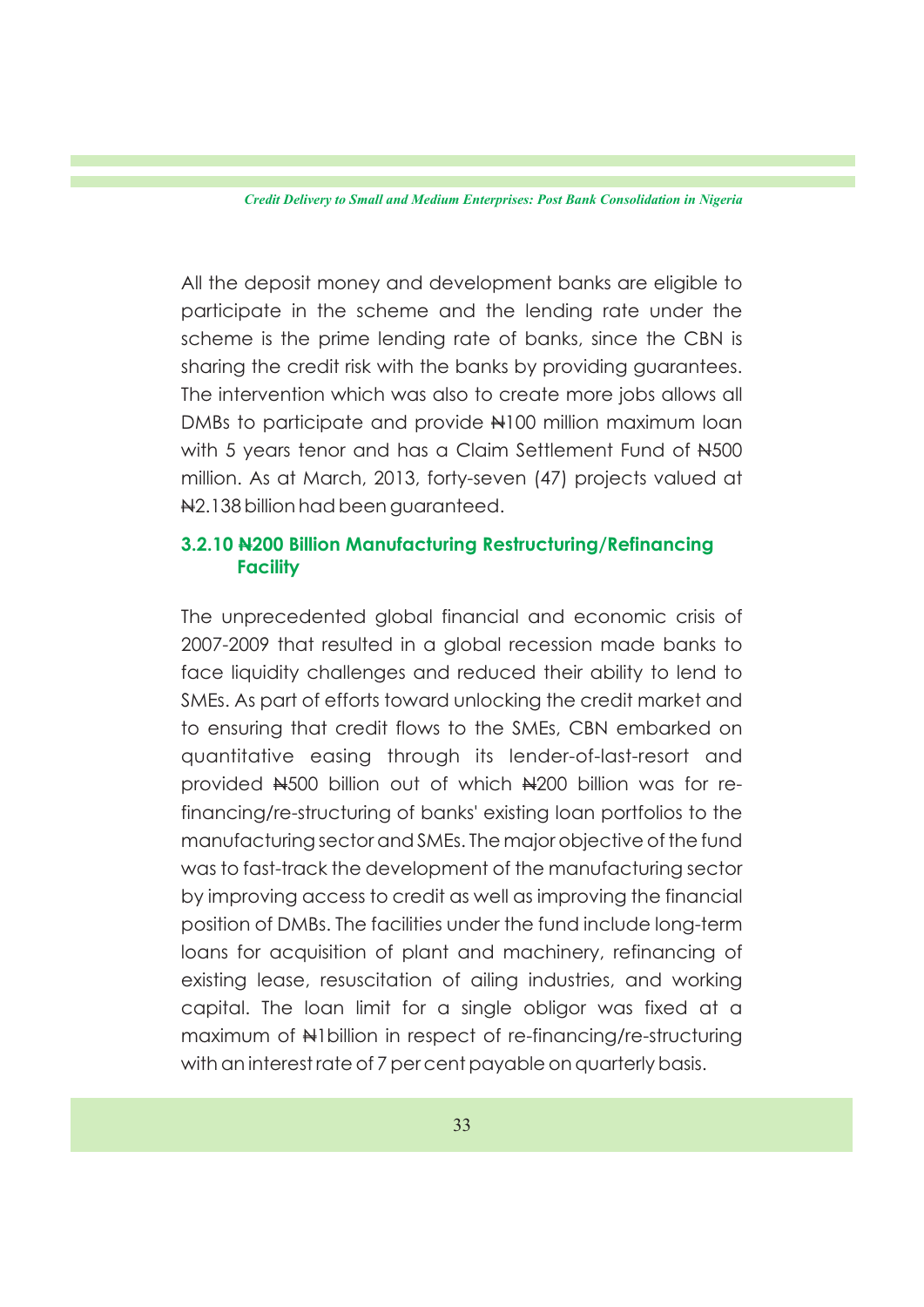All the deposit money and development banks are eligible to participate in the scheme and the lending rate under the scheme is the prime lending rate of banks, since the CBN is sharing the credit risk with the banks by providing guarantees. The intervention which was also to create more jobs allows all DMBs to participate and provide N100 million maximum loan with 5 years tenor and has a Claim Settlement Fund of N500 million. As at March, 2013, forty-seven (47) projects valued at N<sub>2</sub>.138 billion had been guaranteed.

# **3.2.10 N200 Billion Manufacturing Restructuring/Refinancing Facility**

The unprecedented global financial and economic crisis of 2007-2009 that resulted in a global recession made banks to face liquidity challenges and reduced their ability to lend to SMEs. As part of efforts toward unlocking the credit market and to ensuring that credit flows to the SMEs, CBN embarked on quantitative easing through its lender-of-last-resort and provided N500 billion out of which N200 billion was for refinancing/re-structuring of banks' existing loan portfolios to the manufacturing sector and SMEs. The major objective of the fund was to fast-track the development of the manufacturing sector by improving access to credit as well as improving the financial position of DMBs. The facilities under the fund include long-term loans for acquisition of plant and machinery, refinancing of existing lease, resuscitation of ailing industries, and working capital. The loan limit for a single obligor was fixed at a maximum of N1billion in respect of re-financing/re-structuring with an interest rate of 7 per cent payable on quarterly basis.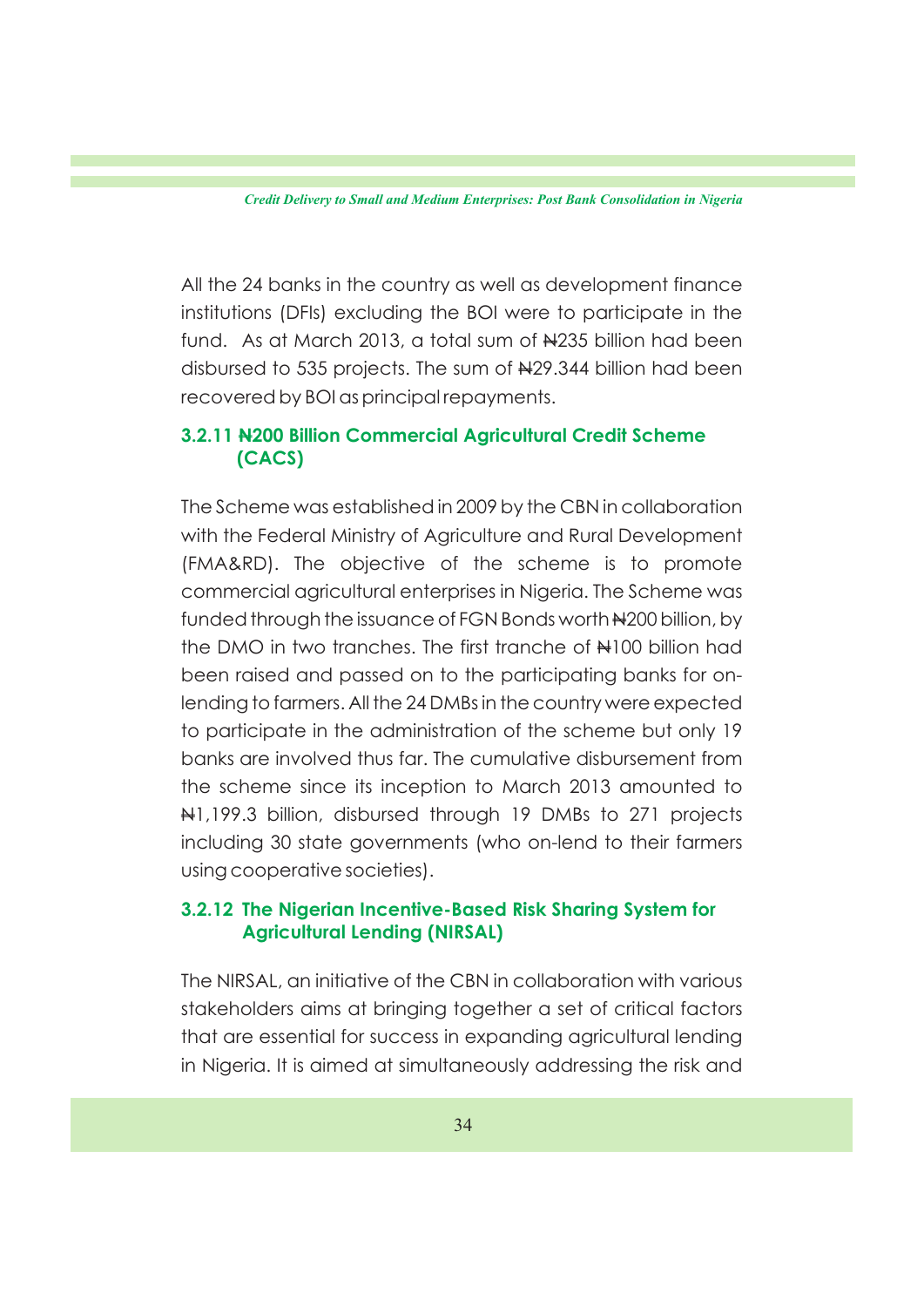All the 24 banks in the country as well as development finance institutions (DFIs) excluding the BOI were to participate in the fund. As at March 2013, a total sum of  $\frac{1235}{100}$  billion had been disbursed to 535 projects. The sum of  $\frac{129.344}{1000}$  billion had been recovered by BOI as principal repayments.

# **3.2.11 N200 Billion Commercial Agricultural Credit Scheme (CACS)**

The Scheme was established in 2009 by the CBN in collaboration with the Federal Ministry of Agriculture and Rural Development (FMA&RD). The objective of the scheme is to promote commercial agricultural enterprises in Nigeria. The Scheme was funded through the issuance of FGN Bonds worth N200 billion, by the DMO in two tranches. The first tranche of N100 billion had been raised and passed on to the participating banks for onlending to farmers. All the 24 DMBs in the country were expected to participate in the administration of the scheme but only 19 banks are involved thus far. The cumulative disbursement from the scheme since its inception to March 2013 amounted to N<sub>1</sub>,199.3 billion, disbursed through 19 DMBs to 271 projects including 30 state governments (who on-lend to their farmers using cooperative societies).

# **3.2.12 The Nigerian Incentive-Based Risk Sharing System for Agricultural Lending (NIRSAL)**

The NIRSAL, an initiative of the CBN in collaboration with various stakeholders aims at bringing together a set of critical factors that are essential for success in expanding agricultural lending in Nigeria. It is aimed at simultaneously addressing the risk and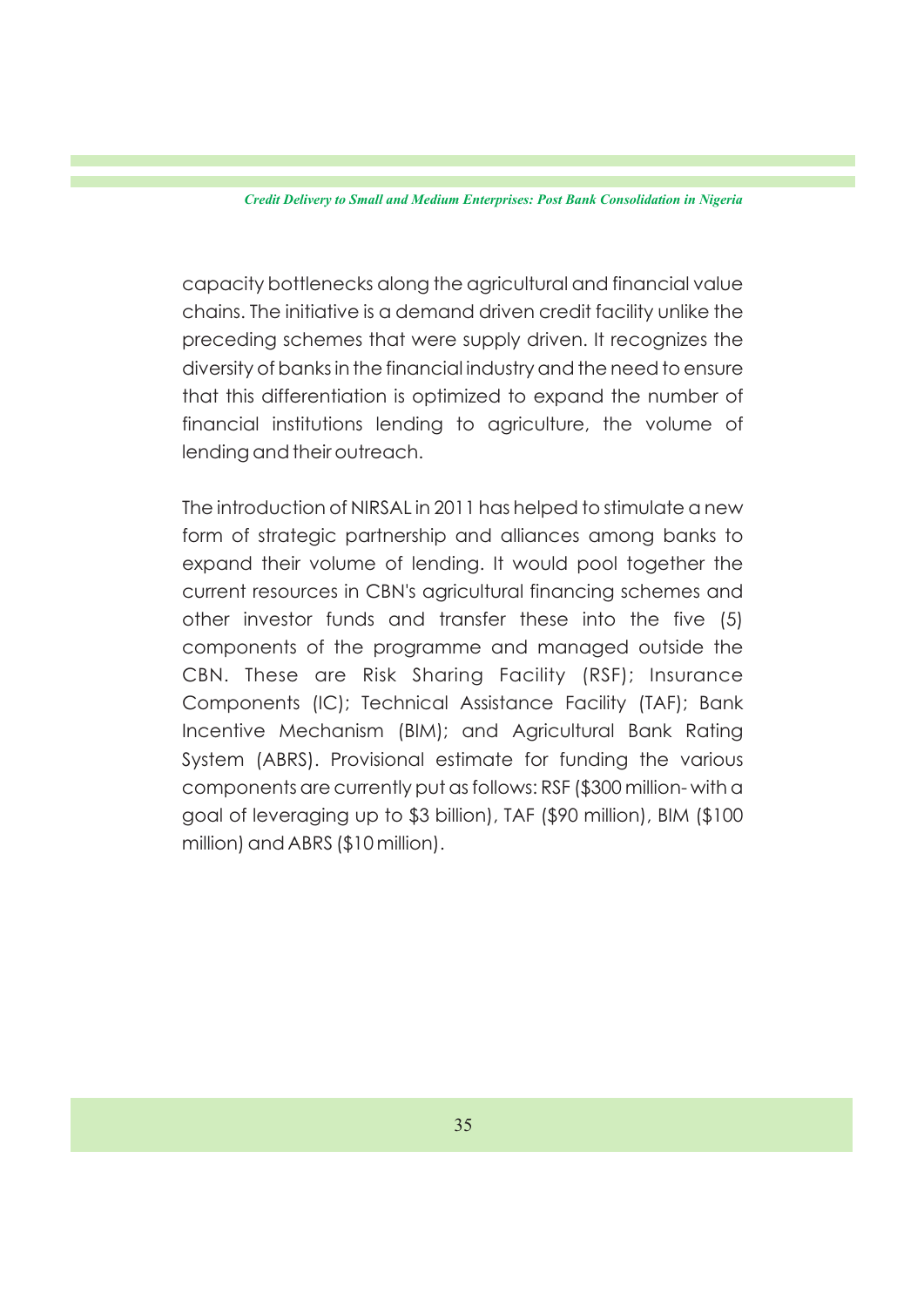capacity bottlenecks along the agricultural and financial value chains. The initiative is a demand driven credit facility unlike the preceding schemes that were supply driven. It recognizes the diversity of banks in the financial industry and the need to ensure that this differentiation is optimized to expand the number of financial institutions lending to agriculture, the volume of lending and their outreach.

The introduction of NIRSAL in 2011 has helped to stimulate a new form of strategic partnership and alliances among banks to expand their volume of lending. It would pool together the current resources in CBN's agricultural financing schemes and other investor funds and transfer these into the five (5) components of the programme and managed outside the CBN. These are Risk Sharing Facility (RSF); Insurance Components (IC); Technical Assistance Facility (TAF); Bank Incentive Mechanism (BIM); and Agricultural Bank Rating System (ABRS). Provisional estimate for funding the various components are currently put as follows: RSF (\$300 million- with a goal of leveraging up to \$3 billion), TAF (\$90 million), BIM (\$100 million) and ABRS (\$10 million).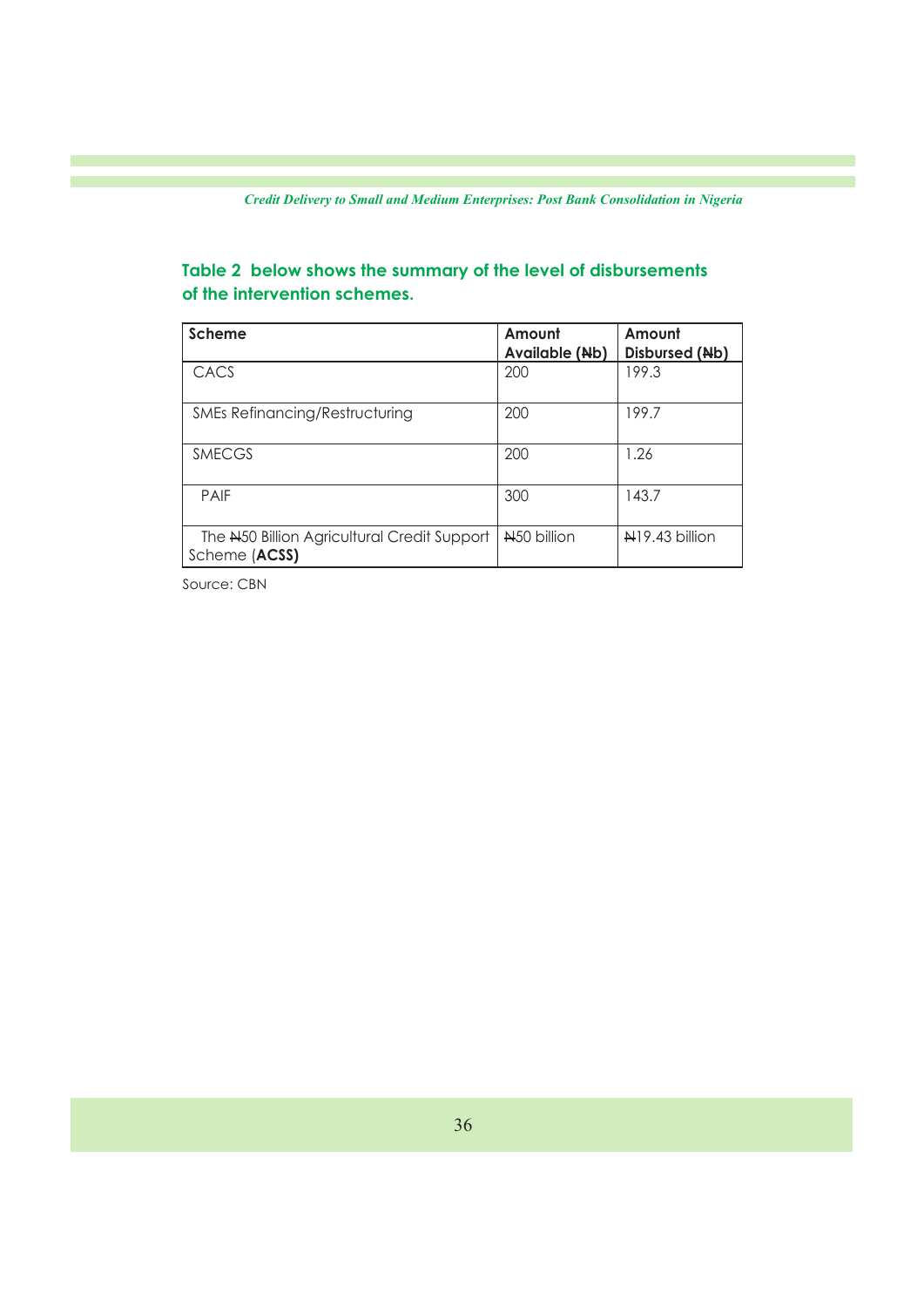# **Table 2 below shows the summary of the level of disbursements of the intervention schemes.**

| Scheme                                                       | Amount<br>Available (Nb) | Amount<br>Disbursed (Nb) |
|--------------------------------------------------------------|--------------------------|--------------------------|
| CACS                                                         | 200                      | 199.3                    |
| <b>SMEs Refinancing/Restructuring</b>                        | 200                      | 199.7                    |
| <b>SMECGS</b>                                                | 200                      | 1.26                     |
| <b>PAIF</b>                                                  | 300                      | 143.7                    |
| The N50 Billion Agricultural Credit Support<br>Scheme (ACSS) | N <sub>50</sub> billion  | $H19.43$ billion         |

Source: CBN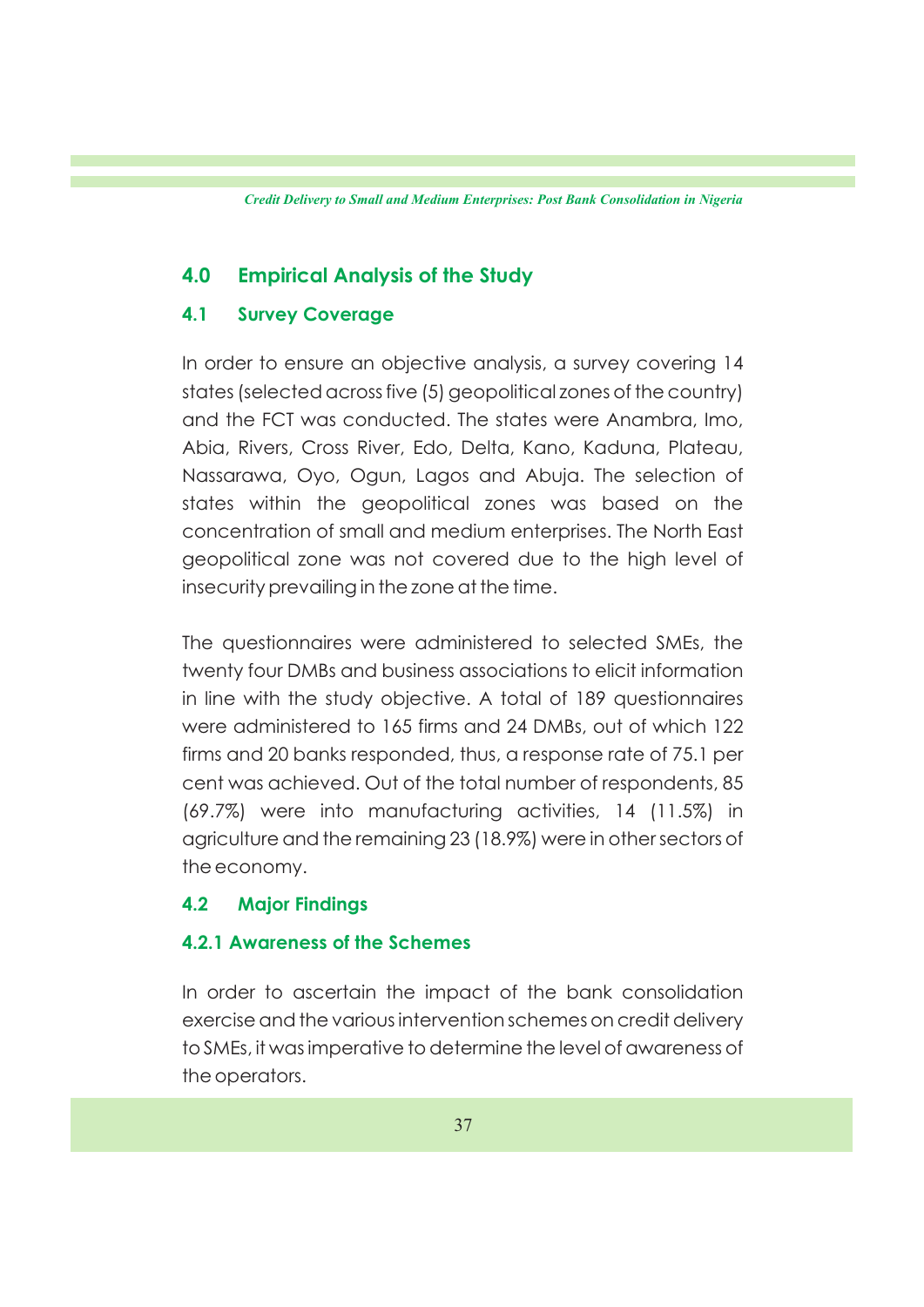## **4.0 Empirical Analysis of the Study**

# **4.1 Survey Coverage**

In order to ensure an objective analysis, a survey covering 14 states (selected across five (5) geopolitical zones of the country) and the FCT was conducted. The states were Anambra, Imo, Abia, Rivers, Cross River, Edo, Delta, Kano, Kaduna, Plateau, Nassarawa, Oyo, Ogun, Lagos and Abuja. The selection of states within the geopolitical zones was based on the concentration of small and medium enterprises. The North East geopolitical zone was not covered due to the high level of insecurity prevailing in the zone at the time.

The questionnaires were administered to selected SMEs, the twenty four DMBs and business associations to elicit information in line with the study objective. A total of 189 questionnaires were administered to 165 firms and 24 DMBs, out of which 122 firms and 20 banks responded, thus, a response rate of 75.1 per cent was achieved. Out of the total number of respondents, 85 (69.7%) were into manufacturing activities, 14 (11.5%) in agriculture and the remaining 23 (18.9%) were in other sectors of the economy.

## **4.2 Major Findings**

## **4.2.1 Awareness of the Schemes**

In order to ascertain the impact of the bank consolidation exercise and the various intervention schemes on credit delivery to SMEs, it was imperative to determine the level of awareness of the operators.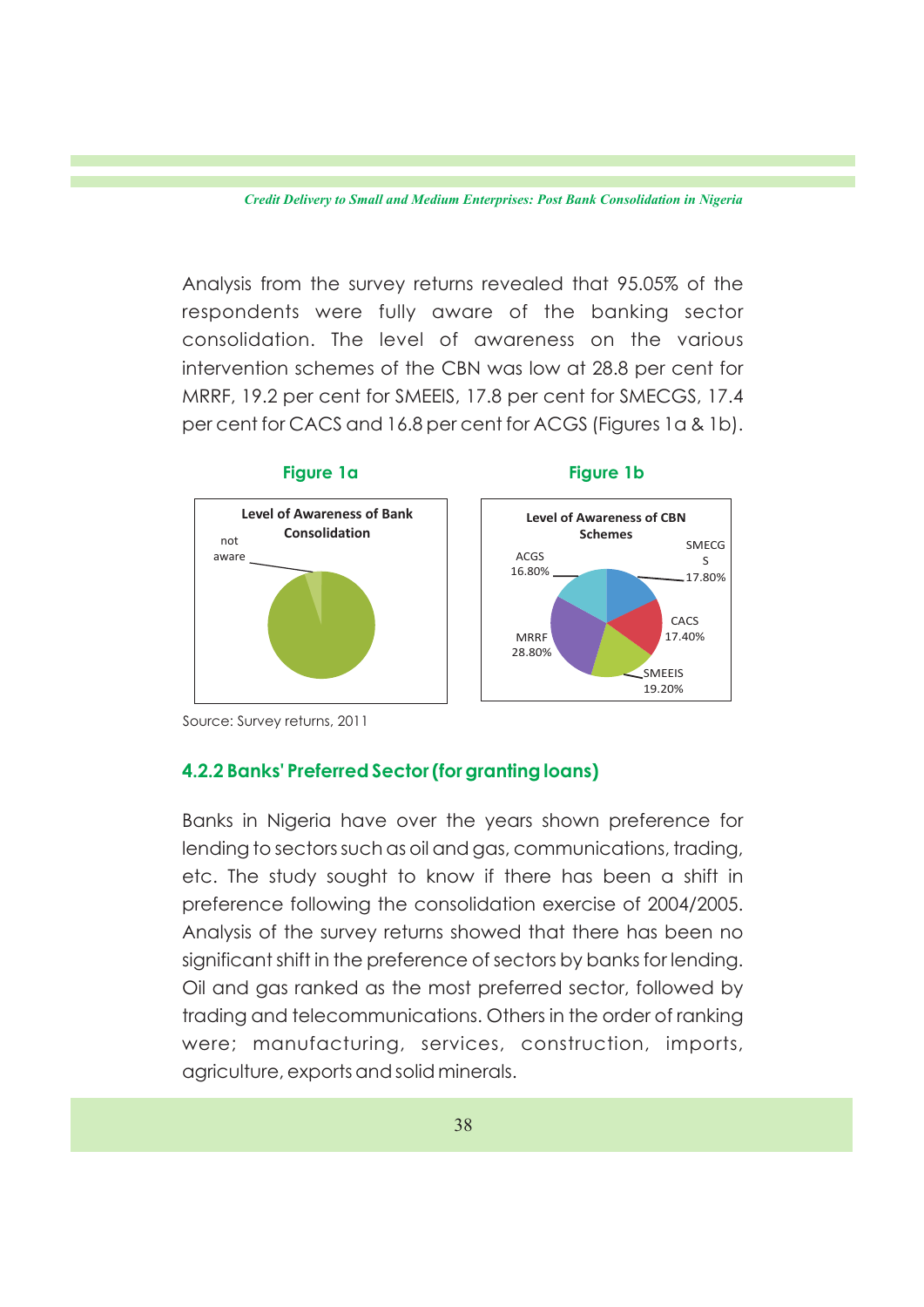Analysis from the survey returns revealed that 95.05% of the respondents were fully aware of the banking sector consolidation. The level of awareness on the various intervention schemes of the CBN was low at 28.8 per cent for MRRF, 19.2 per cent for SMEEIS, 17.8 per cent for SMECGS, 17.4 per cent for CACS and 16.8 per cent for ACGS (Figures 1a & 1b).







Source: Survey returns, 2011

## **4.2.2 Banks' Preferred Sector (for granting loans)**

Banks in Nigeria have over the years shown preference for lending to sectors such as oil and gas, communications, trading, etc. The study sought to know if there has been a shift in preference following the consolidation exercise of 2004/2005. Analysis of the survey returns showed that there has been no significant shift in the preference of sectors by banks for lending. Oil and gas ranked as the most preferred sector, followed by trading and telecommunications. Others in the order of ranking were; manufacturing, services, construction, imports, agriculture, exports and solid minerals.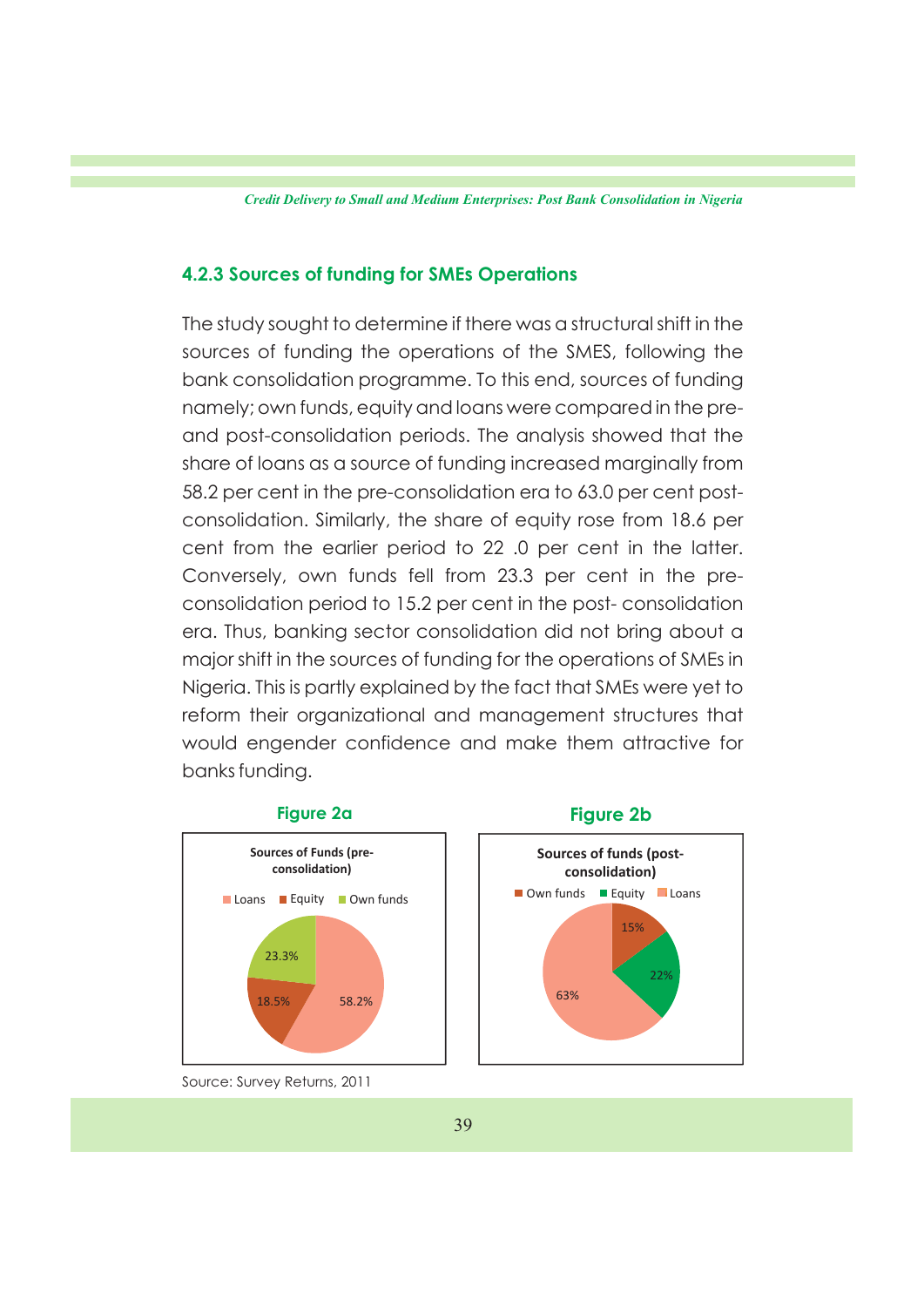#### **4.2.3 Sources of funding for SMEs Operations**

The study sought to determine if there was a structural shift in the sources of funding the operations of the SMES, following the bank consolidation programme. To this end, sources of funding namely; own funds, equity and loans were compared in the preand post-consolidation periods. The analysis showed that the share of loans as a source of funding increased marginally from 58.2 per cent in the pre-consolidation era to 63.0 per cent postconsolidation. Similarly, the share of equity rose from 18.6 per cent from the earlier period to 22 .0 per cent in the latter. Conversely, own funds fell from 23.3 per cent in the preconsolidation period to 15.2 per cent in the post- consolidation era. Thus, banking sector consolidation did not bring about a major shift in the sources of funding for the operations of SMEs in Nigeria. This is partly explained by the fact that SMEs were yet to reform their organizational and management structures that would engender confidence and make them attractive for banks funding.

#### **Figure 2a Figure 2b**



Source: Survey Returns, 2011



39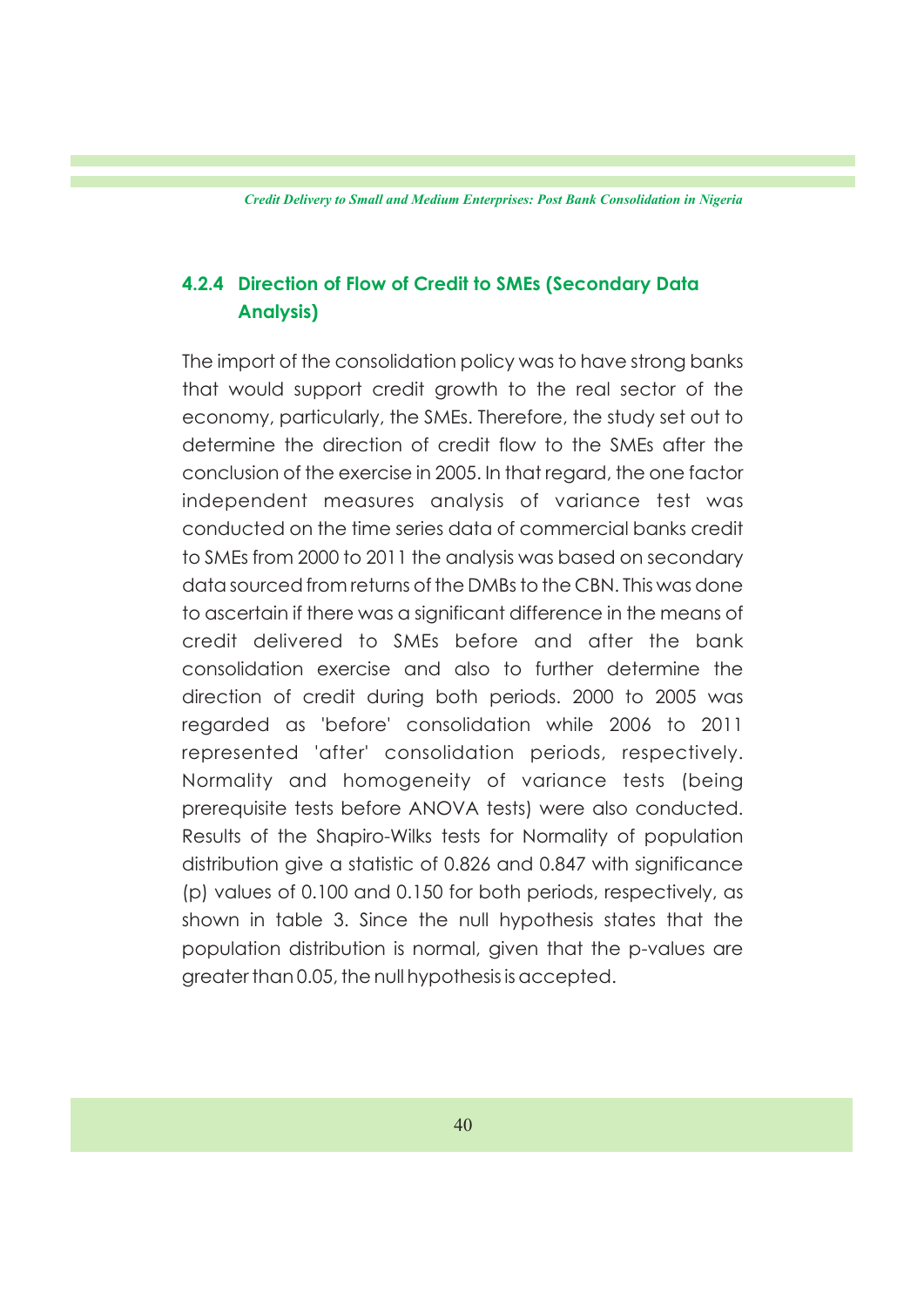# **4.2.4 Direction of Flow of Credit to SMEs (Secondary Data Analysis)**

The import of the consolidation policy was to have strong banks that would support credit growth to the real sector of the economy, particularly, the SMEs. Therefore, the study set out to determine the direction of credit flow to the SMEs after the conclusion of the exercise in 2005. In that regard, the one factor independent measures analysis of variance test was conducted on the time series data of commercial banks credit to SMEs from 2000 to 2011 the analysis was based on secondary data sourced from returns of the DMBs to the CBN. This was done to ascertain if there was a significant difference in the means of credit delivered to SMEs before and after the bank consolidation exercise and also to further determine the direction of credit during both periods. 2000 to 2005 was regarded as 'before' consolidation while 2006 to 2011 represented 'after' consolidation periods, respectively. Normality and homogeneity of variance tests (being prerequisite tests before ANOVA tests) were also conducted. Results of the Shapiro-Wilks tests for Normality of population distribution give a statistic of 0.826 and 0.847 with significance (p) values of 0.100 and 0.150 for both periods, respectively, as shown in table 3. Since the null hypothesis states that the population distribution is normal, given that the p-values are greater than 0.05, the null hypothesis is accepted.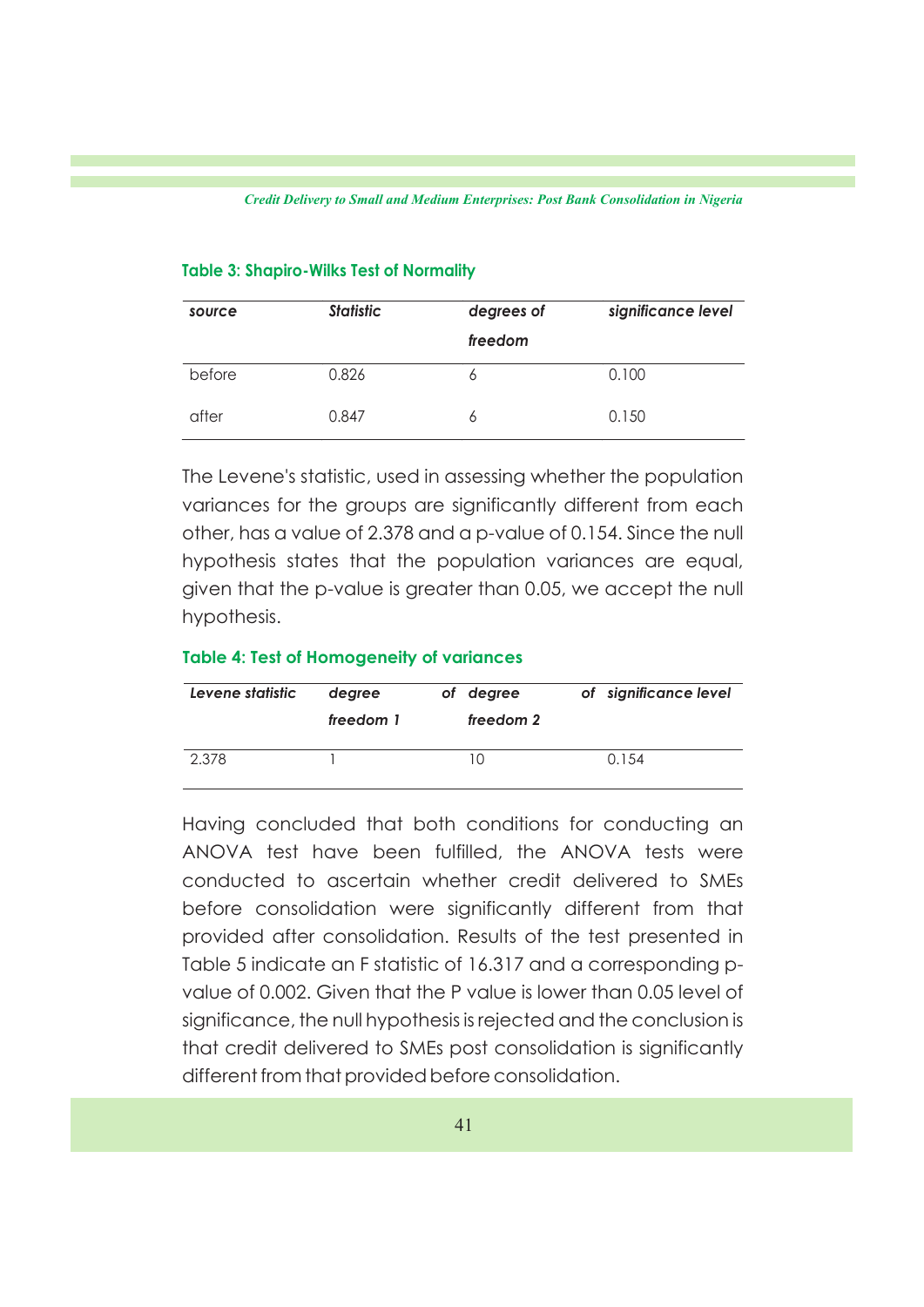#### **Table 3: Shapiro-Wilks Test of Normality**

| source | <b>Statistic</b> | degrees of<br>freedom | significance level |
|--------|------------------|-----------------------|--------------------|
| before | 0.826            |                       | 0.100              |
| after  | 0.847            |                       | 0.150              |

The Levene's statistic, used in assessing whether the population variances for the groups are significantly different from each other, has a value of 2.378 and a p-value of 0.154. Since the null hypothesis states that the population variances are equal, given that the p-value is greater than 0.05, we accept the null hypothesis.

#### **Table 4: Test of Homogeneity of variances**

| Levene statistic | degree<br>freedom 1 | of degree<br>freedom 2 | of significance level |
|------------------|---------------------|------------------------|-----------------------|
| 2.378            |                     | $\vert$ ()             | 0.154                 |

Having concluded that both conditions for conducting an ANOVA test have been fulfilled, the ANOVA tests were conducted to ascertain whether credit delivered to SMEs before consolidation were significantly different from that provided after consolidation. Results of the test presented in Table 5 indicate an F statistic of 16.317 and a corresponding pvalue of 0.002. Given that the P value is lower than 0.05 level of significance, the null hypothesis is rejected and the conclusion is that credit delivered to SMEs post consolidation is significantly different from that provided before consolidation.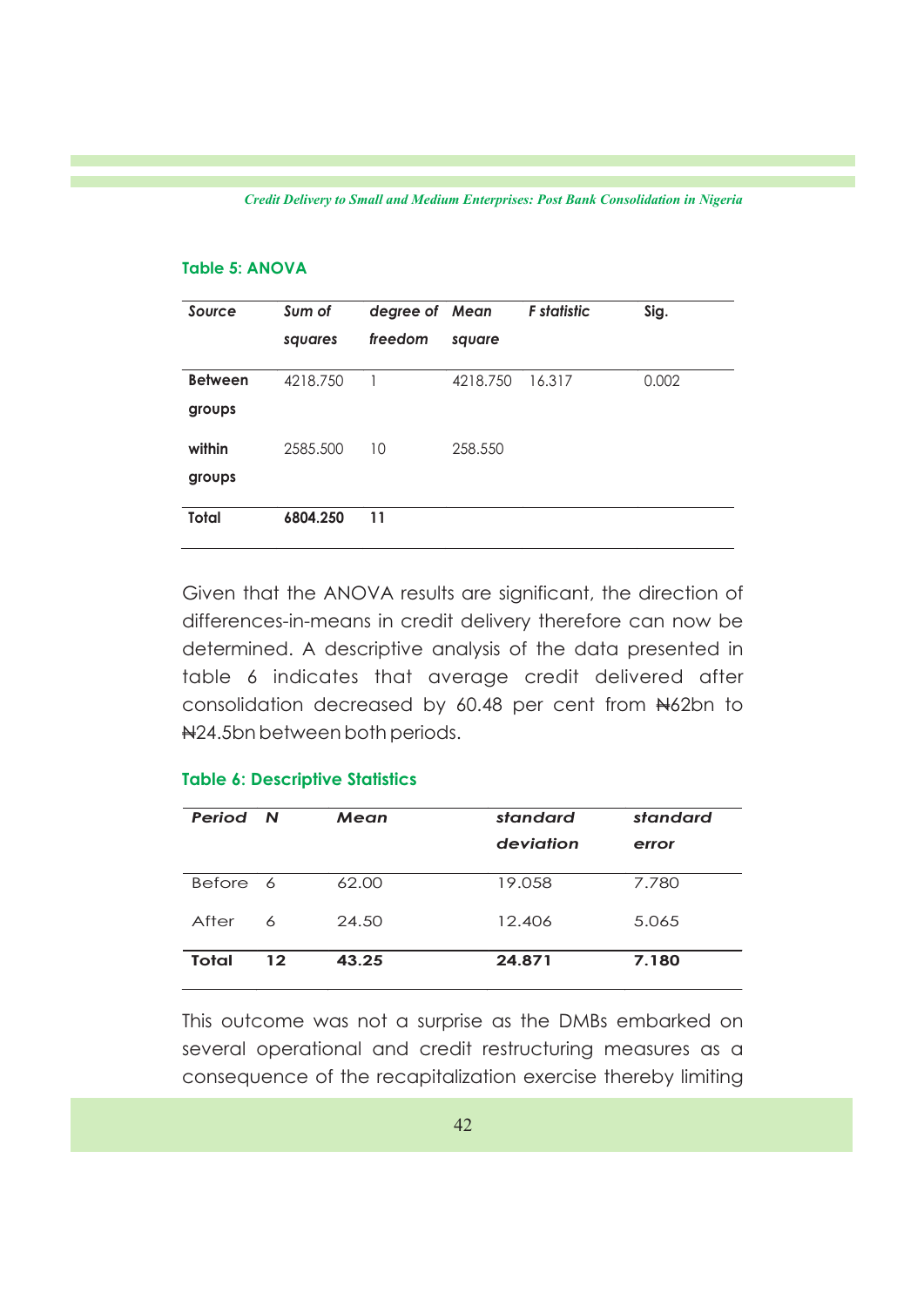#### **Table 5: ANOVA**

| Source         | Sum of   | degree of Mean |          | <b>F</b> statistic | Sig.  |
|----------------|----------|----------------|----------|--------------------|-------|
|                | squares  | freedom        | square   |                    |       |
| <b>Between</b> | 4218.750 |                | 4218.750 | 16.317             | 0.002 |
| groups         |          |                |          |                    |       |
| within         | 2585.500 | 10             | 258.550  |                    |       |
| groups         |          |                |          |                    |       |
| <b>Total</b>   | 6804.250 | 11             |          |                    |       |
|                |          |                |          |                    |       |

Given that the ANOVA results are significant, the direction of differences-in-means in credit delivery therefore can now be determined. A descriptive analysis of the data presented in table 6 indicates that average credit delivered after consolidation decreased by 60.48 per cent from N62bn to N<sub>24.5bn</sub> between both periods.

#### **Table 6: Descriptive Statistics**

| <b>Period</b> | $\overline{N}$ | Mean  | standard  | standard |
|---------------|----------------|-------|-----------|----------|
|               |                |       | deviation | error    |
| Before 6      |                | 62.00 | 19.058    | 7.780    |
|               |                |       |           |          |
| After         | 6              | 24.50 | 12.406    | 5.065    |
|               |                |       |           |          |
| Total         | 12             | 43.25 | 24.871    | 7.180    |
|               |                |       |           |          |

This outcome was not a surprise as the DMBs embarked on several operational and credit restructuring measures as a consequence of the recapitalization exercise thereby limiting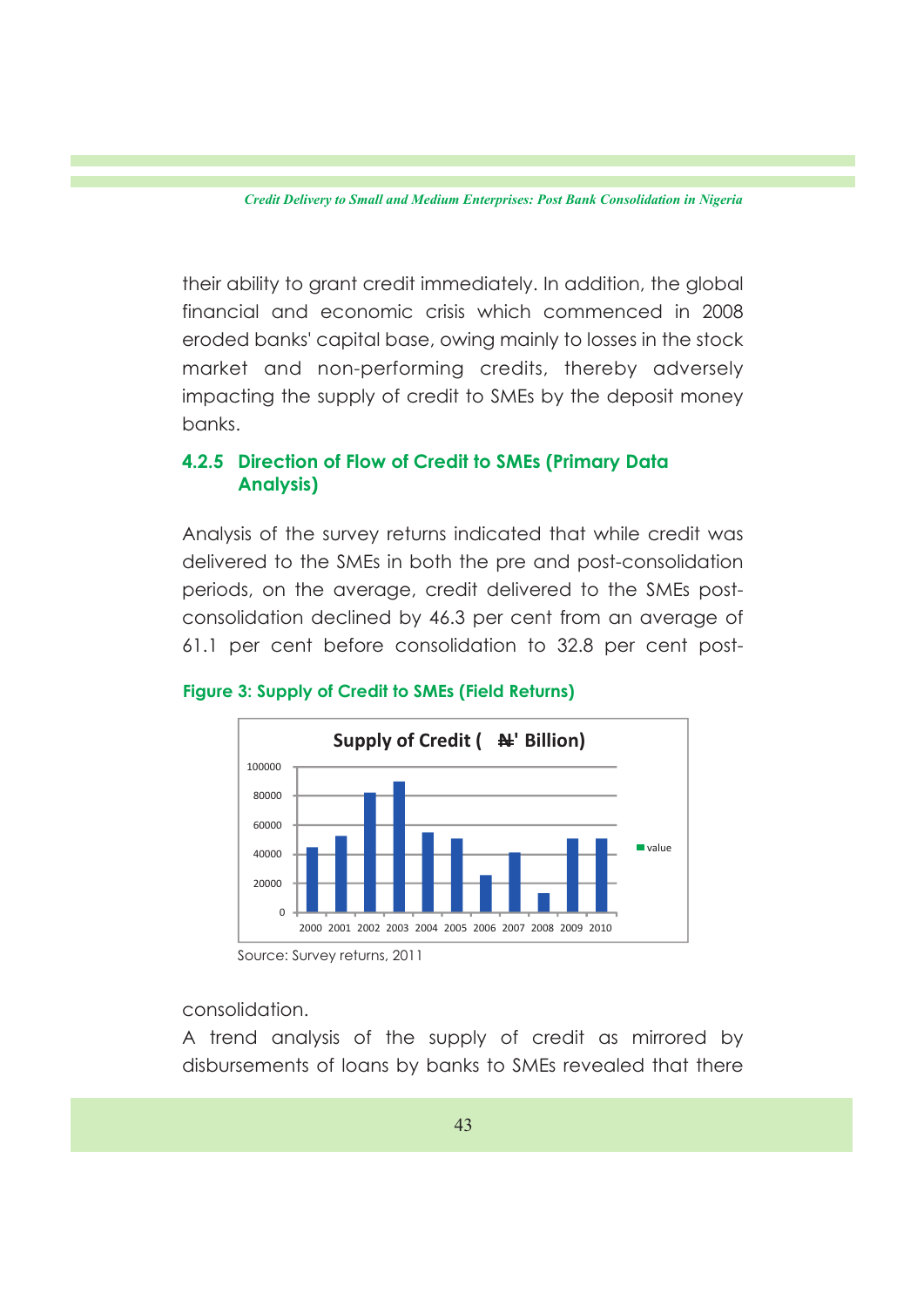their ability to grant credit immediately. In addition, the global financial and economic crisis which commenced in 2008 eroded banks' capital base, owing mainly to losses in the stock market and non-performing credits, thereby adversely impacting the supply of credit to SMEs by the deposit money banks.

# **4.2.5 Direction of Flow of Credit to SMEs (Primary Data Analysis)**

Analysis of the survey returns indicated that while credit was delivered to the SMEs in both the pre and post-consolidation periods, on the average, credit delivered to the SMEs postconsolidation declined by 46.3 per cent from an average of 61.1 per cent before consolidation to 32.8 per cent post-



#### **Figure 3: Supply of Credit to SMEs (Field Returns)**

Source: Survey returns, 2011

consolidation.

A trend analysis of the supply of credit as mirrored by disbursements of loans by banks to SMEs revealed that there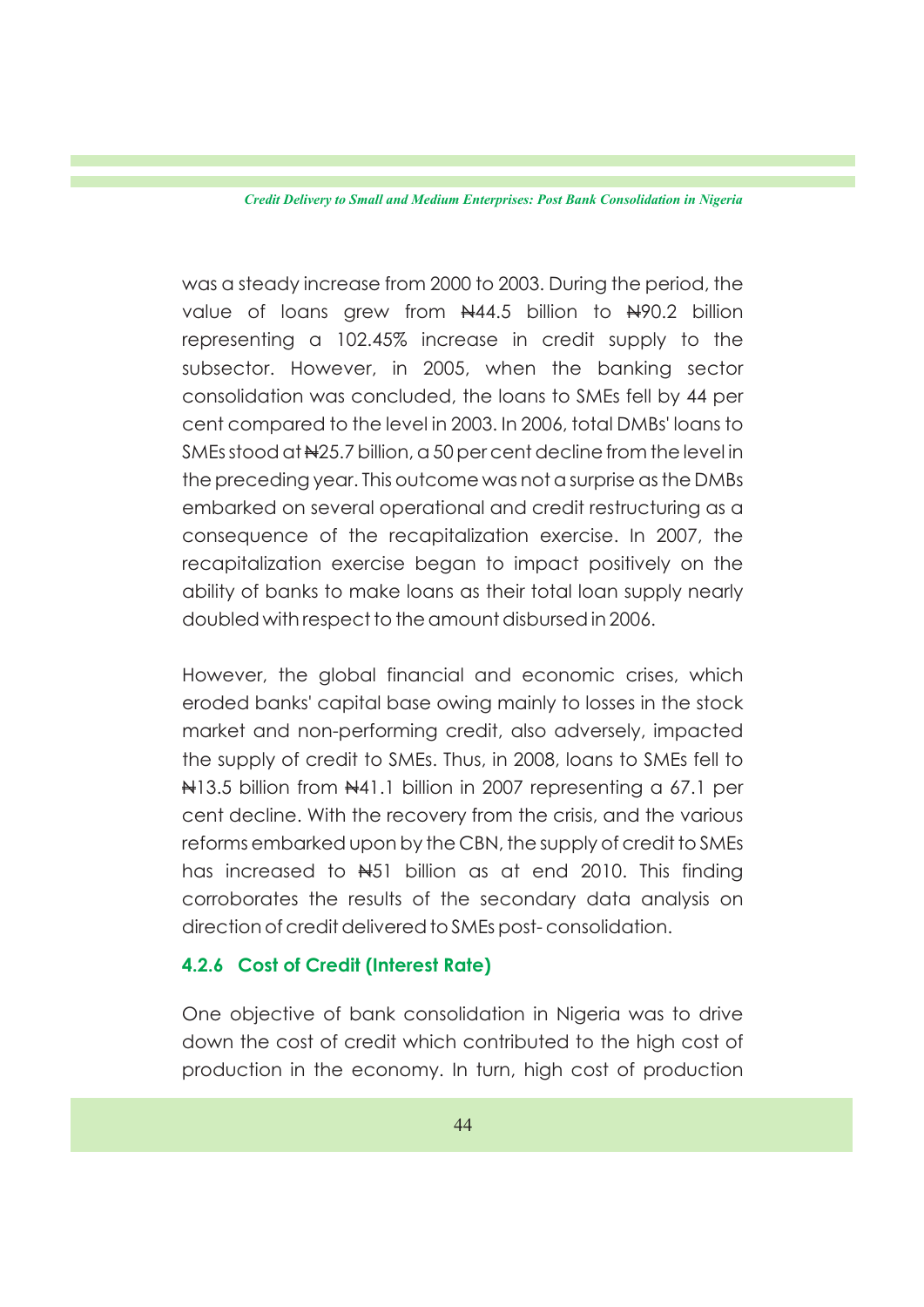was a steady increase from 2000 to 2003. During the period, the value of loans grew from  $\frac{144.5}{1000}$  billion to  $\frac{1490.2}{1000}$  billion representing a 102.45% increase in credit supply to the subsector. However, in 2005, when the banking sector consolidation was concluded, the loans to SMEs fell by 44 per cent compared to the level in 2003. In 2006, total DMBs' loans to SMEs stood at N25.7 billion, a 50 per cent decline from the level in the preceding year. This outcome was not a surprise as the DMBs embarked on several operational and credit restructuring as a consequence of the recapitalization exercise. In 2007, the recapitalization exercise began to impact positively on the ability of banks to make loans as their total loan supply nearly doubled with respect to the amount disbursed in 2006.

However, the global financial and economic crises, which eroded banks' capital base owing mainly to losses in the stock market and non-performing credit, also adversely, impacted the supply of credit to SMEs. Thus, in 2008, loans to SMEs fell to N13.5 billion from N41.1 billion in 2007 representing a 67.1 per cent decline. With the recovery from the crisis, and the various reforms embarked upon by the CBN, the supply of credit to SMEs has increased to  $H_{51}$  billion as at end 2010. This finding corroborates the results of the secondary data analysis on direction of credit delivered to SMEs post- consolidation.

## **4.2.6 Cost of Credit (Interest Rate)**

One objective of bank consolidation in Nigeria was to drive down the cost of credit which contributed to the high cost of production in the economy. In turn, high cost of production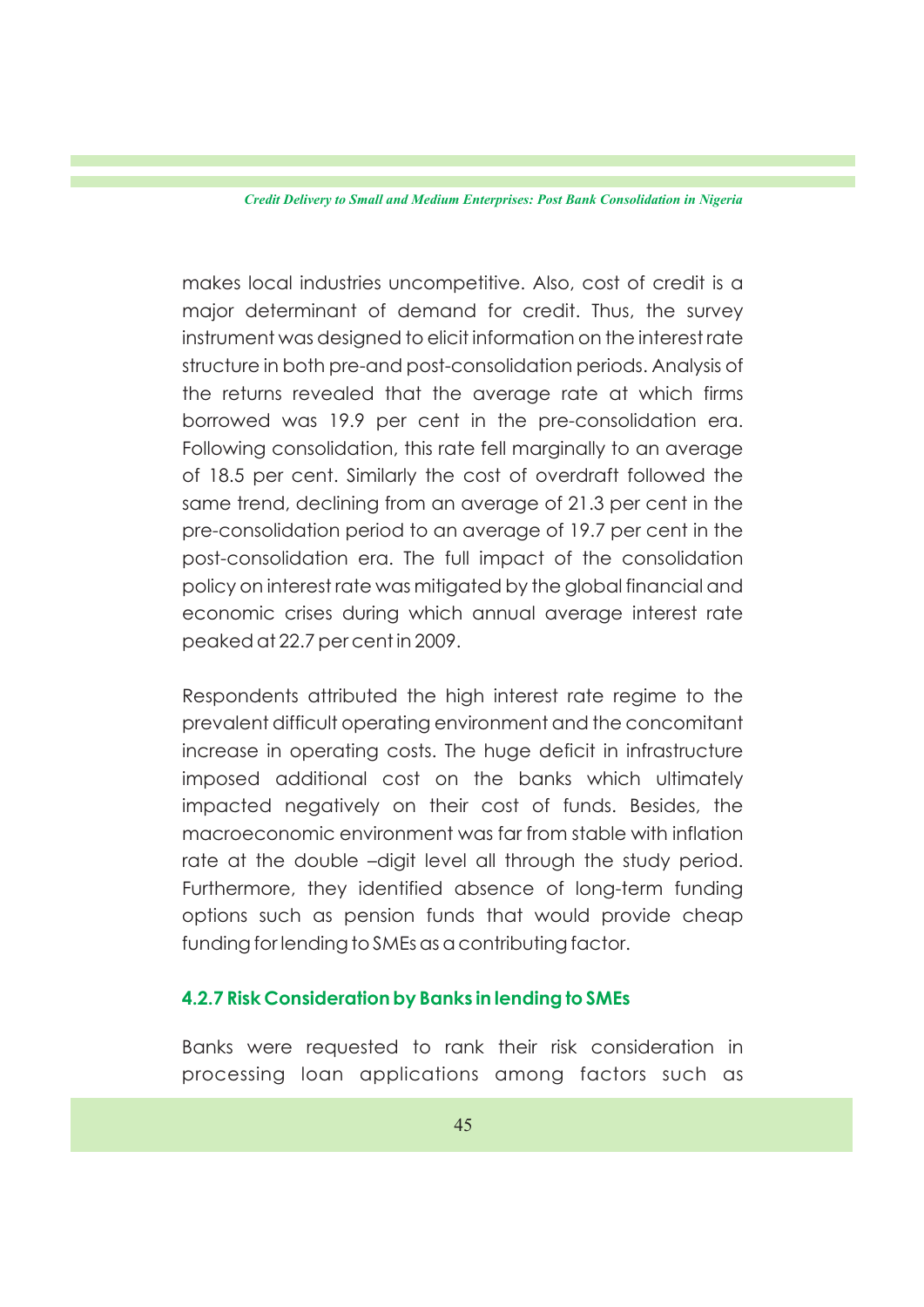makes local industries uncompetitive. Also, cost of credit is a major determinant of demand for credit. Thus, the survey instrument was designed to elicit information on the interest rate structure in both pre-and post-consolidation periods. Analysis of the returns revealed that the average rate at which firms borrowed was 19.9 per cent in the pre-consolidation era. Following consolidation, this rate fell marginally to an average of 18.5 per cent. Similarly the cost of overdraft followed the same trend, declining from an average of 21.3 per cent in the pre-consolidation period to an average of 19.7 per cent in the post-consolidation era. The full impact of the consolidation policy on interest rate was mitigated by the global financial and economic crises during which annual average interest rate peaked at 22.7 per cent in 2009.

Respondents attributed the high interest rate regime to the prevalent difficult operating environment and the concomitant increase in operating costs. The huge deficit in infrastructure imposed additional cost on the banks which ultimately impacted negatively on their cost of funds. Besides, the macroeconomic environment was far from stable with inflation rate at the double –digit level all through the study period. Furthermore, they identified absence of long-term funding options such as pension funds that would provide cheap funding for lending to SMEs as a contributing factor.

## **4.2.7 Risk Consideration by Banks in lending to SMEs**

Banks were requested to rank their risk consideration in processing loan applications among factors such as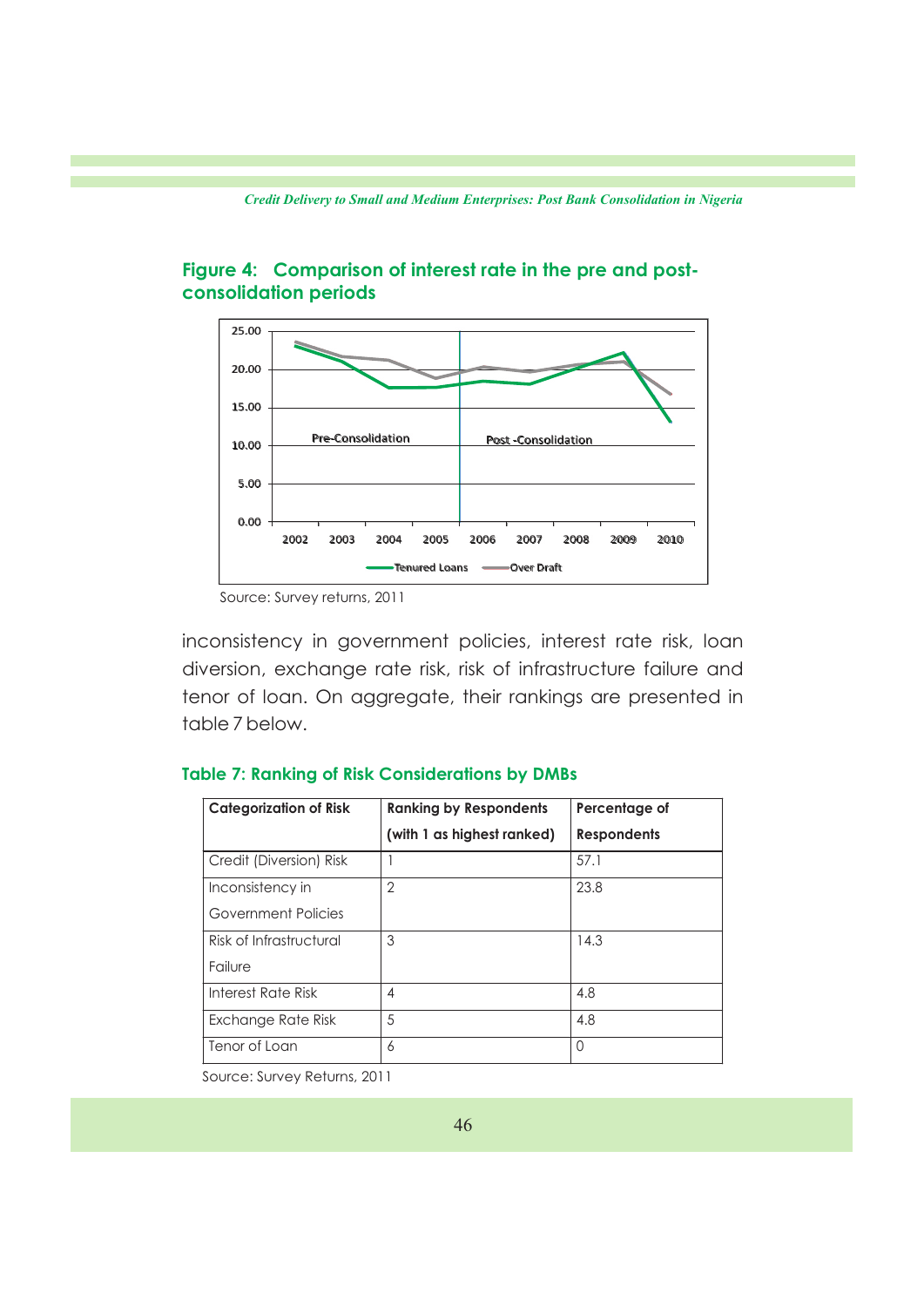

## **Figure 4: Comparison of interest rate in the pre and postconsolidation periods**

inconsistency in government policies, interest rate risk, loan diversion, exchange rate risk, risk of infrastructure failure and tenor of loan. On aggregate, their rankings are presented in table 7 below.

#### **Categorization of Risk Ranking by Respondents (with 1 as highest ranked) Percentage of Respondents** Credit (Diversion) Risk 1 57.1 Inconsistency in Government Policies 2 23.8 Risk of Infrastructural Failure 3 14.3 Interest Rate Risk 4.8 Exchange Rate Risk  $\begin{array}{|c|c|c|c|c|} \hline 5 & 4.8 & \hline \end{array}$ Tenor of Loan 6 0

# **Table 7: Ranking of Risk Considerations by DMBs**

Source: Survey Returns, 2011

Source: Survey returns, 2011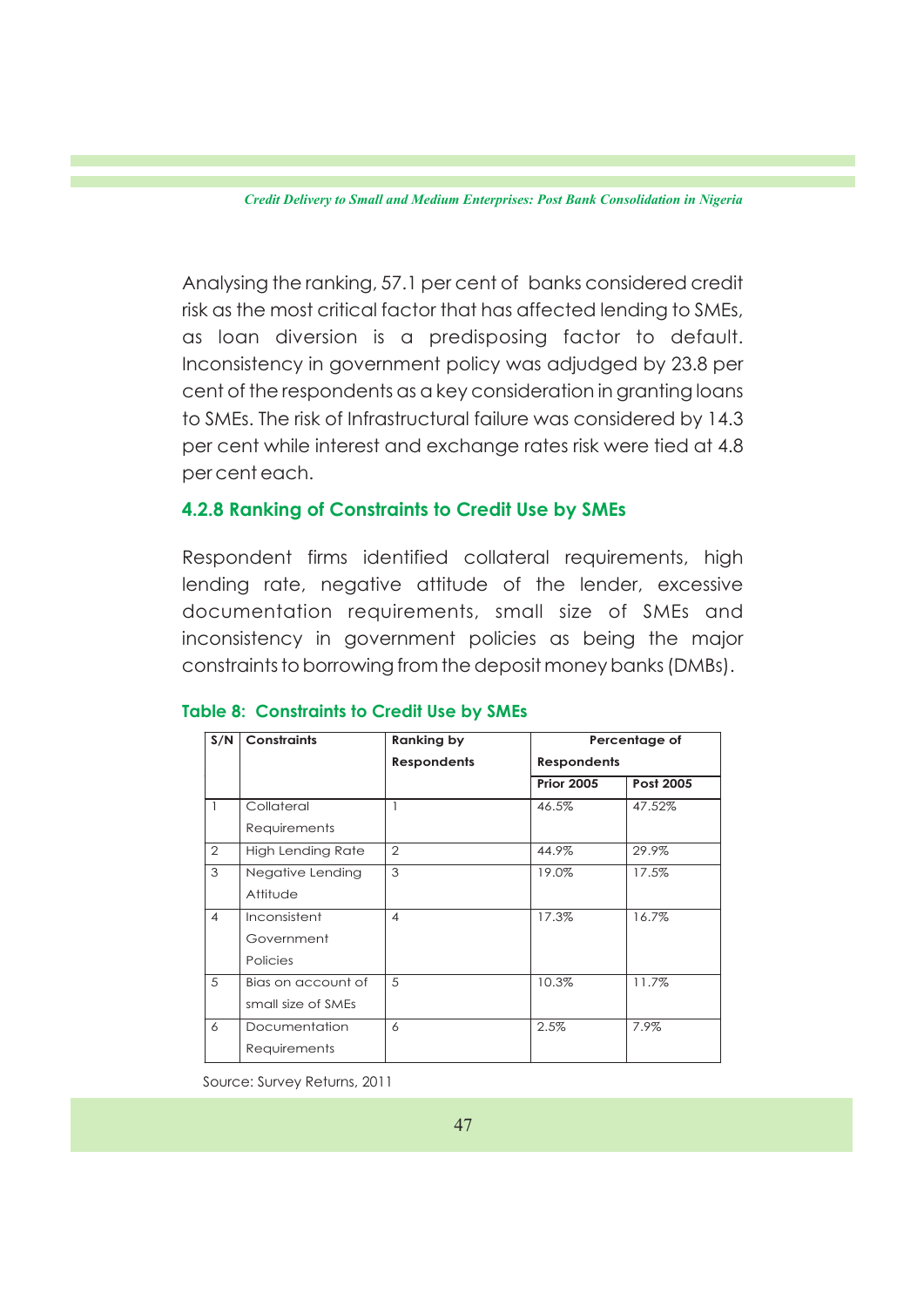Analysing the ranking, 57.1 per cent of banks considered credit risk as the most critical factor that has affected lending to SMEs, as loan diversion is a predisposing factor to default. Inconsistency in government policy was adjudged by 23.8 per cent of the respondents as a key consideration in granting loans to SMEs. The risk of Infrastructural failure was considered by 14.3 per cent while interest and exchange rates risk were tied at 4.8 per cent each.

## **4.2.8 Ranking of Constraints to Credit Use by SMEs**

Respondent firms identified collateral requirements, high lending rate, negative attitude of the lender, excessive documentation requirements, small size of SMEs and inconsistency in government policies as being the major constraints to borrowing from the deposit money banks (DMBs).

| S/N            | <b>Constraints</b> | Ranking by         | Percentage of      |           |  |
|----------------|--------------------|--------------------|--------------------|-----------|--|
|                |                    | <b>Respondents</b> | <b>Respondents</b> |           |  |
|                |                    |                    | <b>Prior 2005</b>  | Post 2005 |  |
| 1              | Collateral         | 1                  | 46.5%              | 47.52%    |  |
|                | Requirements       |                    |                    |           |  |
| 2              | High Lending Rate  | $\overline{2}$     | 44.9%              | 29.9%     |  |
| 3              | Negative Lending   | 3                  | 19.0%              | 17.5%     |  |
|                | Attitude           |                    |                    |           |  |
| $\overline{4}$ | Inconsistent       | $\overline{4}$     | 17.3%              | 16.7%     |  |
|                | Government         |                    |                    |           |  |
|                | Policies           |                    |                    |           |  |
| 5              | Bias on account of | 5                  | 10.3%              | 11.7%     |  |
|                | small size of SMEs |                    |                    |           |  |
| 6              | Documentation      | 6                  | 2.5%               | 7.9%      |  |
|                | Requirements       |                    |                    |           |  |

#### **Table 8: Constraints to Credit Use by SMEs**

Source: Survey Returns, 2011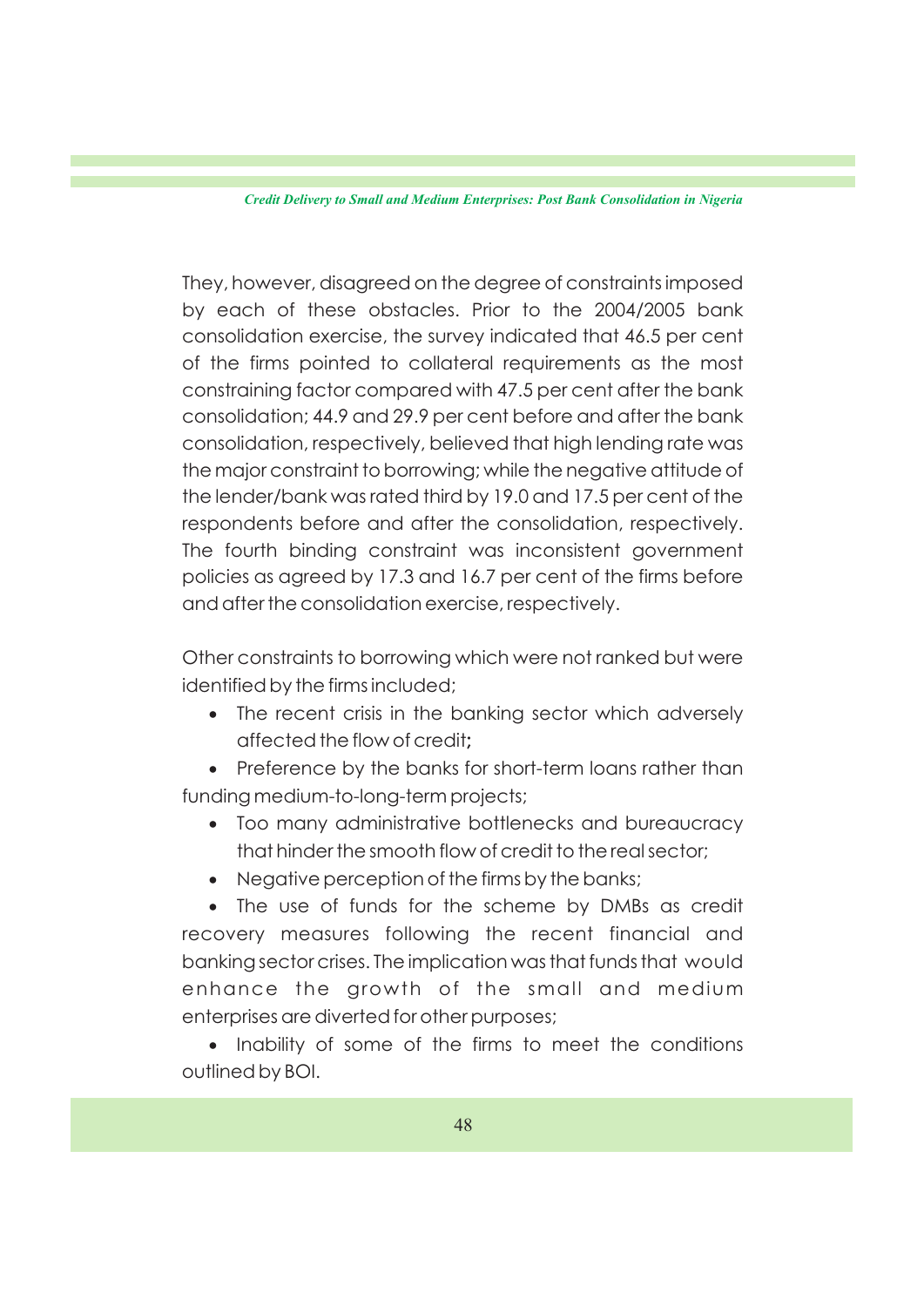They, however, disagreed on the degree of constraints imposed by each of these obstacles. Prior to the 2004/2005 bank consolidation exercise, the survey indicated that 46.5 per cent of the firms pointed to collateral requirements as the most constraining factor compared with 47.5 per cent after the bank consolidation; 44.9 and 29.9 per cent before and after the bank consolidation, respectively, believed that high lending rate was the major constraint to borrowing; while the negative attitude of the lender/bank was rated third by 19.0 and 17.5 per cent of the respondents before and after the consolidation, respectively. The fourth binding constraint was inconsistent government policies as agreed by 17.3 and 16.7 per cent of the firms before and after the consolidation exercise, respectively.

Other constraints to borrowing which were not ranked but were identified by the firms included;

- The recent crisis in the banking sector which adversely affected the flow of credit**;**
- Preference by the banks for short-term loans rather than funding medium-to-long-term projects;
	- ·Too many administrative bottlenecks and bureaucracy that hinder the smooth flow of credit to the real sector;
	- ·Negative perception of the firms by the banks;

• The use of funds for the scheme by DMBs as credit recovery measures following the recent financial and banking sector crises. The implication was that funds that would enhance the growth of the small and medium enterprises are diverted for other purposes;

·Inability of some of the firms to meet the conditions outlined by BOI.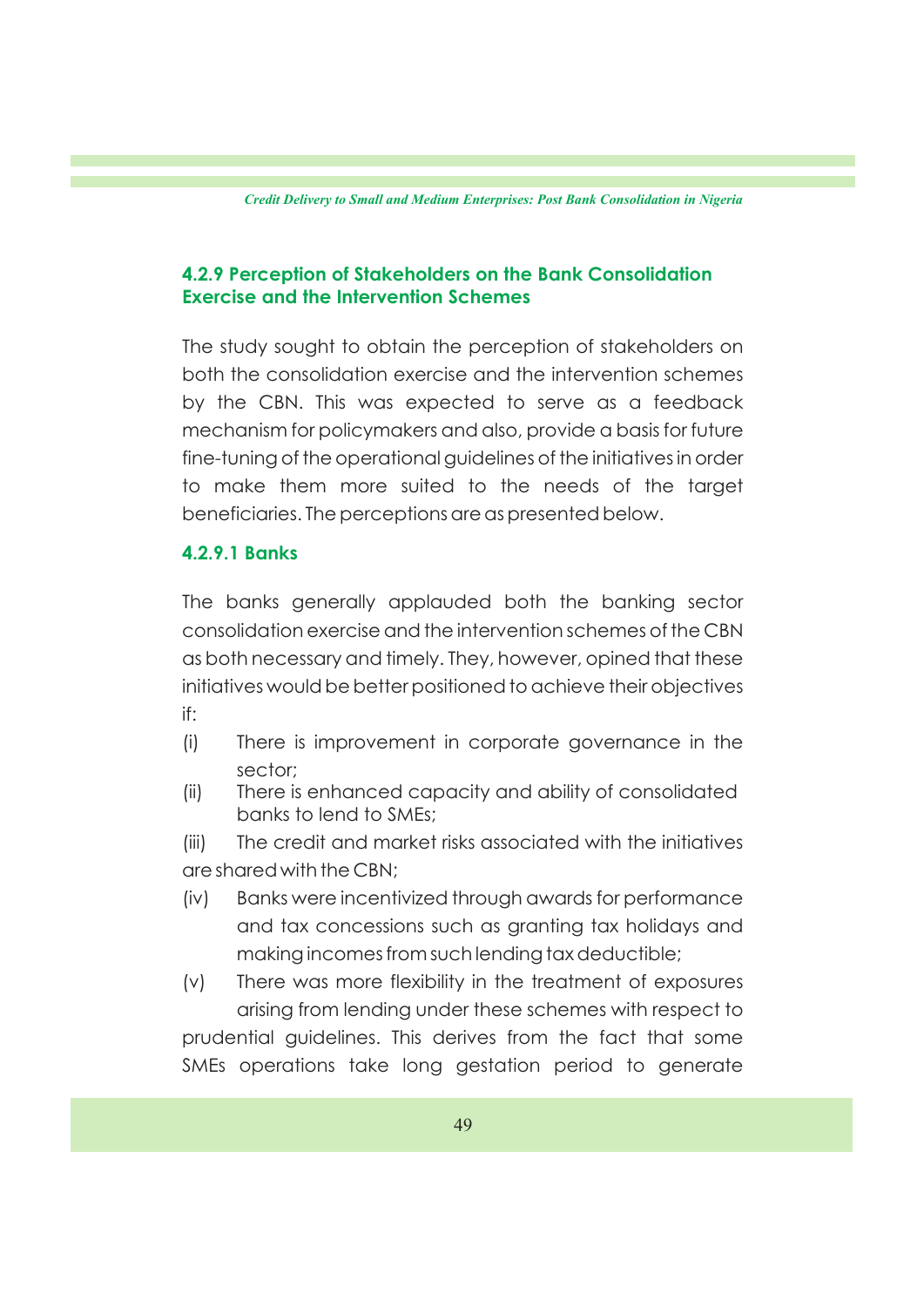# **4.2.9 Perception of Stakeholders on the Bank Consolidation Exercise and the Intervention Schemes**

The study sought to obtain the perception of stakeholders on both the consolidation exercise and the intervention schemes by the CBN. This was expected to serve as a feedback mechanism for policymakers and also, provide a basis for future fine-tuning of the operational guidelines of the initiatives in order to make them more suited to the needs of the target beneficiaries. The perceptions are as presented below.

## **4.2.9.1 Banks**

The banks generally applauded both the banking sector consolidation exercise and the intervention schemes of the CBN as both necessary and timely. They, however, opined that these initiatives would be better positioned to achieve their objectives if:

- (i) There is improvement in corporate governance in the sector;
- (ii) There is enhanced capacity and ability of consolidated banks to lend to SMEs;
- (iii) The credit and market risks associated with the initiatives are shared with the CBN;
- (iv) Banks were incentivized through awards for performance and tax concessions such as granting tax holidays and making incomes from such lending tax deductible;
- (v) There was more flexibility in the treatment of exposures arising from lending under these schemes with respect to prudential guidelines. This derives from the fact that some SMEs operations take long gestation period to generate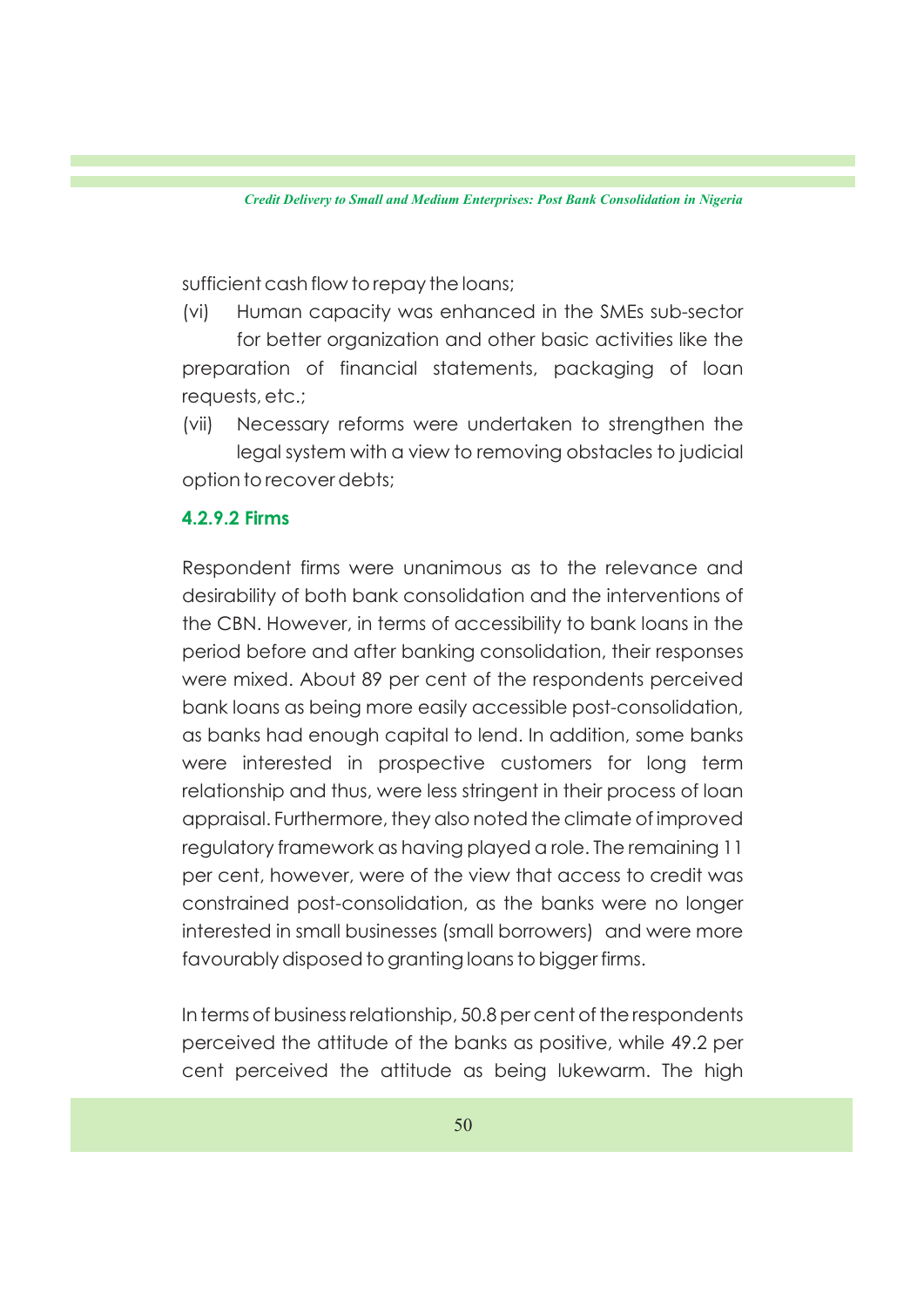sufficient cash flow to repay the loans;

(vi) Human capacity was enhanced in the SMEs sub-sector for better organization and other basic activities like the preparation of financial statements, packaging of loan requests, etc.;

(vii) Necessary reforms were undertaken to strengthen the legal system with a view to removing obstacles to judicial option to recover debts;

## **4.2.9.2 Firms**

Respondent firms were unanimous as to the relevance and desirability of both bank consolidation and the interventions of the CBN. However, in terms of accessibility to bank loans in the period before and after banking consolidation, their responses were mixed. About 89 per cent of the respondents perceived bank loans as being more easily accessible post-consolidation, as banks had enough capital to lend. In addition, some banks were interested in prospective customers for long term relationship and thus, were less stringent in their process of loan appraisal. Furthermore, they also noted the climate of improved regulatory framework as having played a role. The remaining 11 per cent, however, were of the view that access to credit was constrained post-consolidation, as the banks were no longer interested in small businesses (small borrowers) and were more favourably disposed to granting loans to bigger firms.

In terms of business relationship, 50.8 per cent of the respondents perceived the attitude of the banks as positive, while 49.2 per cent perceived the attitude as being lukewarm. The high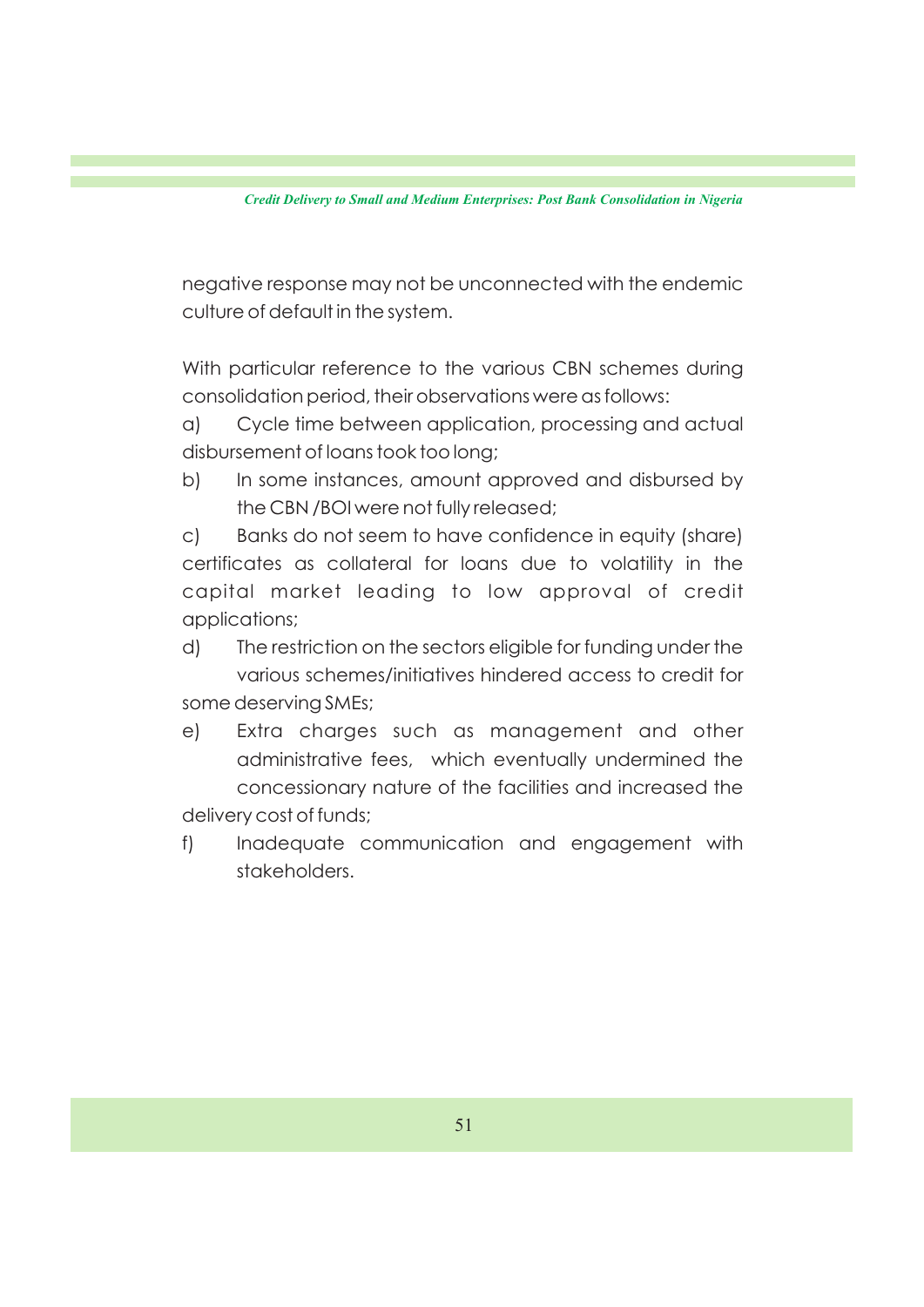negative response may not be unconnected with the endemic culture of default in the system.

With particular reference to the various CBN schemes during consolidation period, their observations were as follows:

a) Cycle time between application, processing and actual disbursement of loans took too long;

b) In some instances, amount approved and disbursed by the CBN /BOI were not fully released;

c) Banks do not seem to have confidence in equity (share) certificates as collateral for loans due to volatility in the capital market leading to low approval of credit applications;

- d) The restriction on the sectors eligible for funding under the various schemes/initiatives hindered access to credit for some deserving SMEs;
- e) Extra charges such as management and other administrative fees, which eventually undermined the concessionary nature of the facilities and increased the delivery cost of funds;
- f) Inadequate communication and engagement with stakeholders.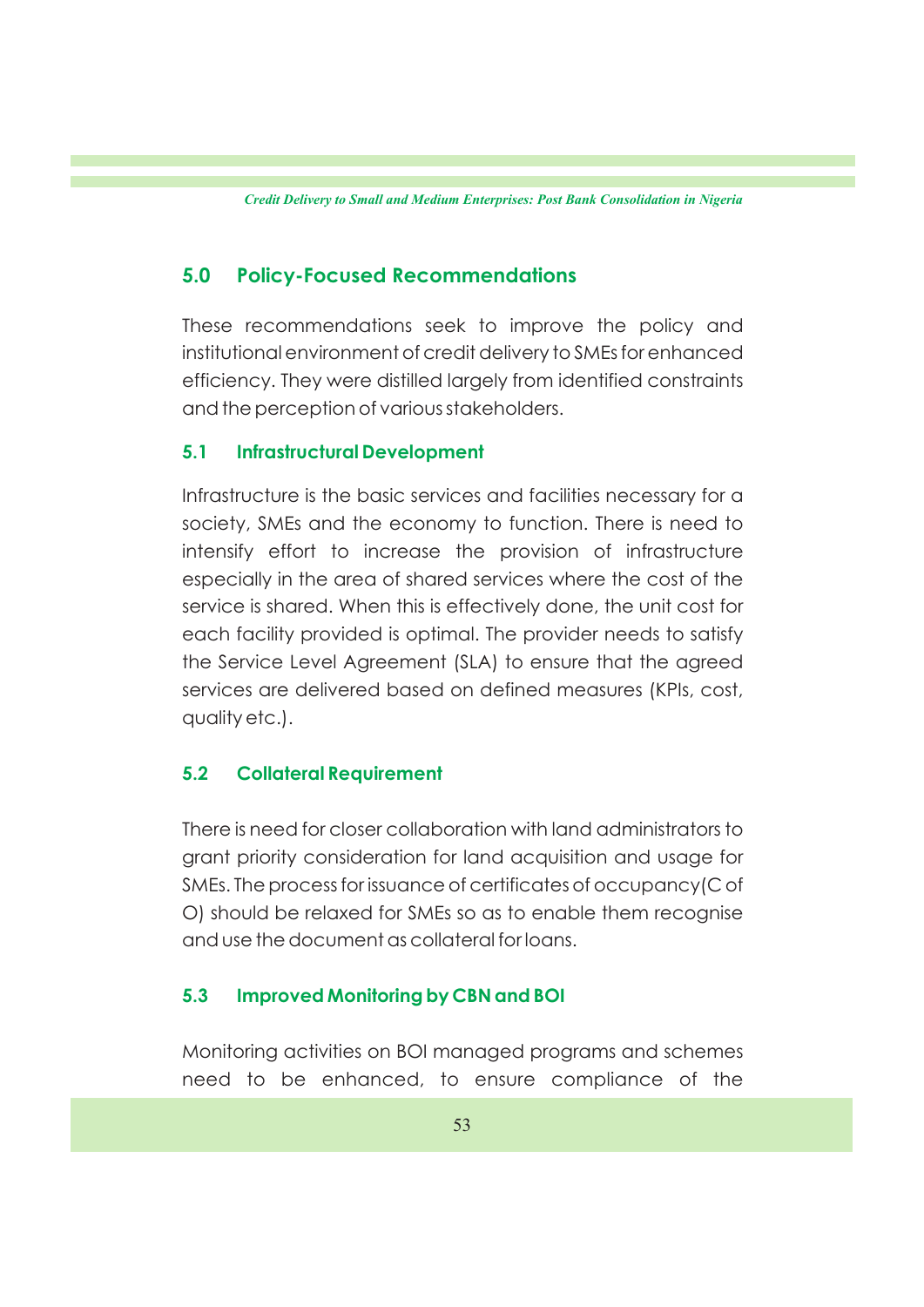## **5.0 Policy-Focused Recommendations**

These recommendations seek to improve the policy and institutional environment of credit delivery to SMEs for enhanced efficiency. They were distilled largely from identified constraints and the perception of various stakeholders.

#### **5.1 Infrastructural Development**

Infrastructure is the basic services and facilities necessary for a society, SMEs and the economy to function. There is need to intensify effort to increase the provision of infrastructure especially in the area of shared services where the cost of the service is shared. When this is effectively done, the unit cost for each facility provided is optimal. The provider needs to satisfy the Service Level Agreement (SLA) to ensure that the agreed services are delivered based on defined measures (KPIs, cost, quality etc.).

## **5.2 Collateral Requirement**

There is need for closer collaboration with land administrators to grant priority consideration for land acquisition and usage for SMEs. The process for issuance of certificates of occupancy(C of O) should be relaxed for SMEs so as to enable them recognise and use the document as collateral for loans.

#### **5.3 Improved Monitoring by CBN and BOI**

Monitoring activities on BOI managed programs and schemes need to be enhanced, to ensure compliance of the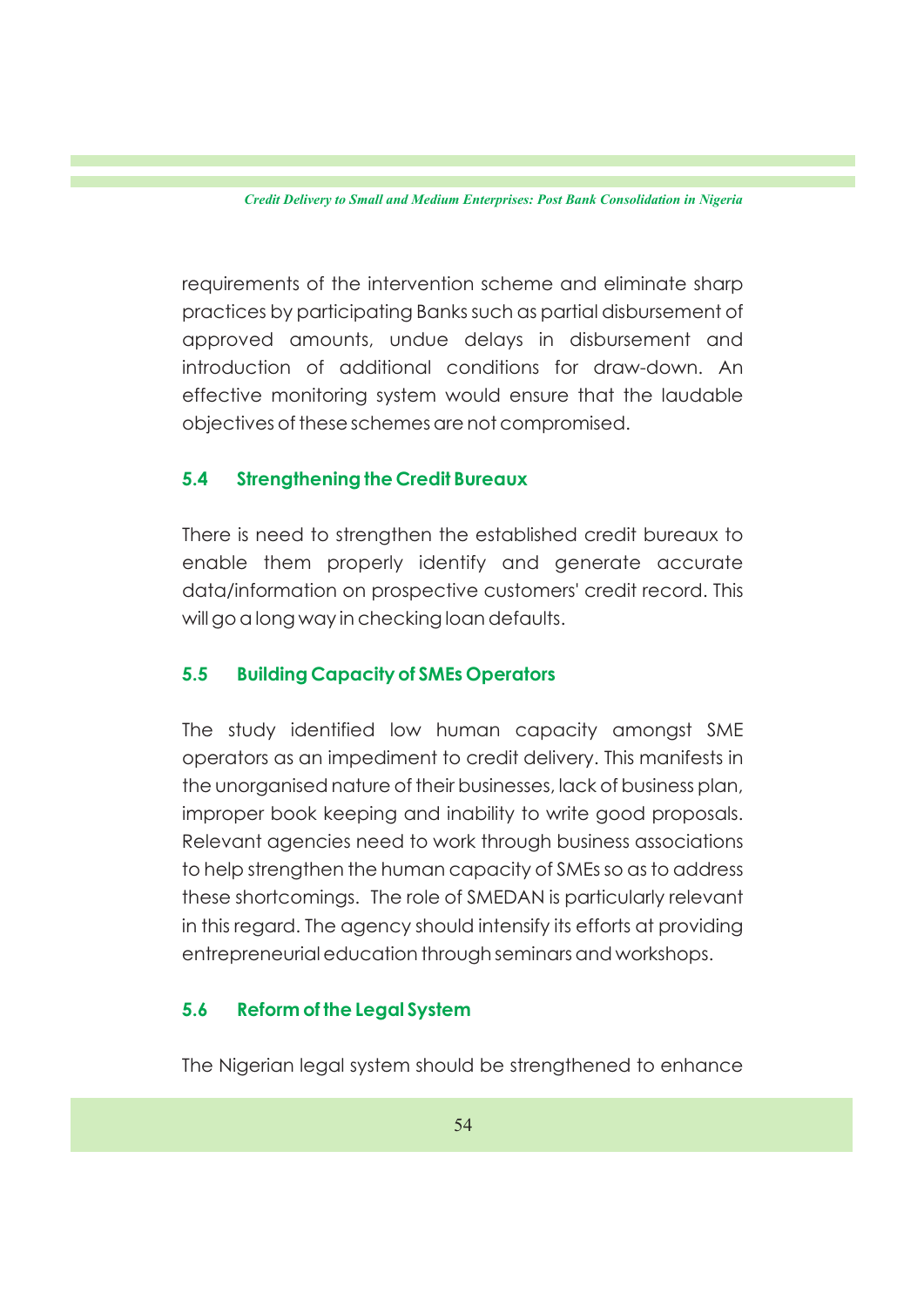requirements of the intervention scheme and eliminate sharp practices by participating Banks such as partial disbursement of approved amounts, undue delays in disbursement and introduction of additional conditions for draw-down. An effective monitoring system would ensure that the laudable objectives of these schemes are not compromised.

## **5.4 Strengthening the Credit Bureaux**

There is need to strengthen the established credit bureaux to enable them properly identify and generate accurate data/information on prospective customers' credit record. This will go a long way in checking loan defaults.

## **5.5 Building Capacity of SMEs Operators**

The study identified low human capacity amongst SME operators as an impediment to credit delivery. This manifests in the unorganised nature of their businesses, lack of business plan, improper book keeping and inability to write good proposals. Relevant agencies need to work through business associations to help strengthen the human capacity of SMEs so as to address these shortcomings. The role of SMEDAN is particularly relevant in this regard. The agency should intensify its efforts at providing entrepreneurial education through seminars and workshops.

## **5.6 Reform of the Legal System**

The Nigerian legal system should be strengthened to enhance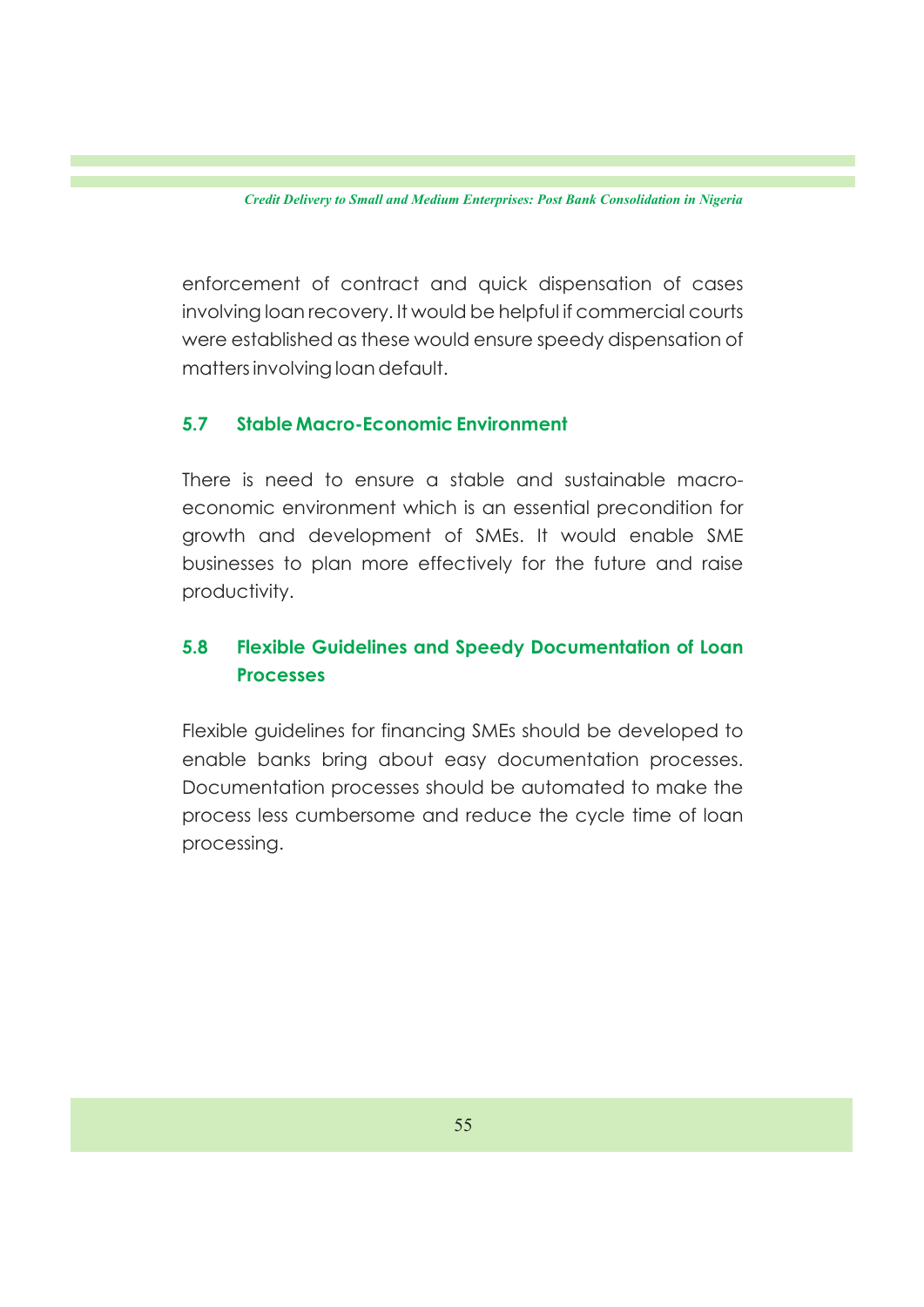enforcement of contract and quick dispensation of cases involving loan recovery. It would be helpful if commercial courts were established as these would ensure speedy dispensation of matters involving loan default.

#### **5.7 Stable Macro-Economic Environment**

There is need to ensure a stable and sustainable macroeconomic environment which is an essential precondition for growth and development of SMEs. It would enable SME businesses to plan more effectively for the future and raise productivity.

# **5.8 Flexible Guidelines and Speedy Documentation of Loan Processes**

Flexible guidelines for financing SMEs should be developed to enable banks bring about easy documentation processes. Documentation processes should be automated to make the process less cumbersome and reduce the cycle time of loan processing.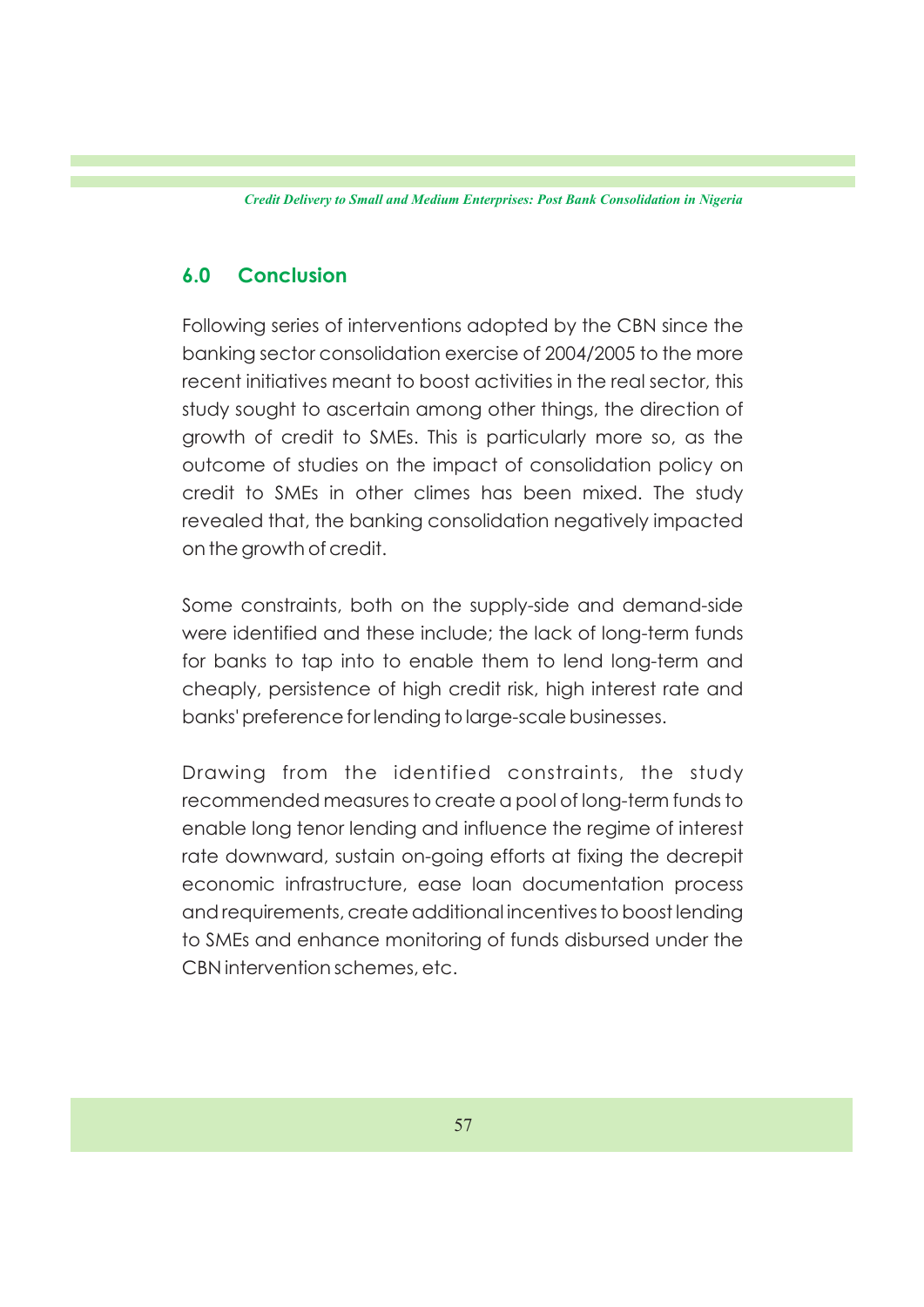# **6.0 Conclusion**

Following series of interventions adopted by the CBN since the banking sector consolidation exercise of 2004/2005 to the more recent initiatives meant to boost activities in the real sector, this study sought to ascertain among other things, the direction of growth of credit to SMEs. This is particularly more so, as the outcome of studies on the impact of consolidation policy on credit to SMEs in other climes has been mixed. The study revealed that, the banking consolidation negatively impacted on the growth of credit.

Some constraints, both on the supply-side and demand-side were identified and these include; the lack of long-term funds for banks to tap into to enable them to lend long-term and cheaply, persistence of high credit risk, high interest rate and banks' preference for lending to large-scale businesses.

Drawing from the identified constraints, the study recommended measures to create a pool of long-term funds to enable long tenor lending and influence the regime of interest rate downward, sustain on-going efforts at fixing the decrepit economic infrastructure, ease loan documentation process and requirements, create additional incentives to boost lending to SMEs and enhance monitoring of funds disbursed under the CBN intervention schemes, etc.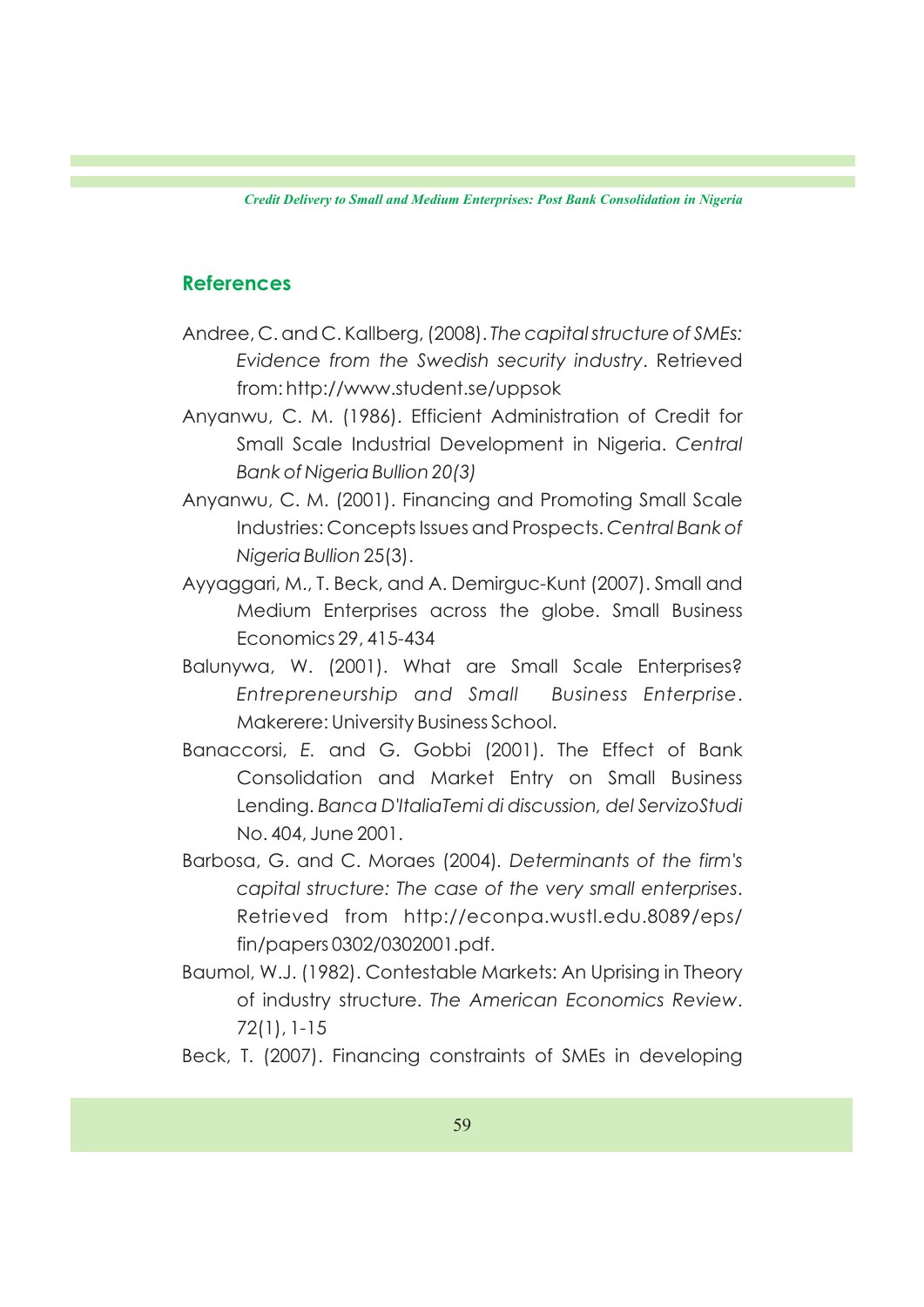## **References**

- Andree, C. and C. Kallberg, (2008). *The capital structure of SMEs: Evidence from the Swedish security industry*. Retrieved from: http://www.student.se/uppsok
- Anyanwu, C. M. (1986). Efficient Administration of Credit for Small Scale Industrial Development in Nigeria. *Central Bank of Nigeria Bullion 20(3)*
- Anyanwu, C. M. (2001). Financing and Promoting Small Scale Industries: Concepts Issues and Prospects. *Central Bank of Nigeria Bullion* 25(3).
- Ayyaggari, M., T. Beck, and A. Demirguc-Kunt (2007). Small and Medium Enterprises across the globe. Small Business Economics 29, 415-434
- Balunywa, W. (2001). What are Small Scale Enterprises? *Entrepreneurship and Small Business Enterprise*. Makerere: University Business School.
- Banaccorsi, *E.* and G. Gobbi (2001). The Effect of Bank Consolidation and Market Entry on Small Business Lending. *Banca D'ItaliaTemi di discussion, del ServizoStudi* No. 404, June 2001.
- Barbosa, G. and C. Moraes (2004)*. Determinants of the firm's capital structure: The case of the very small enterprises*. Retrieved from http://econpa.wustl.edu.8089/eps/ fin/papers 0302/0302001.pdf.
- Baumol, W.J. (1982). Contestable Markets: An Uprising in Theory of industry structure. *The American Economics Review*. 72(1), 1-15
- Beck, T. (2007). Financing constraints of SMEs in developing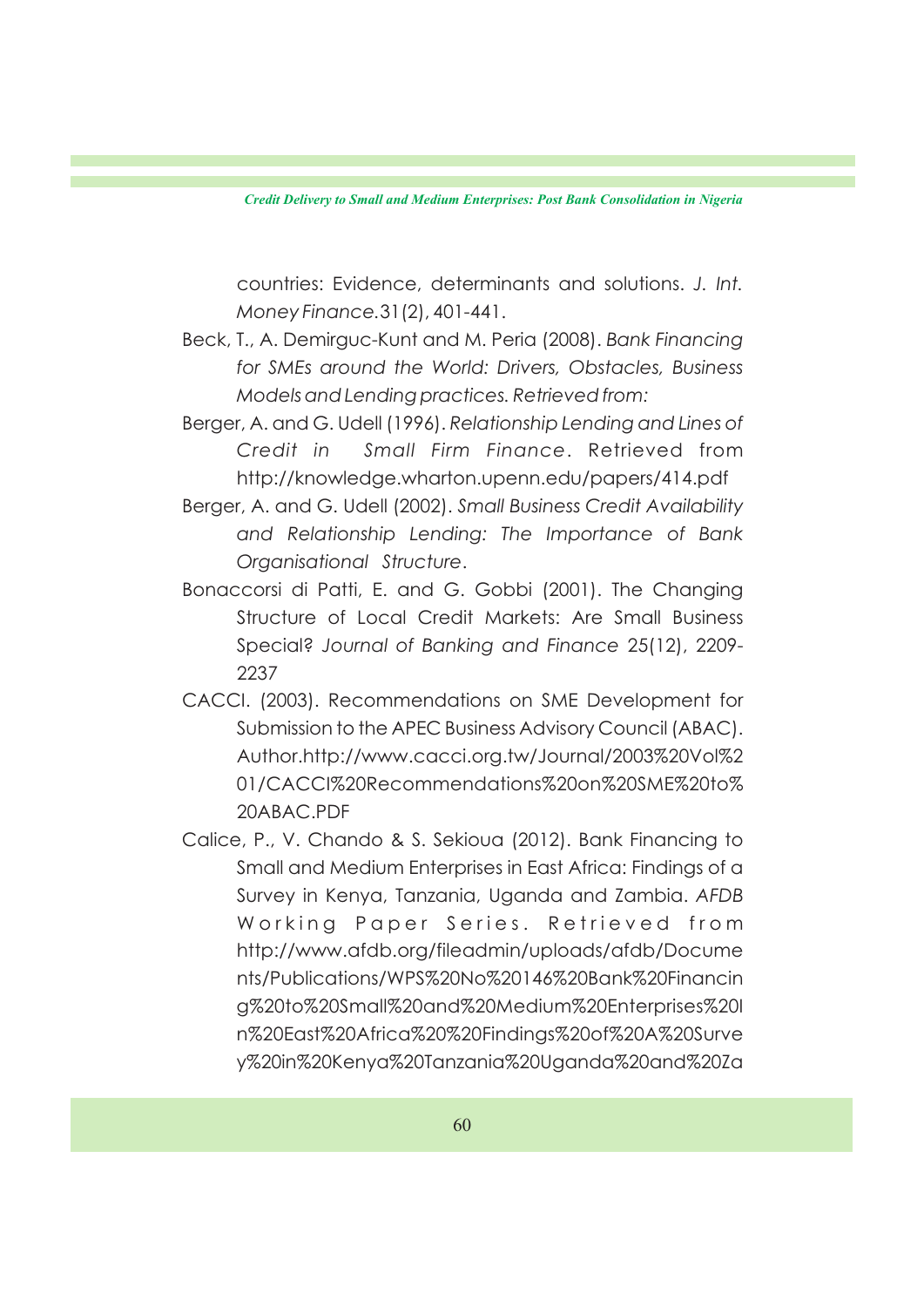countries: Evidence, determinants and solutions. *J. Int. Money Finance.*31(2), 401-441.

- Beck, T., A. Demirguc-Kunt and M. Peria (2008). *Bank Financing for SMEs around the World: Drivers, Obstacles, Business Models and Lending practices. Retrieved from:*
- Berger, A. and G. Udell (1996). *Relationship Lending and Lines of Credit in Small Firm Finance*. Retrieved from http://knowledge.wharton.upenn.edu/papers/414.pdf
- Berger, A. and G. Udell (2002). *Small Business Credit Availability and Relationship Lending: The Importance of Bank Organisational Structure*.
- Bonaccorsi di Patti, E. and G. Gobbi (2001). The Changing Structure of Local Credit Markets: Are Small Business Special? *Journal of Banking and Finance* 25(12), 2209- 2237
- CACCI. (2003). Recommendations on SME Development for Submission to the APEC Business Advisory Council (ABAC). Author.http://www.cacci.org.tw/Journal/2003%20Vol%2 01/CACCI%20Recommendations%20on%20SME%20to% 20ABAC.PDF
- Calice, P., V. Chando & S. Sekioua (2012). Bank Financing to Small and Medium Enterprises in East Africa: Findings of a Survey in Kenya, Tanzania, Uganda and Zambia. *AFDB*  Working Paper Series. Retrieved from http://www.afdb.org/fileadmin/uploads/afdb/Docume nts/Publications/WPS%20No%20146%20Bank%20Financin g%20to%20Small%20and%20Medium%20Enterprises%20I n%20East%20Africa%20%20Findings%20of%20A%20Surve y%20in%20Kenya%20Tanzania%20Uganda%20and%20Za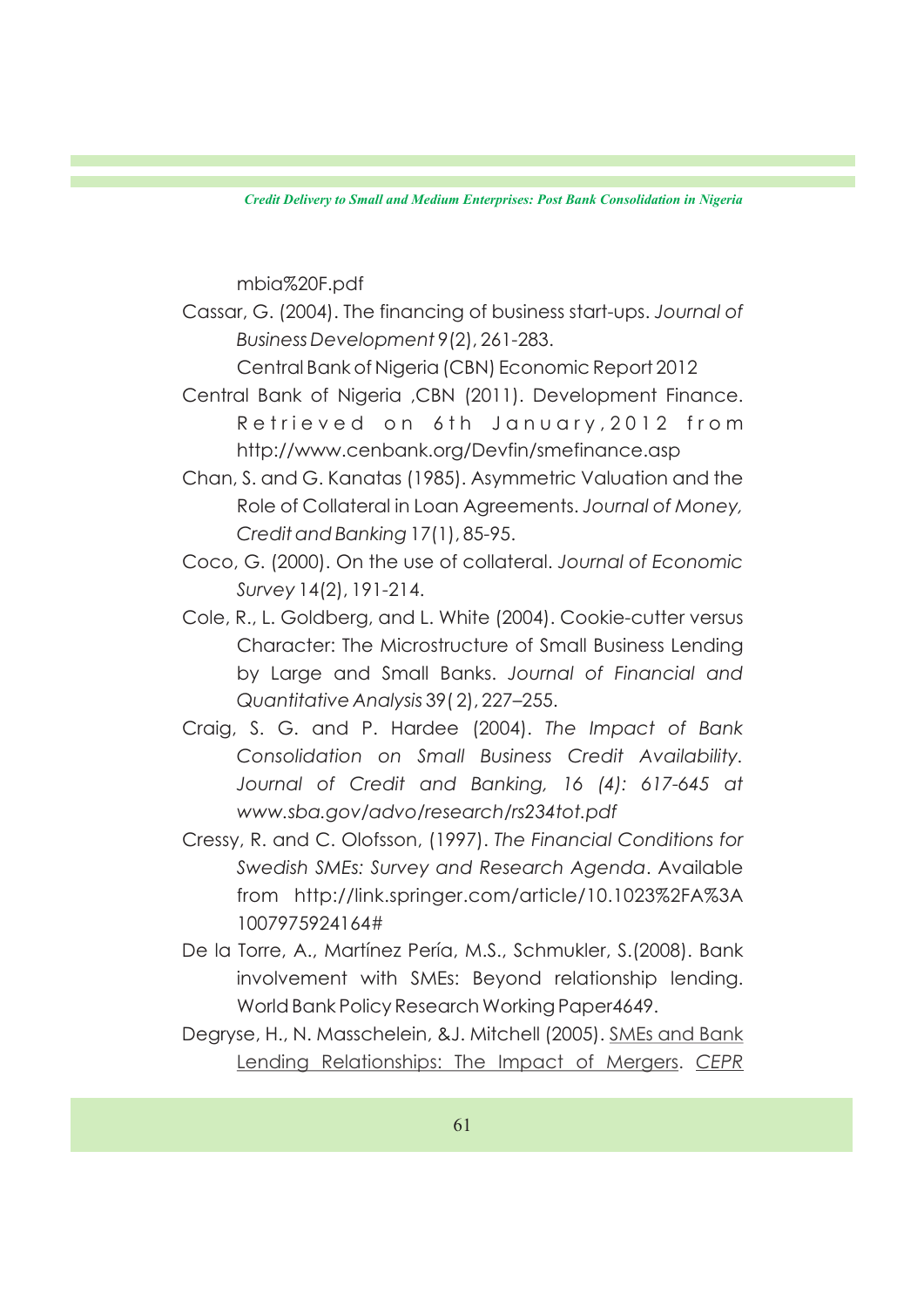mbia%20F.pdf

Cassar, G. (2004). The financing of business start-ups. *Journal of Business Development* 9(2), 261-283.

Central Bank of Nigeria (CBN) Economic Report 2012

- Central Bank of Nigeria ,CBN (2011). Development Finance. Retrieved on 6th January, 2012 from http://www.cenbank.org/Devfin/smefinance.asp
- Chan, S. and G. Kanatas (1985). Asymmetric Valuation and the Role of Collateral in Loan Agreements. *Journal of Money, Credit and Banking*17(1), 85-95.
- Coco, G. (2000). On the use of collateral. *Journal of Economic Survey* 14(2), 191-214.
- Cole, R., L. Goldberg, and L. White (2004). Cookie-cutter versus Character: The Microstructure of Small Business Lending by Large and Small Banks. *Journal of Financial and Quantitative Analysis* 39( 2), 227–255.
- Craig, S. G. and P. Hardee (2004). *The Impact of Bank Consolidation on Small Business Credit Availability. Journal of Credit and Banking, 16 (4): 617-645 at www.sba.gov/advo/research/rs234tot.pdf*
- Cressy, R. and C. Olofsson, (1997). *The Financial Conditions for Swedish SMEs: Survey and Research Agenda*. Available from http://link.springer.com/article/10.1023%2FA%3A 1007975924164#
- De la Torre, A., Martínez Pería, M.S., Schmukler, S.(2008). Bank involvement with SMEs: Beyond relationship lending. World Bank Policy Research Working Paper4649.
- Degryse, H., N. Masschelein, &J. Mitchell (2005). SMEs and Bank Lending Relationships: The Impact of Mergers. *CEPR*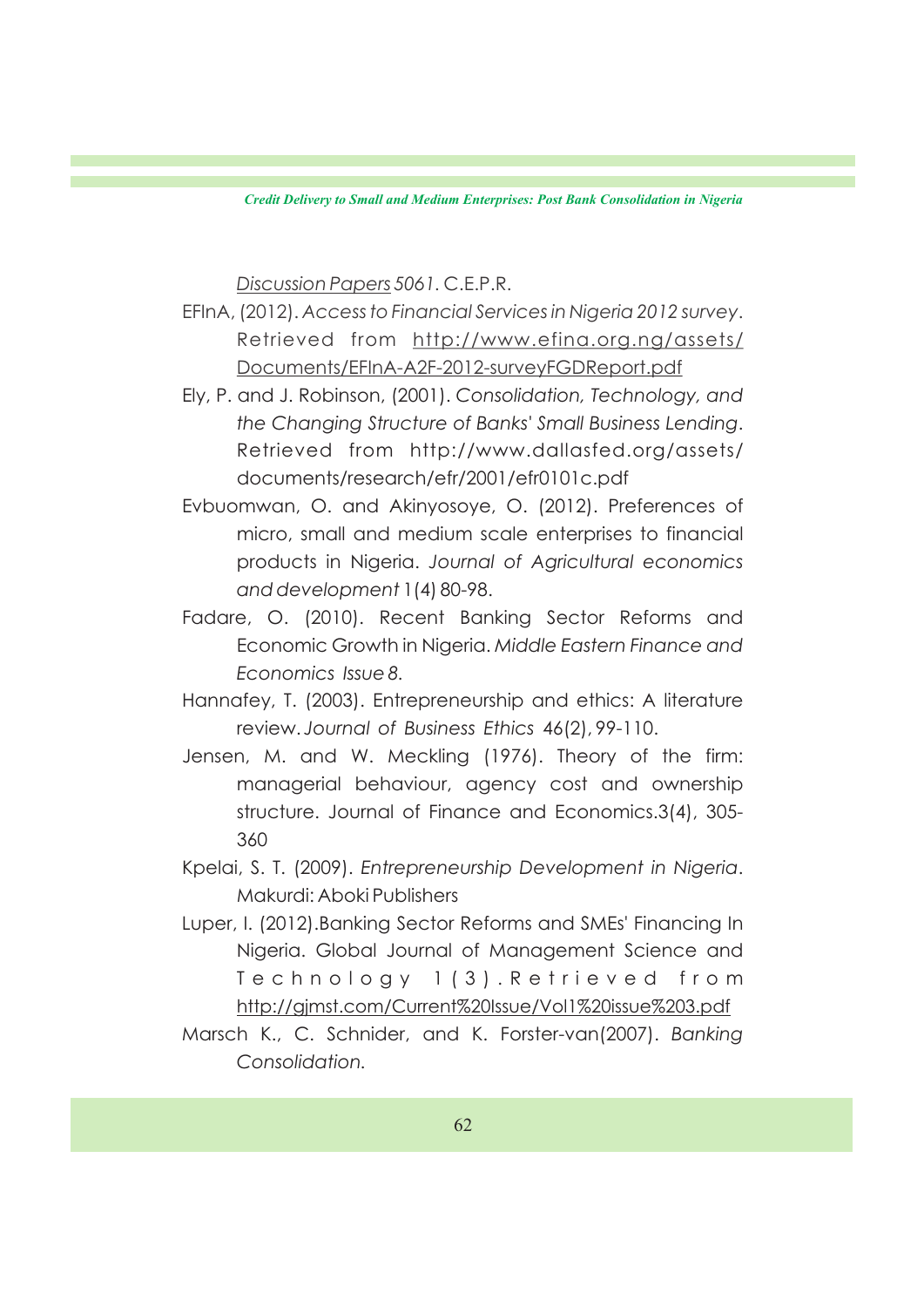*Discussion Papers 5061.* C.E.P.R.

- EFInA, (2012). *Access to Financial Services in Nigeria 2012 survey*. Retrieved from http://www.efina.org.ng/assets/ Documents/EFInA-A2F-2012-surveyFGDReport.pdf
- Ely, P. and J. Robinson, (2001). *Consolidation, Technology, and the Changing Structure of Banks' Small Business Lending*. Retrieved from http://www.dallasfed.org/assets/ documents/research/efr/2001/efr0101c.pdf
- Evbuomwan, O. and Akinyosoye, O. (2012). Preferences of micro, small and medium scale enterprises to financial products in Nigeria. *Journal of Agricultural economics and development* 1(4) 80-98.
- Fadare, O. (2010). Recent Banking Sector Reforms and Economic Growth in Nigeria. *Middle Eastern Finance and Economics Issue 8.*
- Hannafey, T. (2003). Entrepreneurship and ethics: A literature review. *Journal of Business Ethics* 46(2), 99-110.
- Jensen, M. and W. Meckling (1976). Theory of the firm: managerial behaviour, agency cost and ownership structure. Journal of Finance and Economics.3(4), 305- 360
- Kpelai, S. T. (2009). *Entrepreneurship Development in Nigeria*. Makurdi: Aboki Publishers
- Luper, I. (2012).Banking Sector Reforms and SMEs' Financing In Nigeria. Global Journal of Management Science and Technology 1(3). Retrieved from http://gjmst.com/Current%20Issue/Vol1%20issue%203.pdf
- Marsch K., C. Schnider, and K. Forster-van(2007). *Banking Consolidation.*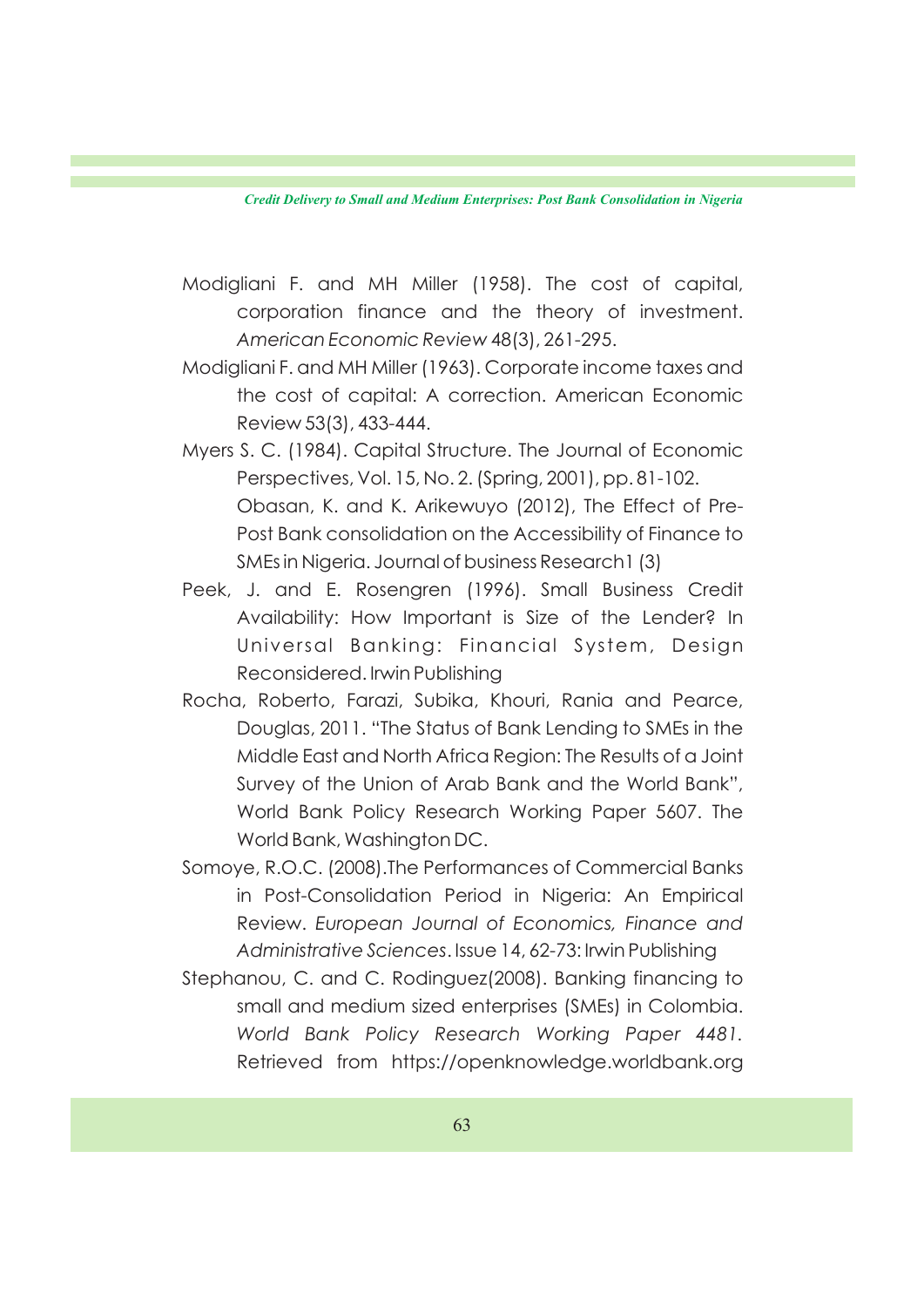- Modigliani F. and MH Miller (1958). The cost of capital, corporation finance and the theory of investment. *American Economic Review* 48(3), 261-295.
- Modigliani F. and MH Miller (1963). Corporate income taxes and the cost of capital: A correction. American Economic Review 53(3), 433-444.
- Myers S. C. (1984). Capital Structure. The Journal of Economic Perspectives, Vol. 15, No. 2. (Spring, 2001), pp. 81-102. Obasan, K. and K. Arikewuyo (2012), The Effect of Pre-Post Bank consolidation on the Accessibility of Finance to SMEs in Nigeria. Journal of business Research1 (3)
- Peek, J. and E. Rosengren (1996). Small Business Credit Availability: How Important is Size of the Lender? In Universal Banking: Financial System, Design Reconsidered. Irwin Publishing
- Rocha, Roberto, Farazi, Subika, Khouri, Rania and Pearce, Douglas, 2011. "The Status of Bank Lending to SMEs in the Middle East and North Africa Region: The Results of a Joint Survey of the Union of Arab Bank and the World Bank", World Bank Policy Research Working Paper 5607. The World Bank, Washington DC.
- Somoye, R.O.C. (2008).The Performances of Commercial Banks in Post-Consolidation Period in Nigeria: An Empirical Review. *European Journal of Economics, Finance and Administrative Sciences*. Issue 14, 62-73: Irwin Publishing
- Stephanou, C. and C. Rodinguez(2008). Banking financing to small and medium sized enterprises (SMEs) in Colombia. *World Bank Policy Research Working Paper 4481.* Retrieved from https://openknowledge.worldbank.org